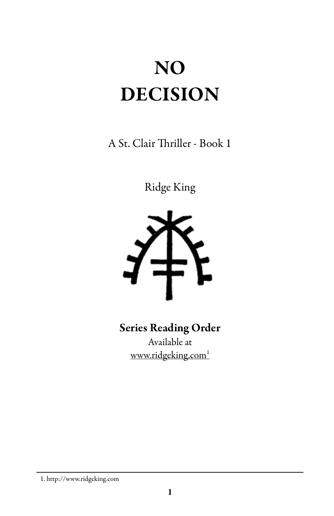A St. Clair Thriller - Book 1

Ridge King



Series Reading Order

Available at www.ridgeking.com 1

<sup>1.</sup> http://www.ridgeking.com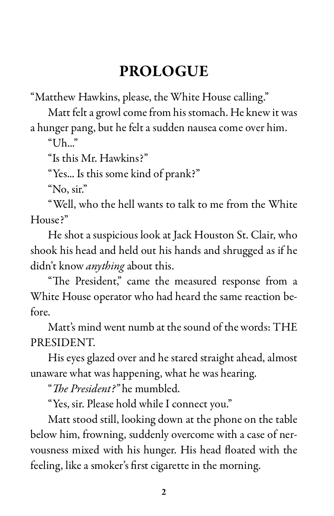# PROLOGUE

"Matthew Hawkins, please, the White House calling."

Matt felt a growl come from his stomach. He knew it was a hunger pang, but he felt a sudden nausea come over him.

"Uh..."

"Is this Mr. Hawkins?"

"Yes... Is this some kind of prank?"

"No, sir."

"Well, who the hell wants to talk to me from the White House?"

He shot a suspicious look at Jack Houston St. Clair, who shook his head and held out his hands and shrugged as if he didn't know *anything* about this.

"The President," came the measured response from a White House operator who had heard the same reaction before.

Matt's mind went numb at the sound of the words: THE PRESIDENT.

His eyes glazed over and he stared straight ahead, almost unaware what was happening, what he was hearing.

"The President?" he mumbled.

"Yes, sir. Please hold while I connect you."

Matt stood still, looking down at the phone on the table below him, frowning, suddenly overcome with a case of nervousness mixed with his hunger. His head floated with the feeling, like a smoker's first cigarette in the morning.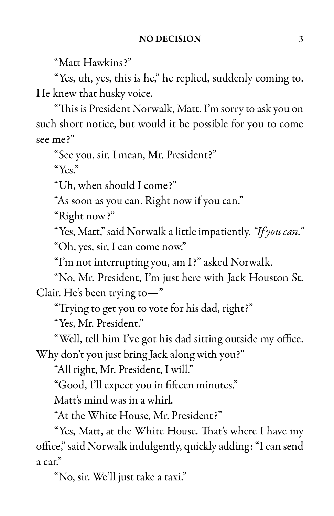"Matt Hawkins?"

"Yes, uh, yes, this is he," he replied, suddenly coming to. He knew that husky voice.

"This is President Norwalk, Matt. I'm sorry to ask you on such short notice, but would it be possible for you to come see me?"

"See you, sir, I mean, Mr. President?"

"Yes."

"Uh, when should I come?"

"As soon as you can. Right now if you can."

"Right now?"

"Yes, Matt," said Norwalk a little impatiently. "If you can." "Oh, yes, sir, I can come now."

"I'm not interrupting you, am I?" asked Norwalk.

"No, Mr. President, I'm just here with Jack Houston St. Clair. He's been trying to—"

"Trying to get you to vote for his dad, right?"

"Yes, Mr. President."

"Well, tell him I've got his dad sitting outside my office. Why don't you just bring Jack along with you?"

"All right, Mr. President, I will."

"Good, I'll expect you in fifteen minutes."

Matt's mind was in a whirl.

"At the White House, Mr. President?"

"Yes, Matt, at the White House. That's where I have my office," said Norwalk indulgently, quickly adding: "I can send a car."

"No, sir. We'll just take a taxi."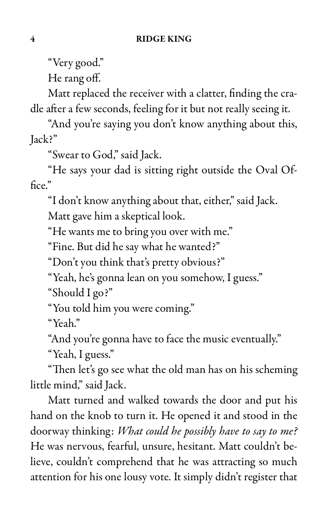"Very good."

He rang off.

Matt replaced the receiver with a clatter, finding the cradle after a few seconds, feeling for it but not really seeing it.

"And you're saying you don't know anything about this, Jack?"

"Swear to God," said Jack.

"He says your dad is sitting right outside the Oval Office."

"I don't know anything about that, either," said Jack. Matt gave him a skeptical look.

"He wants me to bring you over with me."

"Fine. But did he say what he wanted?"

"Don't you think that's pretty obvious?"

"Yeah, he's gonna lean on you somehow, I guess."

"Should I go?"

"You told him you were coming."

"Yeah."

"And you're gonna have to face the music eventually."

"Yeah, I guess."

"Then let's go see what the old man has on his scheming little mind," said Jack.

Matt turned and walked towards the door and put his hand on the knob to turn it. He opened it and stood in the doorway thinking: What could he possibly have to say to me? He was nervous, fearful, unsure, hesitant. Matt couldn't believe, couldn't comprehend that he was attracting so much attention for his one lousy vote. It simply didn't register that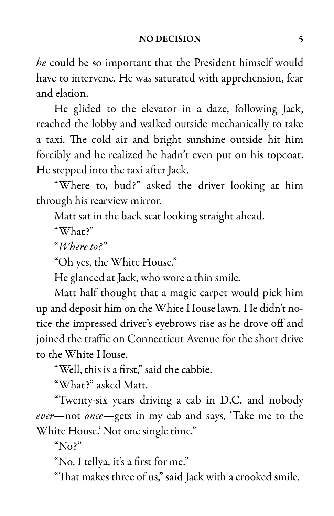he could be so important that the President himself would have to intervene. He was saturated with apprehension, fear and elation.

He glided to the elevator in a daze, following Jack, reached the lobby and walked outside mechanically to take a taxi. The cold air and bright sunshine outside hit him forcibly and he realized he hadn't even put on his topcoat. He stepped into the taxi after Jack.

"Where to, bud?" asked the driver looking at him through his rearview mirror.

Matt sat in the back seat looking straight ahead.

"What?"

"Where to?"

"Oh yes, the White House."

He glanced at Jack, who wore a thin smile.

Matt half thought that a magic carpet would pick him up and deposit him on the White House lawn. He didn't notice the impressed driver's eyebrows rise as he drove off and joined the traffic on Connecticut Avenue for the short drive to the White House.

"Well, this is a first," said the cabbie.

"What?" asked Matt.

"Twenty-six years driving a cab in D.C. and nobody ever—not once—gets in my cab and says, 'Take me to the White House.' Not one single time."

" $No?$ "

"No. I tellya, it's a first for me."

"That makes three of us," said Jack with a crooked smile.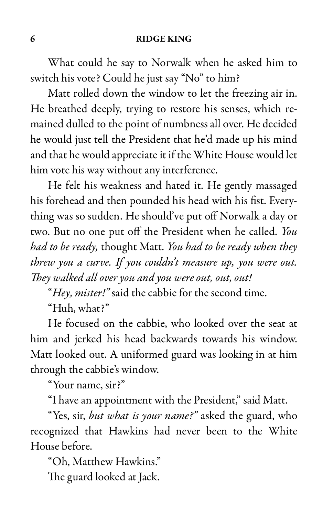What could he say to Norwalk when he asked him to switch his vote? Could he just say "No" to him?

Matt rolled down the window to let the freezing air in. He breathed deeply, trying to restore his senses, which remained dulled to the point of numbness all over. He decided he would just tell the President that he'd made up his mind and that he would appreciate it if the White House would let him vote his way without any interference.

He felt his weakness and hated it. He gently massaged his forehead and then pounded his head with his fist. Everything was so sudden. He should've put off Norwalk a day or two. But no one put off the President when he called. You had to be ready, thought Matt. You had to be ready when they threw you a curve. If you couldn't measure up, you were out. They walked all over you and you were out, out, out!

"Hey, mister!" said the cabbie for the second time.

"Huh, what?"

He focused on the cabbie, who looked over the seat at him and jerked his head backwards towards his window. Matt looked out. A uniformed guard was looking in at him through the cabbie's window.

"Your name, sir?"

"I have an appointment with the President," said Matt.

"Yes, sir, but what is your name?" asked the guard, who recognized that Hawkins had never been to the White House before.

"Oh, Matthew Hawkins."

The guard looked at Jack.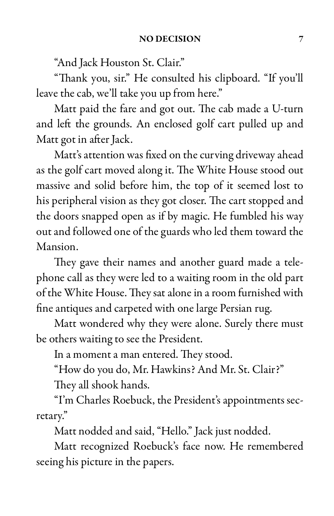"And Jack Houston St. Clair."

"Thank you, sir." He consulted his clipboard. "If you'll leave the cab, we'll take you up from here."

Matt paid the fare and got out. The cab made a U-turn and left the grounds. An enclosed golf cart pulled up and Matt got in after Jack.

Matt's attention was fixed on the curving driveway ahead as the golf cart moved along it. The White House stood out massive and solid before him, the top of it seemed lost to his peripheral vision as they got closer. The cart stopped and the doors snapped open as if by magic. He fumbled his way out and followed one of the guards who led them toward the Mansion.

They gave their names and another guard made a telephone call as they were led to a waiting room in the old part of the White House. They sat alone in a room furnished with fine antiques and carpeted with one large Persian rug.

Matt wondered why they were alone. Surely there must be others waiting to see the President.

In a moment a man entered. They stood.

"How do you do, Mr. Hawkins? And Mr. St. Clair?"

They all shook hands.

"I'm Charles Roebuck, the President's appointments secretary."

Matt nodded and said, "Hello." Jack just nodded.

Matt recognized Roebuck's face now. He remembered seeing his picture in the papers.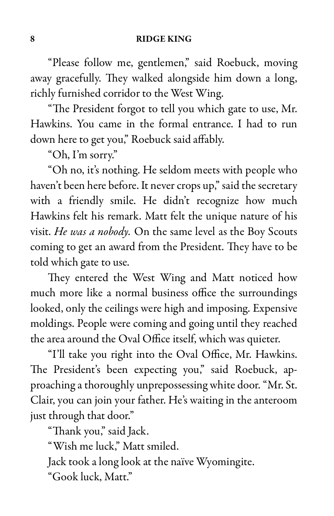"Please follow me, gentlemen," said Roebuck, moving away gracefully. They walked alongside him down a long, richly furnished corridor to the West Wing.

"The President forgot to tell you which gate to use, Mr. Hawkins. You came in the formal entrance. I had to run down here to get you," Roebuck said affably.

"Oh, I'm sorry."

"Oh no, it's nothing. He seldom meets with people who haven't been here before. It never crops up," said the secretary with a friendly smile. He didn't recognize how much Hawkins felt his remark. Matt felt the unique nature of his visit. He was a nobody. On the same level as the Boy Scouts coming to get an award from the President. They have to be told which gate to use.

They entered the West Wing and Matt noticed how much more like a normal business office the surroundings looked, only the ceilings were high and imposing. Expensive moldings. People were coming and going until they reached the area around the Oval Office itself, which was quieter.

"I'll take you right into the Oval Office, Mr. Hawkins. The President's been expecting you," said Roebuck, approaching a thoroughly unprepossessing white door. "Mr. St. Clair, you can join your father. He's waiting in the anteroom just through that door."

"Thank you," said Jack.

"Wish me luck," Matt smiled.

Jack took a long look at the naïve Wyomingite.

"Gook luck, Matt."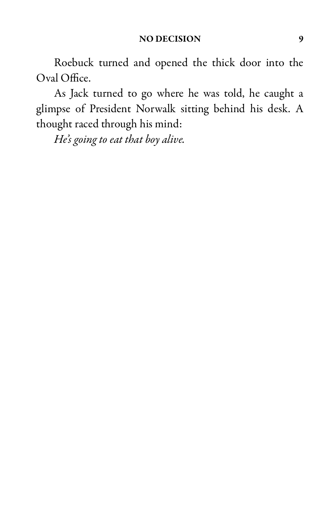Roebuck turned and opened the thick door into the Oval Office.

As Jack turned to go where he was told, he caught a glimpse of President Norwalk sitting behind his desk. A thought raced through his mind:

He's going to eat that boy alive.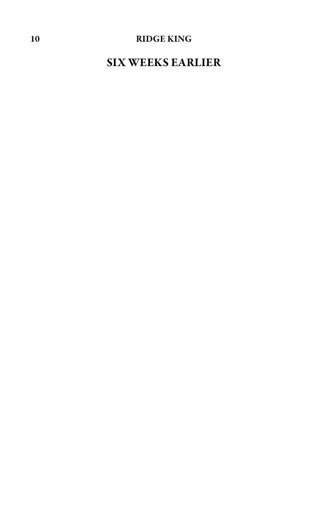# SIX WEEKS EARLIER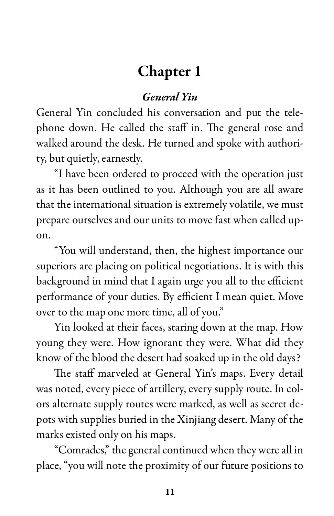# Chapter 1

# General Yin

General Yin concluded his conversation and put the telephone down. He called the staff in. The general rose and walked around the desk. He turned and spoke with authority, but quietly, earnestly.

"I have been ordered to proceed with the operation just as it has been outlined to you. Although you are all aware that the international situation is extremely volatile, we must prepare ourselves and our units to move fast when called upon.

"You will understand, then, the highest importance our superiors are placing on political negotiations. It is with this background in mind that I again urge you all to the efficient performance of your duties. By efficient I mean quiet. Move over to the map one more time, all of you."

Yin looked at their faces, staring down at the map. How young they were. How ignorant they were. What did they know of the blood the desert had soaked up in the old days?

The staff marveled at General Yin's maps. Every detail was noted, every piece of artillery, every supply route. In colors alternate supply routes were marked, as well as secret depots with supplies buried in the Xinjiang desert. Many of the marks existed only on his maps.

"Comrades," the general continued when they were all in place, "you will note the proximity of our future positions to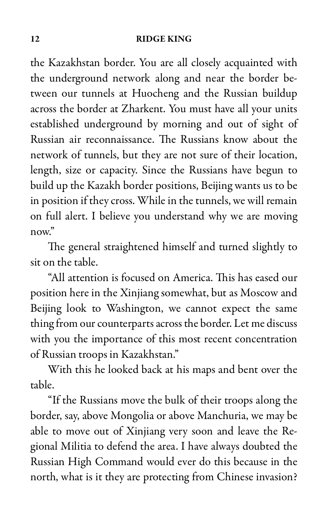the Kazakhstan border. You are all closely acquainted with the underground network along and near the border between our tunnels at Huocheng and the Russian buildup across the border at Zharkent. You must have all your units established underground by morning and out of sight of Russian air reconnaissance. The Russians know about the network of tunnels, but they are not sure of their location, length, size or capacity. Since the Russians have begun to build up the Kazakh border positions, Beijing wants us to be in position if they cross. While in the tunnels, we will remain on full alert. I believe you understand why we are moving now."

The general straightened himself and turned slightly to sit on the table.

"All attention is focused on America. This has eased our position here in the Xinjiang somewhat, but as Moscow and Beijing look to Washington, we cannot expect the same thing from our counterparts across the border. Let me discuss with you the importance of this most recent concentration of Russian troops in Kazakhstan."

With this he looked back at his maps and bent over the table.

"If the Russians move the bulk of their troops along the border, say, above Mongolia or above Manchuria, we may be able to move out of Xinjiang very soon and leave the Regional Militia to defend the area. I have always doubted the Russian High Command would ever do this because in the north, what is it they are protecting from Chinese invasion?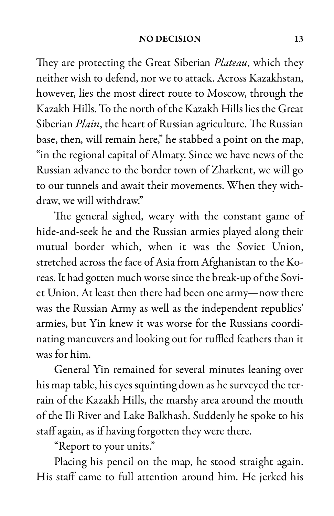They are protecting the Great Siberian *Plateau*, which they neither wish to defend, nor we to attack. Across Kazakhstan, however, lies the most direct route to Moscow, through the Kazakh Hills. To the north of the Kazakh Hills lies the Great Siberian *Plain*, the heart of Russian agriculture. The Russian base, then, will remain here," he stabbed a point on the map, "in the regional capital of Almaty. Since we have news of the Russian advance to the border town of Zharkent, we will go to our tunnels and await their movements. When they withdraw, we will withdraw."

The general sighed, weary with the constant game of hide-and-seek he and the Russian armies played along their mutual border which, when it was the Soviet Union, stretched across the face of Asia from Afghanistan to the Koreas. It had gotten much worse since the break-up of the Soviet Union. At least then there had been one army—now there was the Russian Army as well as the independent republics' armies, but Yin knew it was worse for the Russians coordinating maneuvers and looking out for ruffled feathers than it was for him.

General Yin remained for several minutes leaning over his map table, his eyes squinting down as he surveyed the terrain of the Kazakh Hills, the marshy area around the mouth of the Ili River and Lake Balkhash. Suddenly he spoke to his staff again, as if having forgotten they were there.

"Report to your units."

Placing his pencil on the map, he stood straight again. His staff came to full attention around him. He jerked his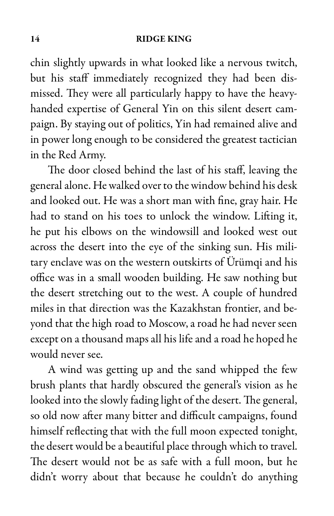chin slightly upwards in what looked like a nervous twitch, but his staff immediately recognized they had been dismissed. They were all particularly happy to have the heavyhanded expertise of General Yin on this silent desert campaign. By staying out of politics, Yin had remained alive and in power long enough to be considered the greatest tactician in the Red Army.

The door closed behind the last of his staff, leaving the general alone. He walked over to the window behind his desk and looked out. He was a short man with fine, gray hair. He had to stand on his toes to unlock the window. Lifting it, he put his elbows on the windowsill and looked west out across the desert into the eye of the sinking sun. His military enclave was on the western outskirts of Ürümqi and his office was in a small wooden building. He saw nothing but the desert stretching out to the west. A couple of hundred miles in that direction was the Kazakhstan frontier, and beyond that the high road to Moscow, a road he had never seen except on a thousand maps all his life and a road he hoped he would never see.

A wind was getting up and the sand whipped the few brush plants that hardly obscured the general's vision as he looked into the slowly fading light of the desert. The general, so old now after many bitter and difficult campaigns, found himself reflecting that with the full moon expected tonight, the desert would be a beautiful place through which to travel. The desert would not be as safe with a full moon, but he didn't worry about that because he couldn't do anything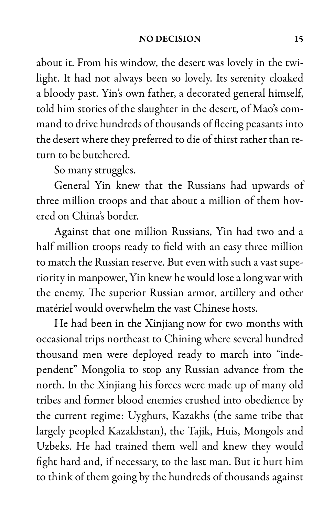about it. From his window, the desert was lovely in the twilight. It had not always been so lovely. Its serenity cloaked a bloody past. Yin's own father, a decorated general himself, told him stories of the slaughter in the desert, of Mao's command to drive hundreds of thousands of fleeing peasants into the desert where they preferred to die of thirst rather than return to be butchered.

So many struggles.

General Yin knew that the Russians had upwards of three million troops and that about a million of them hovered on China's border.

Against that one million Russians, Yin had two and a half million troops ready to field with an easy three million to match the Russian reserve. But even with such a vast superiority in manpower, Yin knew he would lose a long war with the enemy. The superior Russian armor, artillery and other matériel would overwhelm the vast Chinese hosts.

He had been in the Xinjiang now for two months with occasional trips northeast to Chining where several hundred thousand men were deployed ready to march into "independent" Mongolia to stop any Russian advance from the north. In the Xinjiang his forces were made up of many old tribes and former blood enemies crushed into obedience by the current regime: Uyghurs, Kazakhs (the same tribe that largely peopled Kazakhstan), the Tajik, Huis, Mongols and Uzbeks. He had trained them well and knew they would fight hard and, if necessary, to the last man. But it hurt him to think of them going by the hundreds of thousands against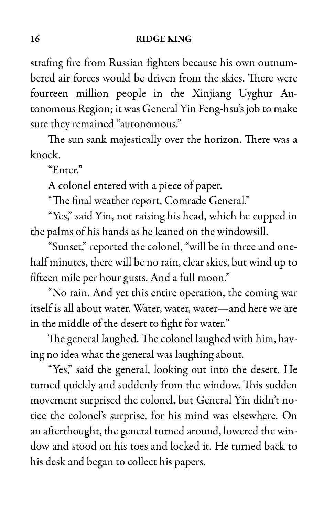strafing fire from Russian fighters because his own outnumbered air forces would be driven from the skies. There were fourteen million people in the Xinjiang Uyghur Autonomous Region; it was General Yin Feng-hsu's job to make sure they remained "autonomous."

The sun sank majestically over the horizon. There was a knock.

"Enter."

A colonel entered with a piece of paper.

"The final weather report, Comrade General."

"Yes," said Yin, not raising his head, which he cupped in the palms of his hands as he leaned on the windowsill.

"Sunset," reported the colonel, "will be in three and onehalf minutes, there will be no rain, clear skies, but wind up to fifteen mile per hour gusts. And a full moon."

"No rain. And yet this entire operation, the coming war itself is all about water. Water, water, water—and here we are in the middle of the desert to fight for water."

The general laughed. The colonel laughed with him, having no idea what the general was laughing about.

"Yes," said the general, looking out into the desert. He turned quickly and suddenly from the window. This sudden movement surprised the colonel, but General Yin didn't notice the colonel's surprise, for his mind was elsewhere. On an afterthought, the general turned around, lowered the window and stood on his toes and locked it. He turned back to his desk and began to collect his papers.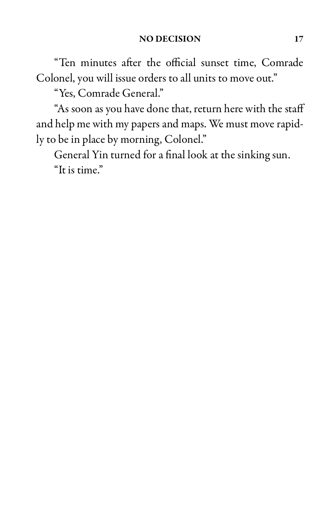"Ten minutes after the official sunset time, Comrade Colonel, you will issue orders to all units to move out."

"Yes, Comrade General."

"As soon as you have done that, return here with the staff and help me with my papers and maps. We must move rapidly to be in place by morning, Colonel."

General Yin turned for a final look at the sinking sun. "It is time."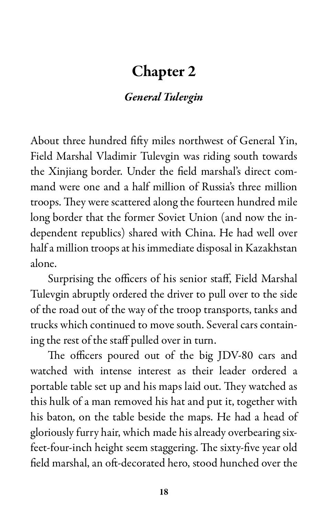# Chapter 2

### General Tulevgin

About three hundred fifty miles northwest of General Yin, Field Marshal Vladimir Tulevgin was riding south towards the Xinjiang border. Under the field marshal's direct command were one and a half million of Russia's three million troops. They were scattered along the fourteen hundred mile long border that the former Soviet Union (and now the independent republics) shared with China. He had well over half a million troops at his immediate disposal in Kazakhstan alone.

Surprising the officers of his senior staff, Field Marshal Tulevgin abruptly ordered the driver to pull over to the side of the road out of the way of the troop transports, tanks and trucks which continued to move south. Several cars containing the rest of the staff pulled over in turn.

The officers poured out of the big JDV-80 cars and watched with intense interest as their leader ordered a portable table set up and his maps laid out. They watched as this hulk of a man removed his hat and put it, together with his baton, on the table beside the maps. He had a head of gloriously furry hair, which made his already overbearing sixfeet-four-inch height seem staggering. The sixty-five year old field marshal, an oft-decorated hero, stood hunched over the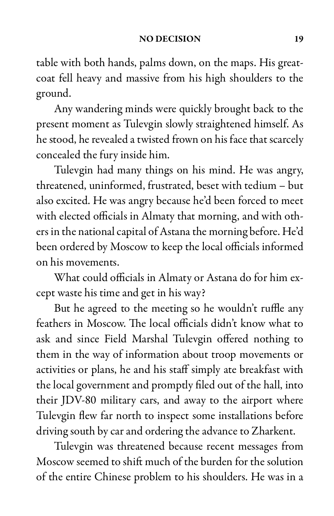table with both hands, palms down, on the maps. His greatcoat fell heavy and massive from his high shoulders to the ground.

Any wandering minds were quickly brought back to the present moment as Tulevgin slowly straightened himself. As he stood, he revealed a twisted frown on his face that scarcely concealed the fury inside him.

Tulevgin had many things on his mind. He was angry, threatened, uninformed, frustrated, beset with tedium – but also excited. He was angry because he'd been forced to meet with elected officials in Almaty that morning, and with others in the national capital of Astana the morning before. He'd been ordered by Moscow to keep the local officials informed on his movements.

What could officials in Almaty or Astana do for him except waste his time and get in his way?

But he agreed to the meeting so he wouldn't ruffle any feathers in Moscow. The local officials didn't know what to ask and since Field Marshal Tulevgin offered nothing to them in the way of information about troop movements or activities or plans, he and his staff simply ate breakfast with the local government and promptly filed out of the hall, into their JDV-80 military cars, and away to the airport where Tulevgin flew far north to inspect some installations before driving south by car and ordering the advance to Zharkent.

Tulevgin was threatened because recent messages from Moscow seemed to shift much of the burden for the solution of the entire Chinese problem to his shoulders. He was in a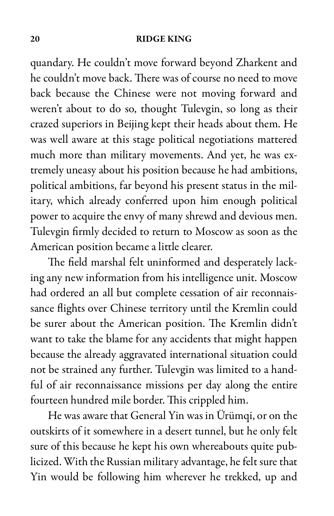quandary. He couldn't move forward beyond Zharkent and he couldn't move back. There was of course no need to move back because the Chinese were not moving forward and weren't about to do so, thought Tulevgin, so long as their crazed superiors in Beijing kept their heads about them. He was well aware at this stage political negotiations mattered much more than military movements. And yet, he was extremely uneasy about his position because he had ambitions, political ambitions, far beyond his present status in the military, which already conferred upon him enough political power to acquire the envy of many shrewd and devious men. Tulevgin firmly decided to return to Moscow as soon as the American position became a little clearer.

The field marshal felt uninformed and desperately lacking any new information from his intelligence unit. Moscow had ordered an all but complete cessation of air reconnaissance flights over Chinese territory until the Kremlin could be surer about the American position. The Kremlin didn't want to take the blame for any accidents that might happen because the already aggravated international situation could not be strained any further. Tulevgin was limited to a handful of air reconnaissance missions per day along the entire fourteen hundred mile border. This crippled him.

He was aware that General Yin was in Ürümqi, or on the outskirts of it somewhere in a desert tunnel, but he only felt sure of this because he kept his own whereabouts quite publicized. With the Russian military advantage, he felt sure that Yin would be following him wherever he trekked, up and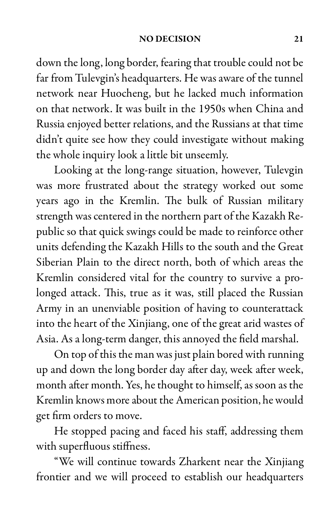down the long, long border, fearing that trouble could not be far from Tulevgin's headquarters. He was aware of the tunnel network near Huocheng, but he lacked much information on that network. It was built in the 1950s when China and Russia enjoyed better relations, and the Russians at that time didn't quite see how they could investigate without making the whole inquiry look a little bit unseemly.

Looking at the long-range situation, however, Tulevgin was more frustrated about the strategy worked out some years ago in the Kremlin. The bulk of Russian military strength was centered in the northern part of the Kazakh Republic so that quick swings could be made to reinforce other units defending the Kazakh Hills to the south and the Great Siberian Plain to the direct north, both of which areas the Kremlin considered vital for the country to survive a prolonged attack. This, true as it was, still placed the Russian Army in an unenviable position of having to counterattack into the heart of the Xinjiang, one of the great arid wastes of Asia. As a long-term danger, this annoyed the field marshal.

On top of this the man was just plain bored with running up and down the long border day after day, week after week, month after month. Yes, he thought to himself, as soon as the Kremlin knows more about the American position, he would get firm orders to move.

He stopped pacing and faced his staff, addressing them with superfluous stiffness.

"We will continue towards Zharkent near the Xinjiang frontier and we will proceed to establish our headquarters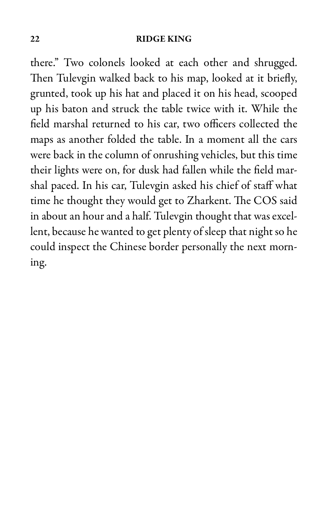there." Two colonels looked at each other and shrugged. Then Tulevgin walked back to his map, looked at it briefly, grunted, took up his hat and placed it on his head, scooped up his baton and struck the table twice with it. While the field marshal returned to his car, two officers collected the maps as another folded the table. In a moment all the cars were back in the column of onrushing vehicles, but this time their lights were on, for dusk had fallen while the field marshal paced. In his car, Tulevgin asked his chief of staff what time he thought they would get to Zharkent. The COS said in about an hour and a half. Tulevgin thought that was excellent, because he wanted to get plenty of sleep that night so he could inspect the Chinese border personally the next morning.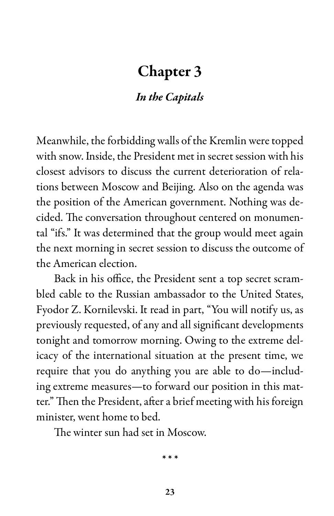# Chapter 3

### In the Capitals

Meanwhile, the forbidding walls of the Kremlin were topped with snow. Inside, the President met in secret session with his closest advisors to discuss the current deterioration of relations between Moscow and Beijing. Also on the agenda was the position of the American government. Nothing was decided. The conversation throughout centered on monumental "ifs." It was determined that the group would meet again the next morning in secret session to discuss the outcome of the American election.

Back in his office, the President sent a top secret scrambled cable to the Russian ambassador to the United States, Fyodor Z. Kornilevski. It read in part, "You will notify us, as previously requested, of any and all significant developments tonight and tomorrow morning. Owing to the extreme delicacy of the international situation at the present time, we require that you do anything you are able to do—including extreme measures—to forward our position in this matter." Then the President, after a brief meeting with his foreign minister, went home to bed.

The winter sun had set in Moscow.

\* \* \*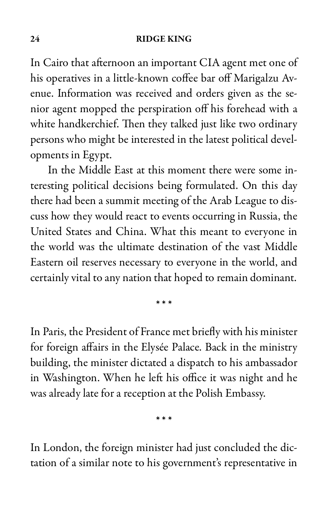In Cairo that afternoon an important CIA agent met one of his operatives in a little-known coffee bar off Marigalzu Avenue. Information was received and orders given as the senior agent mopped the perspiration off his forehead with a white handkerchief. Then they talked just like two ordinary persons who might be interested in the latest political developments in Egypt.

In the Middle East at this moment there were some interesting political decisions being formulated. On this day there had been a summit meeting of the Arab League to discuss how they would react to events occurring in Russia, the United States and China. What this meant to everyone in the world was the ultimate destination of the vast Middle Eastern oil reserves necessary to everyone in the world, and certainly vital to any nation that hoped to remain dominant.

\* \* \*

In Paris, the President of France met briefly with his minister for foreign affairs in the Elysée Palace. Back in the ministry building, the minister dictated a dispatch to his ambassador in Washington. When he left his office it was night and he was already late for a reception at the Polish Embassy.

\* \* \*

In London, the foreign minister had just concluded the dictation of a similar note to his government's representative in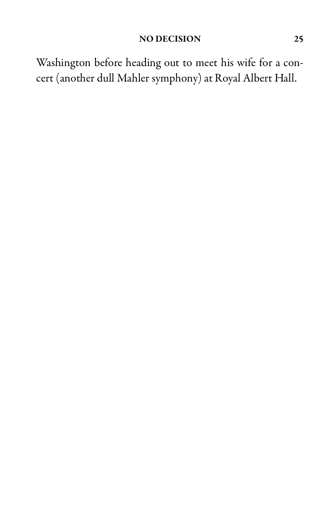Washington before heading out to meet his wife for a concert (another dull Mahler symphony) at Royal Albert Hall.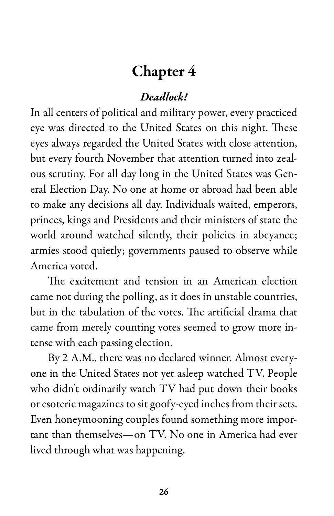# Chapter 4

# Deadlock!

In all centers of political and military power, every practiced eye was directed to the United States on this night. These eyes always regarded the United States with close attention, but every fourth November that attention turned into zealous scrutiny. For all day long in the United States was General Election Day. No one at home or abroad had been able to make any decisions all day. Individuals waited, emperors, princes, kings and Presidents and their ministers of state the world around watched silently, their policies in abeyance; armies stood quietly; governments paused to observe while America voted.

The excitement and tension in an American election came not during the polling, as it does in unstable countries, but in the tabulation of the votes. The artificial drama that came from merely counting votes seemed to grow more intense with each passing election.

By 2 A.M., there was no declared winner. Almost everyone in the United States not yet asleep watched TV. People who didn't ordinarily watch TV had put down their books or esoteric magazines to sit goofy-eyed inches from their sets. Even honeymooning couples found something more important than themselves—on TV. No one in America had ever lived through what was happening.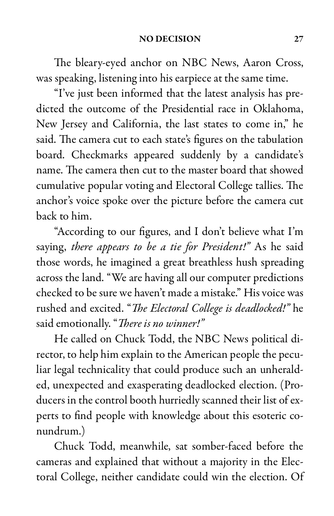The bleary-eyed anchor on NBC News, Aaron Cross, was speaking, listening into his earpiece at the same time.

"I've just been informed that the latest analysis has predicted the outcome of the Presidential race in Oklahoma, New Jersey and California, the last states to come in," he said. The camera cut to each state's figures on the tabulation board. Checkmarks appeared suddenly by a candidate's name. The camera then cut to the master board that showed cumulative popular voting and Electoral College tallies. The anchor's voice spoke over the picture before the camera cut back to him.

"According to our figures, and I don't believe what I'm saying, there appears to be a tie for President!" As he said those words, he imagined a great breathless hush spreading across the land. "We are having all our computer predictions checked to be sure we haven't made a mistake." His voice was rushed and excited. "The Electoral College is deadlocked!" he said emotionally. "There is no winner!"

He called on Chuck Todd, the NBC News political director, to help him explain to the American people the peculiar legal technicality that could produce such an unheralded, unexpected and exasperating deadlocked election. (Producers in the control booth hurriedly scanned their list of experts to find people with knowledge about this esoteric conundrum.)

Chuck Todd, meanwhile, sat somber-faced before the cameras and explained that without a majority in the Electoral College, neither candidate could win the election. Of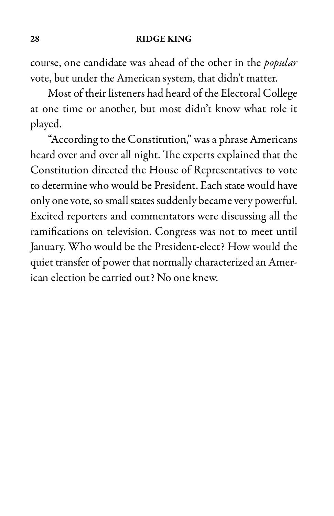course, one candidate was ahead of the other in the popular vote, but under the American system, that didn't matter.

Most of their listeners had heard of the Electoral College at one time or another, but most didn't know what role it played.

"According to the Constitution," was a phrase Americans heard over and over all night. The experts explained that the Constitution directed the House of Representatives to vote to determine who would be President. Each state would have only one vote, so small states suddenly became very powerful. Excited reporters and commentators were discussing all the ramifications on television. Congress was not to meet until January. Who would be the President-elect? How would the quiet transfer of power that normally characterized an American election be carried out? No one knew.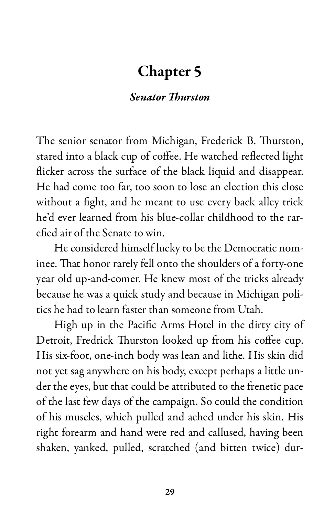# Chapter 5

### Senator Thurston

The senior senator from Michigan, Frederick B. Thurston, stared into a black cup of coffee. He watched reflected light flicker across the surface of the black liquid and disappear. He had come too far, too soon to lose an election this close without a fight, and he meant to use every back alley trick he'd ever learned from his blue-collar childhood to the rarefied air of the Senate to win.

He considered himself lucky to be the Democratic nominee. That honor rarely fell onto the shoulders of a forty-one year old up-and-comer. He knew most of the tricks already because he was a quick study and because in Michigan politics he had to learn faster than someone from Utah.

High up in the Pacific Arms Hotel in the dirty city of Detroit, Fredrick Thurston looked up from his coffee cup. His six-foot, one-inch body was lean and lithe. His skin did not yet sag anywhere on his body, except perhaps a little under the eyes, but that could be attributed to the frenetic pace of the last few days of the campaign. So could the condition of his muscles, which pulled and ached under his skin. His right forearm and hand were red and callused, having been shaken, yanked, pulled, scratched (and bitten twice) dur-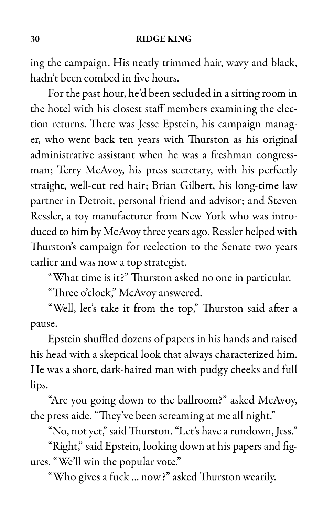ing the campaign. His neatly trimmed hair, wavy and black, hadn't been combed in five hours.

For the past hour, he'd been secluded in a sitting room in the hotel with his closest staff members examining the election returns. There was Jesse Epstein, his campaign manager, who went back ten years with Thurston as his original administrative assistant when he was a freshman congressman; Terry McAvoy, his press secretary, with his perfectly straight, well-cut red hair; Brian Gilbert, his long-time law partner in Detroit, personal friend and advisor; and Steven Ressler, a toy manufacturer from New York who was introduced to him by McAvoy three years ago. Ressler helped with Thurston's campaign for reelection to the Senate two years earlier and was now a top strategist.

"What time is it?" Thurston asked no one in particular.

"Three o'clock," McAvoy answered.

"Well, let's take it from the top," Thurston said after a pause.

Epstein shuffled dozens of papers in his hands and raised his head with a skeptical look that always characterized him. He was a short, dark-haired man with pudgy cheeks and full lips.

"Are you going down to the ballroom?" asked McAvoy, the press aide. "They've been screaming at me all night."

"No, not yet," said Thurston. "Let's have a rundown, Jess."

"Right," said Epstein, looking down at his papers and figures. "We'll win the popular vote."

"Who gives a fuck ... now?" asked Thurston wearily.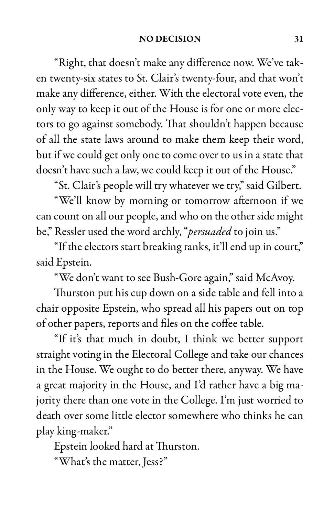"Right, that doesn't make any difference now. We've taken twenty-six states to St. Clair's twenty-four, and that won't make any difference, either. With the electoral vote even, the only way to keep it out of the House is for one or more electors to go against somebody. That shouldn't happen because of all the state laws around to make them keep their word, but if we could get only one to come over to us in a state that doesn't have such a law, we could keep it out of the House."

"St. Clair's people will try whatever we try," said Gilbert.

"We'll know by morning or tomorrow afternoon if we can count on all our people, and who on the other side might be," Ressler used the word archly, "*persuaded* to join us."

"If the electors start breaking ranks, it'll end up in court," said Epstein.

"We don't want to see Bush-Gore again," said McAvoy.

Thurston put his cup down on a side table and fell into a chair opposite Epstein, who spread all his papers out on top of other papers, reports and files on the coffee table.

"If it's that much in doubt, I think we better support straight voting in the Electoral College and take our chances in the House. We ought to do better there, anyway. We have a great majority in the House, and I'd rather have a big majority there than one vote in the College. I'm just worried to death over some little elector somewhere who thinks he can play king-maker."

Epstein looked hard at Thurston.

"What's the matter, Jess?"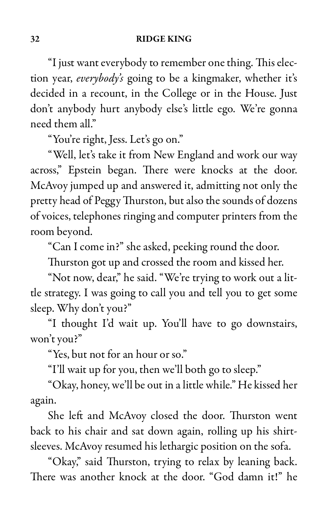"I just want everybody to remember one thing. This election year, everybody's going to be a kingmaker, whether it's decided in a recount, in the College or in the House. Just don't anybody hurt anybody else's little ego. We're gonna need them all."

"You're right, Jess. Let's go on."

"Well, let's take it from New England and work our way across," Epstein began. There were knocks at the door. McAvoy jumped up and answered it, admitting not only the pretty head of Peggy Thurston, but also the sounds of dozens of voices, telephones ringing and computer printers from the room beyond.

"Can I come in?" she asked, peeking round the door.

Thurston got up and crossed the room and kissed her.

"Not now, dear," he said. "We're trying to work out a little strategy. I was going to call you and tell you to get some sleep. Why don't you?"

"I thought I'd wait up. You'll have to go downstairs, won't you?"

"Yes, but not for an hour or so."

"I'll wait up for you, then we'll both go to sleep."

"Okay, honey, we'll be out in a little while." He kissed her again.

She left and McAvoy closed the door. Thurston went back to his chair and sat down again, rolling up his shirtsleeves. McAvoy resumed his lethargic position on the sofa.

"Okay," said Thurston, trying to relax by leaning back. There was another knock at the door. "God damn it!" he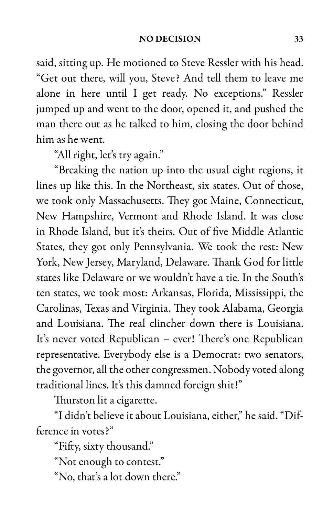said, sitting up. He motioned to Steve Ressler with his head. "Get out there, will you, Steve? And tell them to leave me alone in here until I get ready. No exceptions." Ressler jumped up and went to the door, opened it, and pushed the man there out as he talked to him, closing the door behind him as he went.

"All right, let's try again."

"Breaking the nation up into the usual eight regions, it lines up like this. In the Northeast, six states. Out of those, we took only Massachusetts. They got Maine, Connecticut, New Hampshire, Vermont and Rhode Island. It was close in Rhode Island, but it's theirs. Out of five Middle Atlantic States, they got only Pennsylvania. We took the rest: New York, New Jersey, Maryland, Delaware. Thank God for little states like Delaware or we wouldn't have a tie. In the South's ten states, we took most: Arkansas, Florida, Mississippi, the Carolinas, Texas and Virginia. They took Alabama, Georgia and Louisiana. The real clincher down there is Louisiana. It's never voted Republican – ever! There's one Republican representative. Everybody else is a Democrat: two senators, the governor, all the other congressmen. Nobody voted along traditional lines. It's this damned foreign shit!"

Thurston lit a cigarette.

"I didn't believe it about Louisiana, either," he said. "Difference in votes?"

"Fifty, sixty thousand."

"Not enough to contest."

"No, that's a lot down there."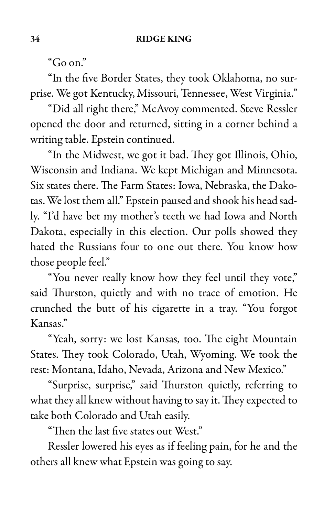"Go on."

"In the five Border States, they took Oklahoma, no surprise. We got Kentucky, Missouri, Tennessee, West Virginia."

"Did all right there," McAvoy commented. Steve Ressler opened the door and returned, sitting in a corner behind a writing table. Epstein continued.

"In the Midwest, we got it bad. They got Illinois, Ohio, Wisconsin and Indiana. We kept Michigan and Minnesota. Six states there. The Farm States: Iowa, Nebraska, the Dakotas. We lost them all." Epstein paused and shook his head sadly. "I'd have bet my mother's teeth we had Iowa and North Dakota, especially in this election. Our polls showed they hated the Russians four to one out there. You know how those people feel."

"You never really know how they feel until they vote," said Thurston, quietly and with no trace of emotion. He crunched the butt of his cigarette in a tray. "You forgot Kansas."

"Yeah, sorry: we lost Kansas, too. The eight Mountain States. They took Colorado, Utah, Wyoming. We took the rest: Montana, Idaho, Nevada, Arizona and New Mexico."

"Surprise, surprise," said Thurston quietly, referring to what they all knew without having to say it. They expected to take both Colorado and Utah easily.

"Then the last five states out West."

Ressler lowered his eyes as if feeling pain, for he and the others all knew what Epstein was going to say.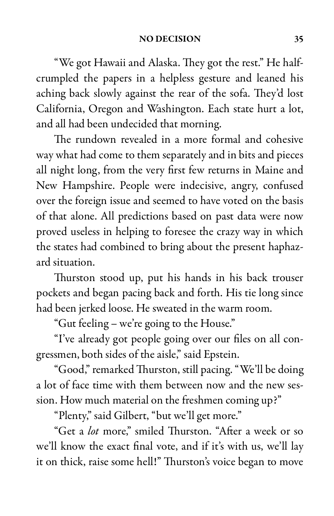"We got Hawaii and Alaska. They got the rest." He halfcrumpled the papers in a helpless gesture and leaned his aching back slowly against the rear of the sofa. They'd lost California, Oregon and Washington. Each state hurt a lot, and all had been undecided that morning.

The rundown revealed in a more formal and cohesive way what had come to them separately and in bits and pieces all night long, from the very first few returns in Maine and New Hampshire. People were indecisive, angry, confused over the foreign issue and seemed to have voted on the basis of that alone. All predictions based on past data were now proved useless in helping to foresee the crazy way in which the states had combined to bring about the present haphazard situation.

Thurston stood up, put his hands in his back trouser pockets and began pacing back and forth. His tie long since had been jerked loose. He sweated in the warm room.

"Gut feeling – we're going to the House."

"I've already got people going over our files on all congressmen, both sides of the aisle," said Epstein.

"Good," remarked Thurston, still pacing. "We'll be doing a lot of face time with them between now and the new session. How much material on the freshmen coming up?"

"Plenty," said Gilbert, "but we'll get more."

"Get a lot more," smiled Thurston. "After a week or so we'll know the exact final vote, and if it's with us, we'll lay it on thick, raise some hell!" Thurston's voice began to move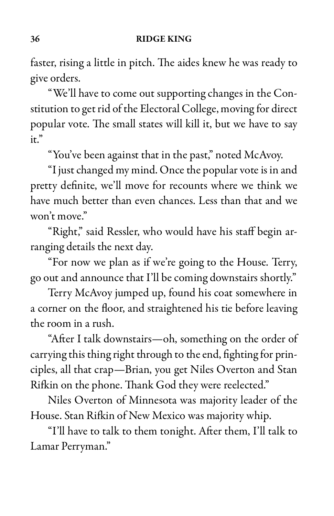faster, rising a little in pitch. The aides knew he was ready to give orders.

"We'll have to come out supporting changes in the Constitution to get rid of the Electoral College, moving for direct popular vote. The small states will kill it, but we have to say it."

"You've been against that in the past," noted McAvoy.

"I just changed my mind. Once the popular vote is in and pretty definite, we'll move for recounts where we think we have much better than even chances. Less than that and we won't move."

"Right," said Ressler, who would have his staff begin arranging details the next day.

"For now we plan as if we're going to the House. Terry, go out and announce that I'll be coming downstairs shortly."

Terry McAvoy jumped up, found his coat somewhere in a corner on the floor, and straightened his tie before leaving the room in a rush.

"After I talk downstairs—oh, something on the order of carrying this thing right through to the end, fighting for principles, all that crap—Brian, you get Niles Overton and Stan Rifkin on the phone. Thank God they were reelected."

Niles Overton of Minnesota was majority leader of the House. Stan Rifkin of New Mexico was majority whip.

"I'll have to talk to them tonight. After them, I'll talk to Lamar Perryman."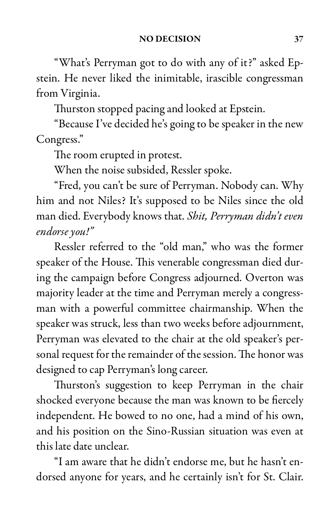"What's Perryman got to do with any of it?" asked Epstein. He never liked the inimitable, irascible congressman from Virginia.

Thurston stopped pacing and looked at Epstein.

"Because I've decided he's going to be speaker in the new Congress."

The room erupted in protest.

When the noise subsided, Ressler spoke.

"Fred, you can't be sure of Perryman. Nobody can. Why him and not Niles? It's supposed to be Niles since the old man died. Everybody knows that. Shit, Perryman didn't even endorse you!"

Ressler referred to the "old man," who was the former speaker of the House. This venerable congressman died during the campaign before Congress adjourned. Overton was majority leader at the time and Perryman merely a congressman with a powerful committee chairmanship. When the speaker was struck, less than two weeks before adjournment, Perryman was elevated to the chair at the old speaker's personal request for the remainder of the session. The honor was designed to cap Perryman's long career.

Thurston's suggestion to keep Perryman in the chair shocked everyone because the man was known to be fiercely independent. He bowed to no one, had a mind of his own, and his position on the Sino-Russian situation was even at this late date unclear.

"I am aware that he didn't endorse me, but he hasn't endorsed anyone for years, and he certainly isn't for St. Clair.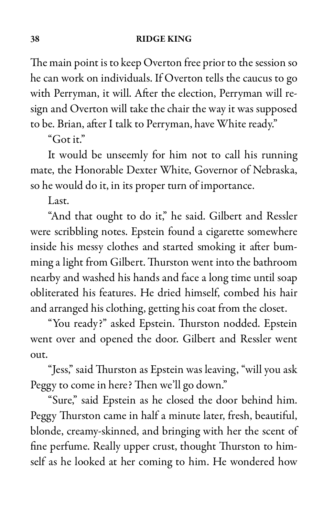The main point is to keep Overton free prior to the session so he can work on individuals. If Overton tells the caucus to go with Perryman, it will. After the election, Perryman will resign and Overton will take the chair the way it was supposed to be. Brian, after I talk to Perryman, have White ready."

"Got it."

It would be unseemly for him not to call his running mate, the Honorable Dexter White, Governor of Nebraska, so he would do it, in its proper turn of importance.

Last.

"And that ought to do it," he said. Gilbert and Ressler were scribbling notes. Epstein found a cigarette somewhere inside his messy clothes and started smoking it after bumming a light from Gilbert. Thurston went into the bathroom nearby and washed his hands and face a long time until soap obliterated his features. He dried himself, combed his hair and arranged his clothing, getting his coat from the closet.

"You ready?" asked Epstein. Thurston nodded. Epstein went over and opened the door. Gilbert and Ressler went out.

"Jess," said Thurston as Epstein was leaving, "will you ask Peggy to come in here? Then we'll go down."

"Sure," said Epstein as he closed the door behind him. Peggy Thurston came in half a minute later, fresh, beautiful, blonde, creamy-skinned, and bringing with her the scent of fine perfume. Really upper crust, thought Thurston to himself as he looked at her coming to him. He wondered how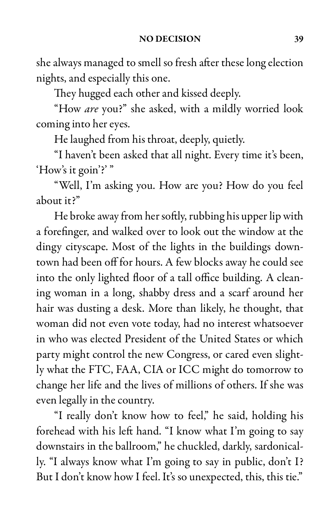she always managed to smell so fresh after these long election nights, and especially this one.

They hugged each other and kissed deeply.

"How are you?" she asked, with a mildly worried look coming into her eyes.

He laughed from his throat, deeply, quietly.

"I haven't been asked that all night. Every time it's been, 'How's it goin'?' "

"Well, I'm asking you. How are you? How do you feel about it?"

He broke away from her softly, rubbing his upper lip with a forefinger, and walked over to look out the window at the dingy cityscape. Most of the lights in the buildings downtown had been off for hours. A few blocks away he could see into the only lighted floor of a tall office building. A cleaning woman in a long, shabby dress and a scarf around her hair was dusting a desk. More than likely, he thought, that woman did not even vote today, had no interest whatsoever in who was elected President of the United States or which party might control the new Congress, or cared even slightly what the FTC, FAA, CIA or ICC might do tomorrow to change her life and the lives of millions of others. If she was even legally in the country.

"I really don't know how to feel," he said, holding his forehead with his left hand. "I know what I'm going to say downstairs in the ballroom," he chuckled, darkly, sardonically. "I always know what I'm going to say in public, don't I? But I don't know how I feel. It's so unexpected, this, this tie."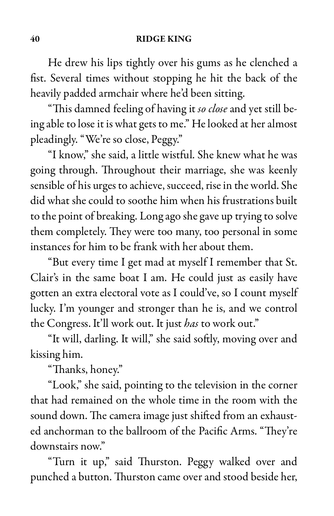He drew his lips tightly over his gums as he clenched a fist. Several times without stopping he hit the back of the heavily padded armchair where he'd been sitting.

"This damned feeling of having it so close and yet still being able to lose it is what gets to me." He looked at her almost pleadingly. "We're so close, Peggy."

"I know," she said, a little wistful. She knew what he was going through. Throughout their marriage, she was keenly sensible of his urges to achieve, succeed, rise in the world. She did what she could to soothe him when his frustrations built to the point of breaking. Long ago she gave up trying to solve them completely. They were too many, too personal in some instances for him to be frank with her about them.

"But every time I get mad at myself I remember that St. Clair's in the same boat I am. He could just as easily have gotten an extra electoral vote as I could've, so I count myself lucky. I'm younger and stronger than he is, and we control the Congress. It'll work out. It just has to work out."

"It will, darling. It will," she said softly, moving over and kissing him.

"Thanks, honey."

"Look," she said, pointing to the television in the corner that had remained on the whole time in the room with the sound down. The camera image just shifted from an exhausted anchorman to the ballroom of the Pacific Arms. "They're downstairs now."

"Turn it up," said Thurston. Peggy walked over and punched a button. Thurston came over and stood beside her,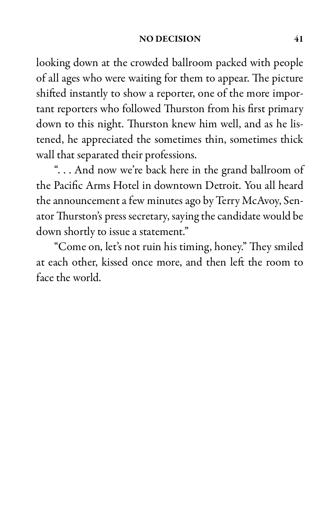looking down at the crowded ballroom packed with people of all ages who were waiting for them to appear. The picture shifted instantly to show a reporter, one of the more important reporters who followed Thurston from his first primary down to this night. Thurston knew him well, and as he listened, he appreciated the sometimes thin, sometimes thick wall that separated their professions.

". . . And now we're back here in the grand ballroom of the Pacific Arms Hotel in downtown Detroit. You all heard the announcement a few minutes ago by Terry McAvoy, Senator Thurston's press secretary, saying the candidate would be down shortly to issue a statement."

"Come on, let's not ruin his timing, honey." They smiled at each other, kissed once more, and then left the room to face the world.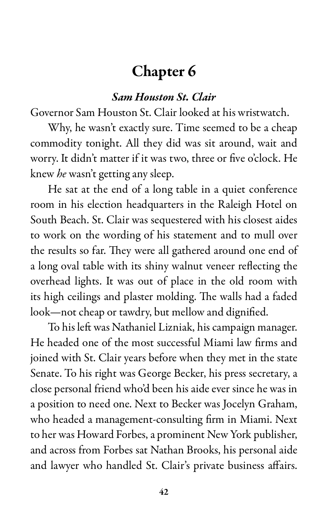# Chapter 6

## Sam Houston St. Clair

Governor Sam Houston St. Clair looked at his wristwatch.

Why, he wasn't exactly sure. Time seemed to be a cheap commodity tonight. All they did was sit around, wait and worry. It didn't matter if it was two, three or five o'clock. He knew *he* wasn't getting any sleep.

He sat at the end of a long table in a quiet conference room in his election headquarters in the Raleigh Hotel on South Beach. St. Clair was sequestered with his closest aides to work on the wording of his statement and to mull over the results so far. They were all gathered around one end of a long oval table with its shiny walnut veneer reflecting the overhead lights. It was out of place in the old room with its high ceilings and plaster molding. The walls had a faded look—not cheap or tawdry, but mellow and dignified.

To his left was Nathaniel Lizniak, his campaign manager. He headed one of the most successful Miami law firms and joined with St. Clair years before when they met in the state Senate. To his right was George Becker, his press secretary, a close personal friend who'd been his aide ever since he was in a position to need one. Next to Becker was Jocelyn Graham, who headed a management-consulting firm in Miami. Next to her was Howard Forbes, a prominent New York publisher, and across from Forbes sat Nathan Brooks, his personal aide and lawyer who handled St. Clair's private business affairs.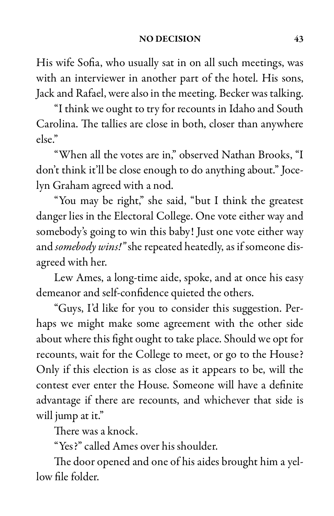His wife Sofia, who usually sat in on all such meetings, was with an interviewer in another part of the hotel. His sons, Jack and Rafael, were also in the meeting. Becker was talking.

"I think we ought to try for recounts in Idaho and South Carolina. The tallies are close in both, closer than anywhere else."

"When all the votes are in," observed Nathan Brooks, "I don't think it'll be close enough to do anything about." Jocelyn Graham agreed with a nod.

"You may be right," she said, "but I think the greatest danger lies in the Electoral College. One vote either way and somebody's going to win this baby! Just one vote either way and somebody wins!" she repeated heatedly, as if someone disagreed with her.

Lew Ames, a long-time aide, spoke, and at once his easy demeanor and self-confidence quieted the others.

"Guys, I'd like for you to consider this suggestion. Perhaps we might make some agreement with the other side about where this fight ought to take place. Should we opt for recounts, wait for the College to meet, or go to the House? Only if this election is as close as it appears to be, will the contest ever enter the House. Someone will have a definite advantage if there are recounts, and whichever that side is will jump at it."

There was a knock.

"Yes?" called Ames over his shoulder.

The door opened and one of his aides brought him a yellow file folder.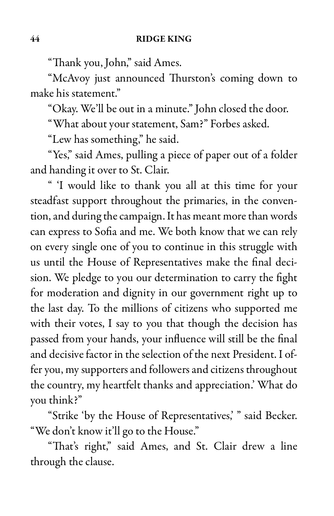"Thank you, John," said Ames.

"McAvoy just announced Thurston's coming down to make his statement."

"Okay. We'll be out in a minute." John closed the door.

"What about your statement, Sam?" Forbes asked.

"Lew has something," he said.

"Yes," said Ames, pulling a piece of paper out of a folder and handing it over to St. Clair.

" 'I would like to thank you all at this time for your steadfast support throughout the primaries, in the convention, and during the campaign. It has meant more than words can express to Sofia and me. We both know that we can rely on every single one of you to continue in this struggle with us until the House of Representatives make the final decision. We pledge to you our determination to carry the fight for moderation and dignity in our government right up to the last day. To the millions of citizens who supported me with their votes, I say to you that though the decision has passed from your hands, your influence will still be the final and decisive factor in the selection of the next President. I offer you, my supporters and followers and citizens throughout the country, my heartfelt thanks and appreciation.' What do you think?"

"Strike 'by the House of Representatives,' " said Becker. "We don't know it'll go to the House."

"That's right," said Ames, and St. Clair drew a line through the clause.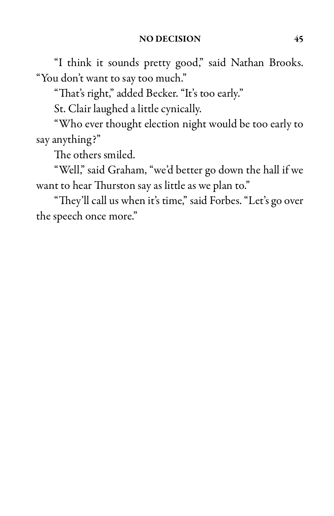"I think it sounds pretty good," said Nathan Brooks. "You don't want to say too much."

"That's right," added Becker. "It's too early."

St. Clair laughed a little cynically.

"Who ever thought election night would be too early to say anything?"

The others smiled.

"Well," said Graham, "we'd better go down the hall if we want to hear Thurston say as little as we plan to."

"They'll call us when it's time," said Forbes. "Let's go over the speech once more."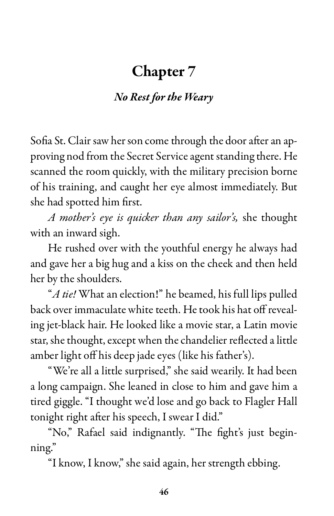# Chapter 7

## No Rest for the Weary

Sofia St. Clair saw her son come through the door after an approving nod from the Secret Service agent standing there. He scanned the room quickly, with the military precision borne of his training, and caught her eye almost immediately. But she had spotted him first.

A mother's eye is quicker than any sailor's, she thought with an inward sigh.

He rushed over with the youthful energy he always had and gave her a big hug and a kiss on the cheek and then held her by the shoulders.

"A tie! What an election!" he beamed, his full lips pulled back over immaculate white teeth. He took his hat off revealing jet-black hair. He looked like a movie star, a Latin movie star, she thought, except when the chandelier reflected a little amber light off his deep jade eyes (like his father's).

"We're all a little surprised," she said wearily. It had been a long campaign. She leaned in close to him and gave him a tired giggle. "I thought we'd lose and go back to Flagler Hall tonight right after his speech, I swear I did."

"No," Rafael said indignantly. "The fight's just beginning."

"I know, I know," she said again, her strength ebbing.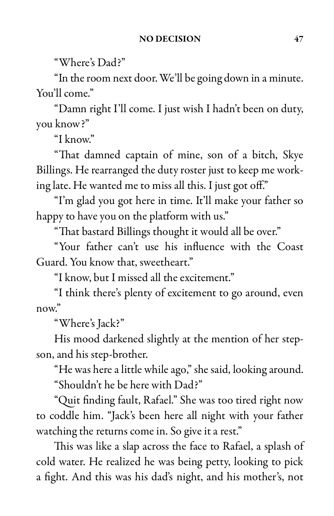"Where's Dad?"

"In the room next door. We'll be going down in a minute. You'll come."

"Damn right I'll come. I just wish I hadn't been on duty, you know?"

"I know."

"That damned captain of mine, son of a bitch, Skye Billings. He rearranged the duty roster just to keep me working late. He wanted me to miss all this. I just got off."

"I'm glad you got here in time. It'll make your father so happy to have you on the platform with us."

"That bastard Billings thought it would all be over."

"Your father can't use his influence with the Coast Guard. You know that, sweetheart."

"I know, but I missed all the excitement."

"I think there's plenty of excitement to go around, even now."

"Where's Jack?"

His mood darkened slightly at the mention of her stepson, and his step-brother.

"He was here a little while ago," she said, looking around.

"Shouldn't he be here with Dad?"

"Quit finding fault, Rafael." She was too tired right now to coddle him. "Jack's been here all night with your father watching the returns come in. So give it a rest."

This was like a slap across the face to Rafael, a splash of cold water. He realized he was being petty, looking to pick a fight. And this was his dad's night, and his mother's, not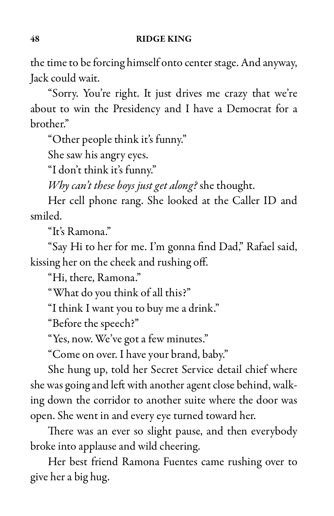the time to be forcing himself onto center stage. And anyway, Jack could wait.

"Sorry. You're right. It just drives me crazy that we're about to win the Presidency and I have a Democrat for a brother."

"Other people think it's funny."

She saw his angry eyes.

"I don't think it's funny."

Why can't these boys just get along? she thought.

Her cell phone rang. She looked at the Caller ID and smiled.

"It's Ramona."

"Say Hi to her for me. I'm gonna find Dad," Rafael said, kissing her on the cheek and rushing off.

"Hi, there, Ramona."

"What do you think of all this?"

"I think I want you to buy me a drink."

"Before the speech?"

"Yes, now. We've got a few minutes."

"Come on over. I have your brand, baby."

She hung up, told her Secret Service detail chief where she was going and left with another agent close behind, walking down the corridor to another suite where the door was open. She went in and every eye turned toward her.

There was an ever so slight pause, and then everybody broke into applause and wild cheering.

Her best friend Ramona Fuentes came rushing over to give her a big hug.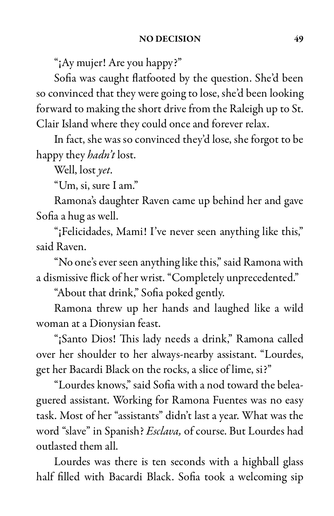"¡Ay mujer! Are you happy?"

Sofia was caught flatfooted by the question. She'd been so convinced that they were going to lose, she'd been looking forward to making the short drive from the Raleigh up to St. Clair Island where they could once and forever relax.

In fact, she was so convinced they'd lose, she forgot to be happy they *hadn't* lost.

Well, lost yet.

"Um, si, sure I am."

Ramona's daughter Raven came up behind her and gave Sofia a hug as well.

"¡Felicidades, Mami! I've never seen anything like this," said Raven.

"No one's ever seen anything like this," said Ramona with a dismissive flick of her wrist. "Completely unprecedented."

"About that drink," Sofia poked gently.

Ramona threw up her hands and laughed like a wild woman at a Dionysian feast.

"¡Santo Dios! This lady needs a drink," Ramona called over her shoulder to her always-nearby assistant. "Lourdes, get her Bacardi Black on the rocks, a slice of lime, si?"

"Lourdes knows," said Sofia with a nod toward the beleaguered assistant. Working for Ramona Fuentes was no easy task. Most of her "assistants" didn't last a year. What was the word "slave" in Spanish? Esclava, of course. But Lourdes had outlasted them all.

Lourdes was there is ten seconds with a highball glass half filled with Bacardi Black. Sofia took a welcoming sip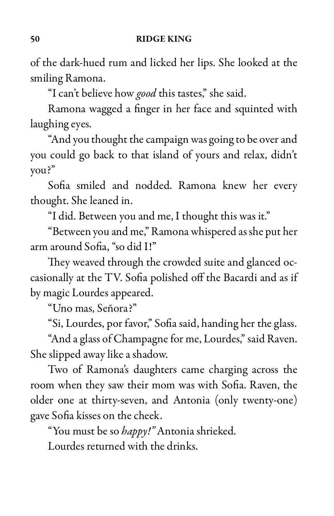of the dark-hued rum and licked her lips. She looked at the smiling Ramona.

"I can't believe how good this tastes," she said.

Ramona wagged a finger in her face and squinted with laughing eyes.

"And you thought the campaign was going to be over and you could go back to that island of yours and relax, didn't you?"

Sofia smiled and nodded. Ramona knew her every thought. She leaned in.

"I did. Between you and me, I thought this was it."

"Between you and me," Ramona whispered as she put her arm around Sofia, "so did I!"

They weaved through the crowded suite and glanced occasionally at the TV. Sofia polished off the Bacardi and as if by magic Lourdes appeared.

"Uno mas, Señora?"

"Si, Lourdes, por favor," Sofia said, handing her the glass.

"And a glass of Champagne for me, Lourdes," said Raven. She slipped away like a shadow.

Two of Ramona's daughters came charging across the room when they saw their mom was with Sofia. Raven, the older one at thirty-seven, and Antonia (only twenty-one) gave Sofia kisses on the cheek.

"You must be so happy!" Antonia shrieked.

Lourdes returned with the drinks.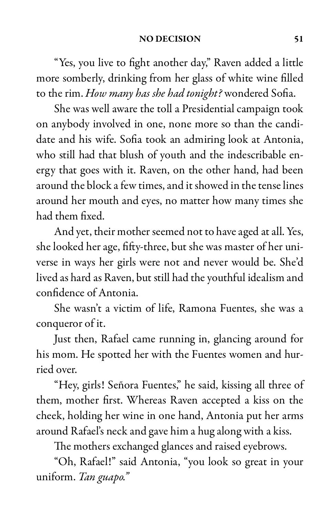"Yes, you live to fight another day," Raven added a little more somberly, drinking from her glass of white wine filled to the rim. How many has she had tonight? wondered Sofia.

She was well aware the toll a Presidential campaign took on anybody involved in one, none more so than the candidate and his wife. Sofia took an admiring look at Antonia, who still had that blush of youth and the indescribable energy that goes with it. Raven, on the other hand, had been around the block a few times, and it showed in the tense lines around her mouth and eyes, no matter how many times she had them fixed.

And yet, their mother seemed not to have aged at all. Yes, she looked her age, fifty-three, but she was master of her universe in ways her girls were not and never would be. She'd lived as hard as Raven, but still had the youthful idealism and confidence of Antonia.

She wasn't a victim of life, Ramona Fuentes, she was a conqueror of it.

Just then, Rafael came running in, glancing around for his mom. He spotted her with the Fuentes women and hurried over.

"Hey, girls! Señora Fuentes," he said, kissing all three of them, mother first. Whereas Raven accepted a kiss on the cheek, holding her wine in one hand, Antonia put her arms around Rafael's neck and gave him a hug along with a kiss.

The mothers exchanged glances and raised eyebrows.

"Oh, Rafael!" said Antonia, "you look so great in your uniform. Tan guapo."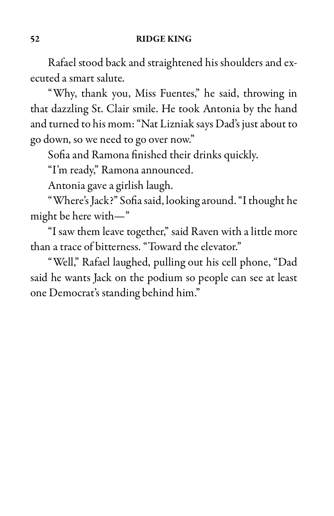Rafael stood back and straightened his shoulders and executed a smart salute.

"Why, thank you, Miss Fuentes," he said, throwing in that dazzling St. Clair smile. He took Antonia by the hand and turned to his mom: "Nat Lizniak says Dad's just about to go down, so we need to go over now."

Sofia and Ramona finished their drinks quickly.

"I'm ready," Ramona announced.

Antonia gave a girlish laugh.

"Where's Jack?" Sofia said, looking around. "I thought he might be here with—"

"I saw them leave together," said Raven with a little more than a trace of bitterness. "Toward the elevator."

"Well," Rafael laughed, pulling out his cell phone, "Dad said he wants Jack on the podium so people can see at least one Democrat's standing behind him."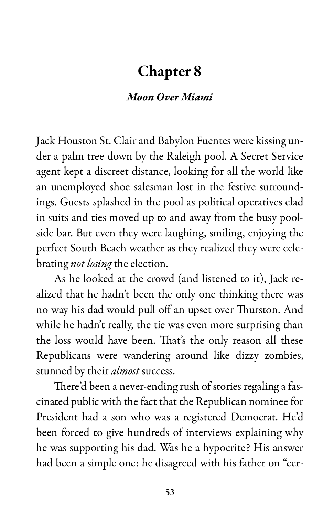# Chapter 8

## Moon Over Miami

Jack Houston St. Clair and Babylon Fuentes were kissing under a palm tree down by the Raleigh pool. A Secret Service agent kept a discreet distance, looking for all the world like an unemployed shoe salesman lost in the festive surroundings. Guests splashed in the pool as political operatives clad in suits and ties moved up to and away from the busy poolside bar. But even they were laughing, smiling, enjoying the perfect South Beach weather as they realized they were celebrating *not losing* the election.

As he looked at the crowd (and listened to it), Jack realized that he hadn't been the only one thinking there was no way his dad would pull off an upset over Thurston. And while he hadn't really, the tie was even more surprising than the loss would have been. That's the only reason all these Republicans were wandering around like dizzy zombies, stunned by their *almost* success.

There'd been a never-ending rush of stories regaling a fascinated public with the fact that the Republican nominee for President had a son who was a registered Democrat. He'd been forced to give hundreds of interviews explaining why he was supporting his dad. Was he a hypocrite? His answer had been a simple one: he disagreed with his father on "cer-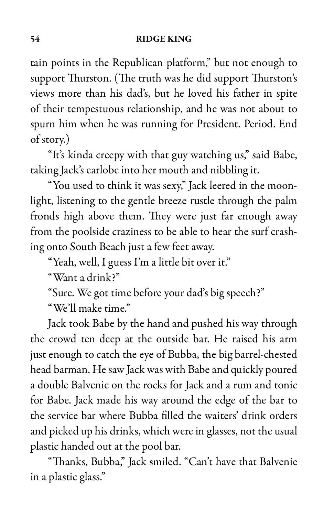tain points in the Republican platform," but not enough to support Thurston. (The truth was he did support Thurston's views more than his dad's, but he loved his father in spite of their tempestuous relationship, and he was not about to spurn him when he was running for President. Period. End of story.)

"It's kinda creepy with that guy watching us," said Babe, taking Jack's earlobe into her mouth and nibbling it.

"You used to think it was sexy," Jack leered in the moonlight, listening to the gentle breeze rustle through the palm fronds high above them. They were just far enough away from the poolside craziness to be able to hear the surf crashing onto South Beach just a few feet away.

"Yeah, well, I guess I'm a little bit over it."

"Want a drink?"

"Sure. We got time before your dad's big speech?" "We'll make time."

Jack took Babe by the hand and pushed his way through the crowd ten deep at the outside bar. He raised his arm just enough to catch the eye of Bubba, the big barrel-chested head barman. He saw Jack was with Babe and quickly poured a double Balvenie on the rocks for Jack and a rum and tonic for Babe. Jack made his way around the edge of the bar to the service bar where Bubba filled the waiters' drink orders and picked up his drinks, which were in glasses, not the usual plastic handed out at the pool bar.

"Thanks, Bubba," Jack smiled. "Can't have that Balvenie in a plastic glass."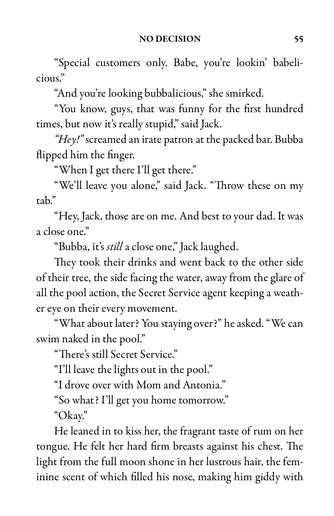"Special customers only. Babe, you're lookin' babelicious."

"And you're looking bubbalicious," she smirked.

"You know, guys, that was funny for the first hundred times, but now it's really stupid," said Jack.

"Hey!" screamed an irate patron at the packed bar. Bubba flipped him the finger.

"When I get there I'll get there."

"We'll leave you alone," said Jack. "Throw these on my tab."

"Hey, Jack, those are on me. And best to your dad. It was a close one."

"Bubba, it's still a close one," Jack laughed.

They took their drinks and went back to the other side of their tree, the side facing the water, away from the glare of all the pool action, the Secret Service agent keeping a weather eye on their every movement.

"What about later? You staying over?" he asked. "We can swim naked in the pool."

"There's still Secret Service."

"I'll leave the lights out in the pool."

"I drove over with Mom and Antonia."

"So what? I'll get you home tomorrow."

"Okay."

He leaned in to kiss her, the fragrant taste of rum on her tongue. He felt her hard firm breasts against his chest. The light from the full moon shone in her lustrous hair, the feminine scent of which filled his nose, making him giddy with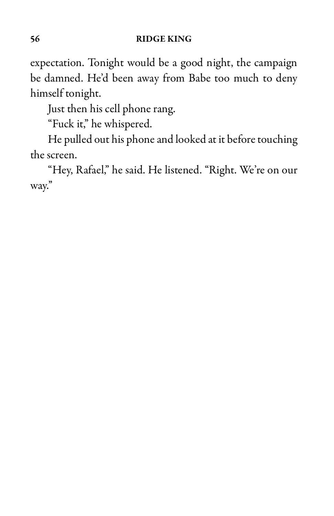expectation. Tonight would be a good night, the campaign be damned. He'd been away from Babe too much to deny himself tonight.

Just then his cell phone rang.

"Fuck it," he whispered.

He pulled out his phone and looked at it before touching the screen.

"Hey, Rafael," he said. He listened. "Right. We're on our way."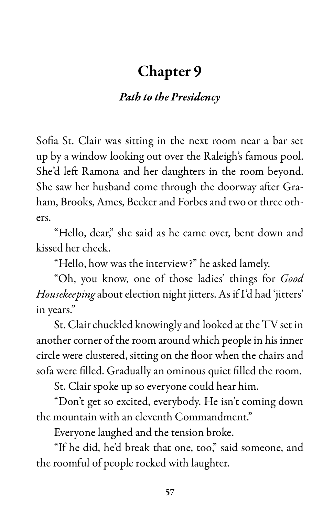# Chapter 9

## Path to the Presidency

Sofia St. Clair was sitting in the next room near a bar set up by a window looking out over the Raleigh's famous pool. She'd left Ramona and her daughters in the room beyond. She saw her husband come through the doorway after Graham, Brooks, Ames, Becker and Forbes and two or three others.

"Hello, dear," she said as he came over, bent down and kissed her cheek.

"Hello, how was the interview?" he asked lamely.

"Oh, you know, one of those ladies' things for Good Housekeeping about election night jitters. As if I'd had 'jitters' in years."

St. Clair chuckled knowingly and looked at the TV set in another corner of the room around which people in his inner circle were clustered, sitting on the floor when the chairs and sofa were filled. Gradually an ominous quiet filled the room.

St. Clair spoke up so everyone could hear him.

"Don't get so excited, everybody. He isn't coming down the mountain with an eleventh Commandment."

Everyone laughed and the tension broke.

"If he did, he'd break that one, too," said someone, and the roomful of people rocked with laughter.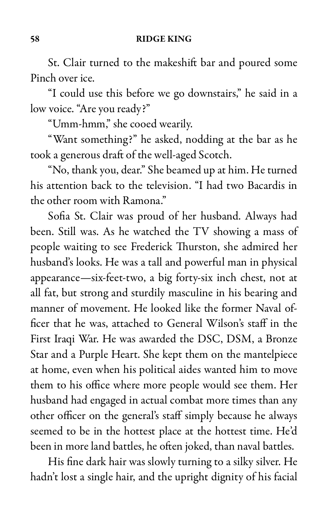St. Clair turned to the makeshift bar and poured some Pinch over ice.

"I could use this before we go downstairs," he said in a low voice. "Are you ready?"

"Umm-hmm," she cooed wearily.

"Want something?" he asked, nodding at the bar as he took a generous draft of the well-aged Scotch.

"No, thank you, dear." She beamed up at him. He turned his attention back to the television. "I had two Bacardis in the other room with Ramona."

Sofia St. Clair was proud of her husband. Always had been. Still was. As he watched the TV showing a mass of people waiting to see Frederick Thurston, she admired her husband's looks. He was a tall and powerful man in physical appearance—six-feet-two, a big forty-six inch chest, not at all fat, but strong and sturdily masculine in his bearing and manner of movement. He looked like the former Naval officer that he was, attached to General Wilson's staff in the First Iraqi War. He was awarded the DSC, DSM, a Bronze Star and a Purple Heart. She kept them on the mantelpiece at home, even when his political aides wanted him to move them to his office where more people would see them. Her husband had engaged in actual combat more times than any other officer on the general's staff simply because he always seemed to be in the hottest place at the hottest time. He'd been in more land battles, he often joked, than naval battles.

His fine dark hair was slowly turning to a silky silver. He hadn't lost a single hair, and the upright dignity of his facial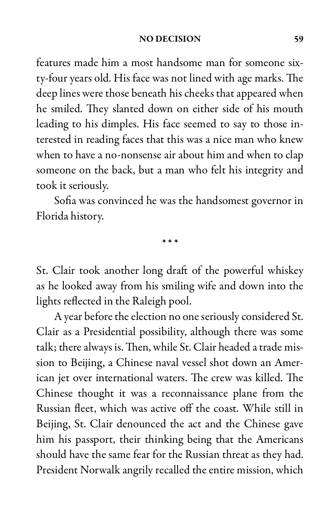features made him a most handsome man for someone sixty-four years old. His face was not lined with age marks. The deep lines were those beneath his cheeks that appeared when he smiled. They slanted down on either side of his mouth leading to his dimples. His face seemed to say to those interested in reading faces that this was a nice man who knew when to have a no-nonsense air about him and when to clap someone on the back, but a man who felt his integrity and took it seriously.

Sofia was convinced he was the handsomest governor in Florida history.

\* \* \*

St. Clair took another long draft of the powerful whiskey as he looked away from his smiling wife and down into the lights reflected in the Raleigh pool.

A year before the election no one seriously considered St. Clair as a Presidential possibility, although there was some talk; there always is. Then, while St. Clair headed a trade mission to Beijing, a Chinese naval vessel shot down an American jet over international waters. The crew was killed. The Chinese thought it was a reconnaissance plane from the Russian fleet, which was active off the coast. While still in Beijing, St. Clair denounced the act and the Chinese gave him his passport, their thinking being that the Americans should have the same fear for the Russian threat as they had. President Norwalk angrily recalled the entire mission, which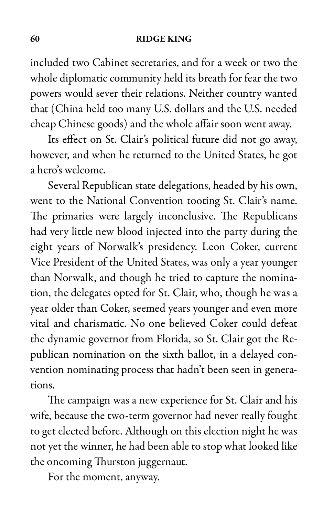included two Cabinet secretaries, and for a week or two the whole diplomatic community held its breath for fear the two powers would sever their relations. Neither country wanted that (China held too many U.S. dollars and the U.S. needed cheap Chinese goods) and the whole affair soon went away.

Its effect on St. Clair's political future did not go away, however, and when he returned to the United States, he got a hero's welcome.

Several Republican state delegations, headed by his own, went to the National Convention tooting St. Clair's name. The primaries were largely inconclusive. The Republicans had very little new blood injected into the party during the eight years of Norwalk's presidency. Leon Coker, current Vice President of the United States, was only a year younger than Norwalk, and though he tried to capture the nomination, the delegates opted for St. Clair, who, though he was a year older than Coker, seemed years younger and even more vital and charismatic. No one believed Coker could defeat the dynamic governor from Florida, so St. Clair got the Republican nomination on the sixth ballot, in a delayed convention nominating process that hadn't been seen in generations.

The campaign was a new experience for St. Clair and his wife, because the two-term governor had never really fought to get elected before. Although on this election night he was not yet the winner, he had been able to stop what looked like the oncoming Thurston juggernaut.

For the moment, anyway.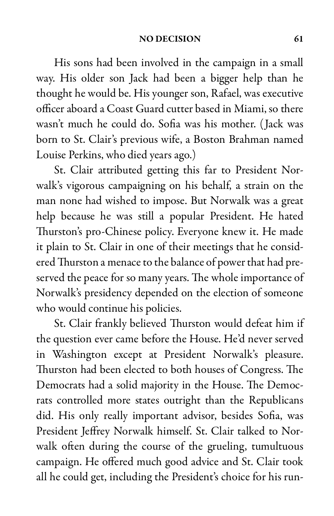His sons had been involved in the campaign in a small way. His older son Jack had been a bigger help than he thought he would be. His younger son, Rafael, was executive officer aboard a Coast Guard cutter based in Miami, so there wasn't much he could do. Sofia was his mother. (Jack was born to St. Clair's previous wife, a Boston Brahman named Louise Perkins, who died years ago.)

St. Clair attributed getting this far to President Norwalk's vigorous campaigning on his behalf, a strain on the man none had wished to impose. But Norwalk was a great help because he was still a popular President. He hated Thurston's pro-Chinese policy. Everyone knew it. He made it plain to St. Clair in one of their meetings that he considered Thurston a menace to the balance of power that had preserved the peace for so many years. The whole importance of Norwalk's presidency depended on the election of someone who would continue his policies.

St. Clair frankly believed Thurston would defeat him if the question ever came before the House. He'd never served in Washington except at President Norwalk's pleasure. Thurston had been elected to both houses of Congress. The Democrats had a solid majority in the House. The Democrats controlled more states outright than the Republicans did. His only really important advisor, besides Sofia, was President Jeffrey Norwalk himself. St. Clair talked to Norwalk often during the course of the grueling, tumultuous campaign. He offered much good advice and St. Clair took all he could get, including the President's choice for his run-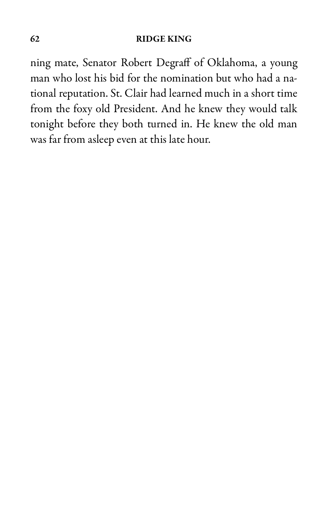ning mate, Senator Robert Degraff of Oklahoma, a young man who lost his bid for the nomination but who had a national reputation. St. Clair had learned much in a short time from the foxy old President. And he knew they would talk tonight before they both turned in. He knew the old man was far from asleep even at this late hour.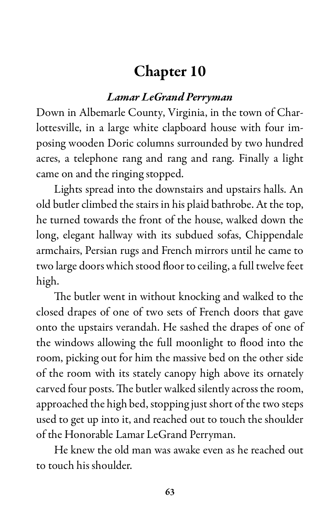# Chapter 10

## Lamar LeGrand Perryman

Down in Albemarle County, Virginia, in the town of Charlottesville, in a large white clapboard house with four imposing wooden Doric columns surrounded by two hundred acres, a telephone rang and rang and rang. Finally a light came on and the ringing stopped.

Lights spread into the downstairs and upstairs halls. An old butler climbed the stairs in his plaid bathrobe. At the top, he turned towards the front of the house, walked down the long, elegant hallway with its subdued sofas, Chippendale armchairs, Persian rugs and French mirrors until he came to two large doors which stood floor to ceiling, a full twelve feet high.

The butler went in without knocking and walked to the closed drapes of one of two sets of French doors that gave onto the upstairs verandah. He sashed the drapes of one of the windows allowing the full moonlight to flood into the room, picking out for him the massive bed on the other side of the room with its stately canopy high above its ornately carved four posts. The butler walked silently across the room, approached the high bed, stopping just short of the two steps used to get up into it, and reached out to touch the shoulder of the Honorable Lamar LeGrand Perryman.

He knew the old man was awake even as he reached out to touch his shoulder.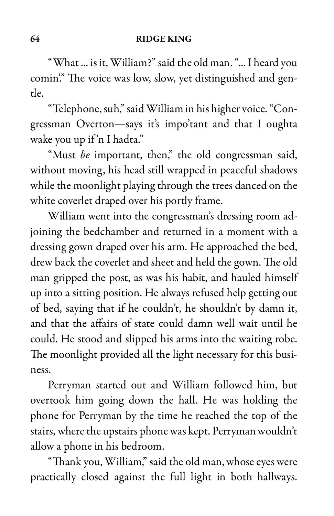"What ... is it, William?" said the old man. "... I heard you comin'." The voice was low, slow, yet distinguished and gentle.

"Telephone, suh," said William in his higher voice. "Congressman Overton—says it's impo'tant and that I oughta wake you up if 'n I hadta."

"Must be important, then," the old congressman said, without moving, his head still wrapped in peaceful shadows while the moonlight playing through the trees danced on the white coverlet draped over his portly frame.

William went into the congressman's dressing room adjoining the bedchamber and returned in a moment with a dressing gown draped over his arm. He approached the bed, drew back the coverlet and sheet and held the gown. The old man gripped the post, as was his habit, and hauled himself up into a sitting position. He always refused help getting out of bed, saying that if he couldn't, he shouldn't by damn it, and that the affairs of state could damn well wait until he could. He stood and slipped his arms into the waiting robe. The moonlight provided all the light necessary for this business.

Perryman started out and William followed him, but overtook him going down the hall. He was holding the phone for Perryman by the time he reached the top of the stairs, where the upstairs phone was kept. Perryman wouldn't allow a phone in his bedroom.

"Thank you, William," said the old man, whose eyes were practically closed against the full light in both hallways.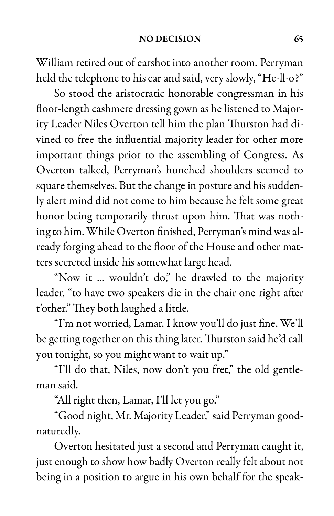William retired out of earshot into another room. Perryman held the telephone to his ear and said, very slowly, "He-ll-o?"

So stood the aristocratic honorable congressman in his floor-length cashmere dressing gown as he listened to Majority Leader Niles Overton tell him the plan Thurston had divined to free the influential majority leader for other more important things prior to the assembling of Congress. As Overton talked, Perryman's hunched shoulders seemed to square themselves. But the change in posture and his suddenly alert mind did not come to him because he felt some great honor being temporarily thrust upon him. That was nothing to him. While Overton finished, Perryman's mind was already forging ahead to the floor of the House and other matters secreted inside his somewhat large head.

"Now it ... wouldn't do," he drawled to the majority leader, "to have two speakers die in the chair one right after t'other." They both laughed a little.

"I'm not worried, Lamar. I know you'll do just fine. We'll be getting together on this thing later. Thurston said he'd call you tonight, so you might want to wait up."

"I'll do that, Niles, now don't you fret," the old gentleman said.

"All right then, Lamar, I'll let you go."

"Good night, Mr. Majority Leader," said Perryman goodnaturedly.

Overton hesitated just a second and Perryman caught it, just enough to show how badly Overton really felt about not being in a position to argue in his own behalf for the speak-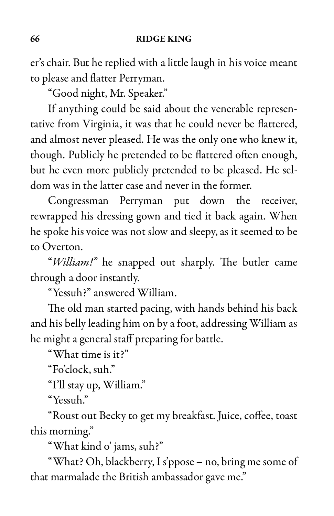er's chair. But he replied with a little laugh in his voice meant to please and flatter Perryman.

"Good night, Mr. Speaker."

If anything could be said about the venerable representative from Virginia, it was that he could never be flattered, and almost never pleased. He was the only one who knew it, though. Publicly he pretended to be flattered often enough, but he even more publicly pretended to be pleased. He seldom was in the latter case and never in the former.

Congressman Perryman put down the receiver, rewrapped his dressing gown and tied it back again. When he spoke his voice was not slow and sleepy, as it seemed to be to Overton.

"William!" he snapped out sharply. The butler came through a door instantly.

"Yessuh?" answered William.

The old man started pacing, with hands behind his back and his belly leading him on by a foot, addressing William as he might a general staff preparing for battle.

"What time is it?"

"Fo'clock, suh."

"I'll stay up, William."

"Yessuh."

"Roust out Becky to get my breakfast. Juice, coffee, toast this morning."

"What kind o' jams, suh?"

"What? Oh, blackberry, I s'ppose – no, bring me some of that marmalade the British ambassador gave me."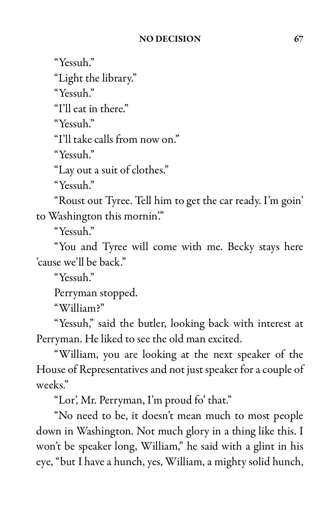"Yessuh."

"Light the library."

"Yessuh."

"I'll eat in there."

"Yessuh."

"I'll take calls from now on."

"Yessuh."

"Lay out a suit of clothes."

"Yessuh."

"Roust out Tyree. Tell him to get the car ready. I'm goin' to Washington this mornin'."

"Yessuh."

"You and Tyree will come with me. Becky stays here 'cause we'll be back."

"Yessuh."

Perryman stopped.

"William?"

"Yessuh," said the butler, looking back with interest at Perryman. He liked to see the old man excited.

"William, you are looking at the next speaker of the House of Representatives and not just speaker for a couple of weeks."

"Lor', Mr. Perryman, I'm proud fo' that."

"No need to be, it doesn't mean much to most people down in Washington. Not much glory in a thing like this. I won't be speaker long, William," he said with a glint in his eye, "but I have a hunch, yes, William, a mighty solid hunch,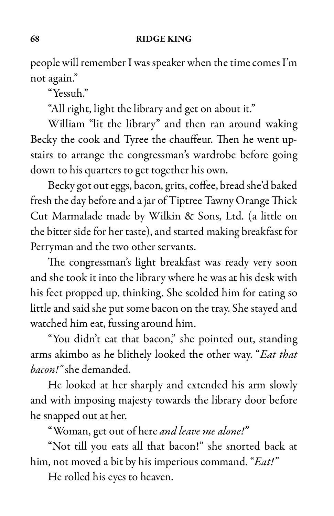people will remember I was speaker when the time comes I'm not again."

"Yessuh."

"All right, light the library and get on about it."

William "lit the library" and then ran around waking Becky the cook and Tyree the chauffeur. Then he went upstairs to arrange the congressman's wardrobe before going down to his quarters to get together his own.

Becky got out eggs, bacon, grits, coffee, bread she'd baked fresh the day before and a jar of Tiptree Tawny Orange Thick Cut Marmalade made by Wilkin & Sons, Ltd. (a little on the bitter side for her taste), and started making breakfast for Perryman and the two other servants.

The congressman's light breakfast was ready very soon and she took it into the library where he was at his desk with his feet propped up, thinking. She scolded him for eating so little and said she put some bacon on the tray. She stayed and watched him eat, fussing around him.

"You didn't eat that bacon," she pointed out, standing arms akimbo as he blithely looked the other way. "Eat that bacon!" she demanded.

He looked at her sharply and extended his arm slowly and with imposing majesty towards the library door before he snapped out at her.

"Woman, get out of here *and leave me alone!*"

"Not till you eats all that bacon!" she snorted back at him, not moved a bit by his imperious command. "Eat!"

He rolled his eyes to heaven.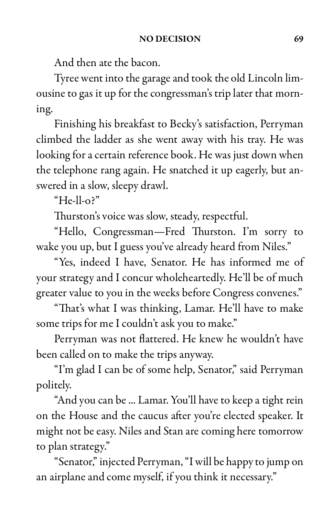And then ate the bacon.

Tyree went into the garage and took the old Lincoln limousine to gas it up for the congressman's trip later that morning.

Finishing his breakfast to Becky's satisfaction, Perryman climbed the ladder as she went away with his tray. He was looking for a certain reference book. He was just down when the telephone rang again. He snatched it up eagerly, but answered in a slow, sleepy drawl.

"He-ll- $o$ <sup>"</sup>

Thurston's voice was slow, steady, respectful.

"Hello, Congressman—Fred Thurston. I'm sorry to wake you up, but I guess you've already heard from Niles."

"Yes, indeed I have, Senator. He has informed me of your strategy and I concur wholeheartedly. He'll be of much greater value to you in the weeks before Congress convenes."

"That's what I was thinking, Lamar. He'll have to make some trips for me I couldn't ask you to make."

Perryman was not flattered. He knew he wouldn't have been called on to make the trips anyway.

"I'm glad I can be of some help, Senator," said Perryman politely.

"And you can be ... Lamar. You'll have to keep a tight rein on the House and the caucus after you're elected speaker. It might not be easy. Niles and Stan are coming here tomorrow to plan strategy."

"Senator," injected Perryman, "I will be happy to jump on an airplane and come myself, if you think it necessary."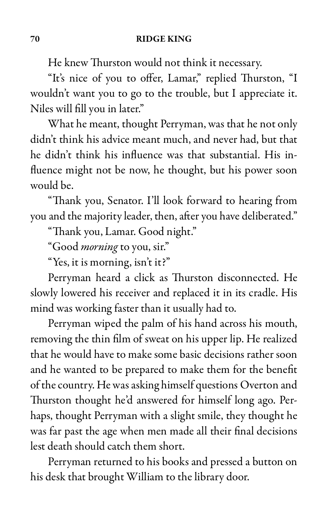He knew Thurston would not think it necessary.

"It's nice of you to offer, Lamar," replied Thurston, "I wouldn't want you to go to the trouble, but I appreciate it. Niles will fill you in later."

What he meant, thought Perryman, was that he not only didn't think his advice meant much, and never had, but that he didn't think his influence was that substantial. His influence might not be now, he thought, but his power soon would be.

"Thank you, Senator. I'll look forward to hearing from you and the majority leader, then, after you have deliberated."

"Thank you, Lamar. Good night."

"Good *morning* to you, sir."

"Yes, it is morning, isn't it?"

Perryman heard a click as Thurston disconnected. He slowly lowered his receiver and replaced it in its cradle. His mind was working faster than it usually had to.

Perryman wiped the palm of his hand across his mouth, removing the thin film of sweat on his upper lip. He realized that he would have to make some basic decisions rather soon and he wanted to be prepared to make them for the benefit of the country. He was asking himself questions Overton and Thurston thought he'd answered for himself long ago. Perhaps, thought Perryman with a slight smile, they thought he was far past the age when men made all their final decisions lest death should catch them short.

Perryman returned to his books and pressed a button on his desk that brought William to the library door.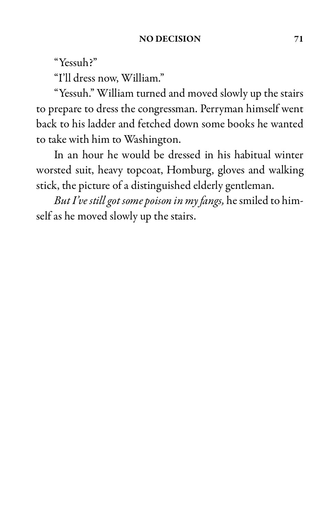"Yessuh?"

"I'll dress now, William."

"Yessuh." William turned and moved slowly up the stairs to prepare to dress the congressman. Perryman himself went back to his ladder and fetched down some books he wanted to take with him to Washington.

In an hour he would be dressed in his habitual winter worsted suit, heavy topcoat, Homburg, gloves and walking stick, the picture of a distinguished elderly gentleman.

But I've still got some poison in my fangs, he smiled to himself as he moved slowly up the stairs.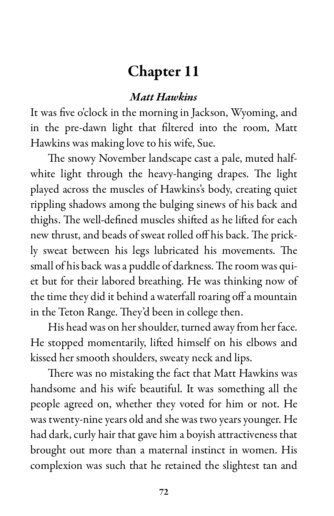# Chapter 11

## Matt Hawkins

It was five o'clock in the morning in Jackson, Wyoming, and in the pre-dawn light that filtered into the room, Matt Hawkins was making love to his wife, Sue.

The snowy November landscape cast a pale, muted halfwhite light through the heavy-hanging drapes. The light played across the muscles of Hawkins's body, creating quiet rippling shadows among the bulging sinews of his back and thighs. The well-defined muscles shifted as he lifted for each new thrust, and beads of sweat rolled off his back. The prickly sweat between his legs lubricated his movements. The small of his back was a puddle of darkness. The room was quiet but for their labored breathing. He was thinking now of the time they did it behind a waterfall roaring off a mountain in the Teton Range. They'd been in college then.

His head was on her shoulder, turned away from her face. He stopped momentarily, lifted himself on his elbows and kissed her smooth shoulders, sweaty neck and lips.

There was no mistaking the fact that Matt Hawkins was handsome and his wife beautiful. It was something all the people agreed on, whether they voted for him or not. He was twenty-nine years old and she was two years younger. He had dark, curly hair that gave him a boyish attractiveness that brought out more than a maternal instinct in women. His complexion was such that he retained the slightest tan and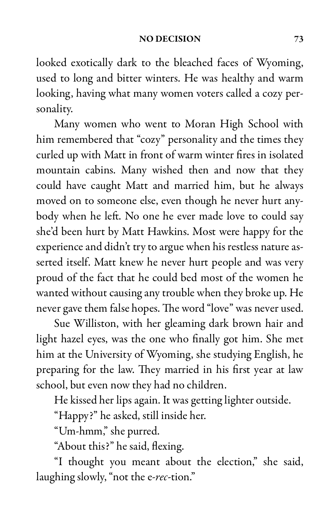#### NO DECISION 73

looked exotically dark to the bleached faces of Wyoming, used to long and bitter winters. He was healthy and warm looking, having what many women voters called a cozy personality.

Many women who went to Moran High School with him remembered that "cozy" personality and the times they curled up with Matt in front of warm winter fires in isolated mountain cabins. Many wished then and now that they could have caught Matt and married him, but he always moved on to someone else, even though he never hurt anybody when he left. No one he ever made love to could say she'd been hurt by Matt Hawkins. Most were happy for the experience and didn't try to argue when his restless nature asserted itself. Matt knew he never hurt people and was very proud of the fact that he could bed most of the women he wanted without causing any trouble when they broke up. He never gave them false hopes. The word "love" was never used.

Sue Williston, with her gleaming dark brown hair and light hazel eyes, was the one who finally got him. She met him at the University of Wyoming, she studying English, he preparing for the law. They married in his first year at law school, but even now they had no children.

He kissed her lips again. It was getting lighter outside.

"Happy?" he asked, still inside her.

"Um-hmm," she purred.

"About this?" he said, flexing.

"I thought you meant about the election," she said, laughing slowly, "not the e-rec-tion."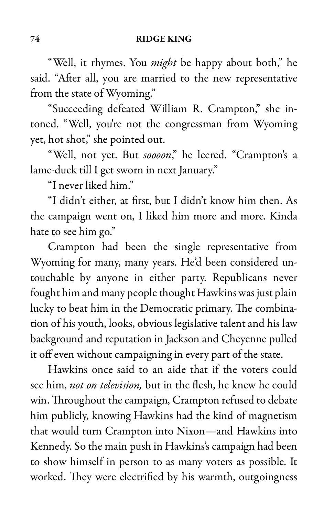"Well, it rhymes. You *might* be happy about both," he said. "After all, you are married to the new representative from the state of Wyoming."

"Succeeding defeated William R. Crampton," she intoned. "Well, you're not the congressman from Wyoming yet, hot shot," she pointed out.

"Well, not yet. But soooon," he leered. "Crampton's a lame-duck till I get sworn in next January."

"I never liked him."

"I didn't either, at first, but I didn't know him then. As the campaign went on, I liked him more and more. Kinda hate to see him go."

Crampton had been the single representative from Wyoming for many, many years. He'd been considered untouchable by anyone in either party. Republicans never fought him and many people thought Hawkins was just plain lucky to beat him in the Democratic primary. The combination of his youth, looks, obvious legislative talent and his law background and reputation in Jackson and Cheyenne pulled it off even without campaigning in every part of the state.

Hawkins once said to an aide that if the voters could see him, not on television, but in the flesh, he knew he could win. Throughout the campaign, Crampton refused to debate him publicly, knowing Hawkins had the kind of magnetism that would turn Crampton into Nixon—and Hawkins into Kennedy. So the main push in Hawkins's campaign had been to show himself in person to as many voters as possible. It worked. They were electrified by his warmth, outgoingness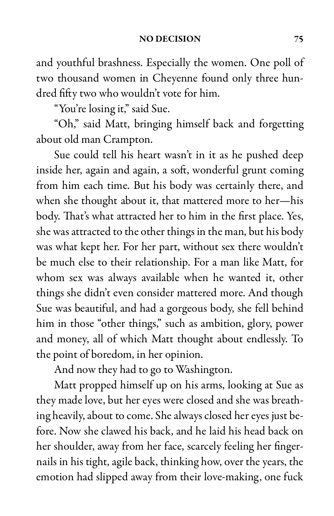#### NO DECISION 75

and youthful brashness. Especially the women. One poll of two thousand women in Cheyenne found only three hundred fifty two who wouldn't vote for him.

"You're losing it," said Sue.

"Oh," said Matt, bringing himself back and forgetting about old man Crampton.

Sue could tell his heart wasn't in it as he pushed deep inside her, again and again, a soft, wonderful grunt coming from him each time. But his body was certainly there, and when she thought about it, that mattered more to her—his body. That's what attracted her to him in the first place. Yes, she was attracted to the other things in the man, but his body was what kept her. For her part, without sex there wouldn't be much else to their relationship. For a man like Matt, for whom sex was always available when he wanted it, other things she didn't even consider mattered more. And though Sue was beautiful, and had a gorgeous body, she fell behind him in those "other things," such as ambition, glory, power and money, all of which Matt thought about endlessly. To the point of boredom, in her opinion.

And now they had to go to Washington.

Matt propped himself up on his arms, looking at Sue as they made love, but her eyes were closed and she was breathing heavily, about to come. She always closed her eyes just before. Now she clawed his back, and he laid his head back on her shoulder, away from her face, scarcely feeling her fingernails in his tight, agile back, thinking how, over the years, the emotion had slipped away from their love-making, one fuck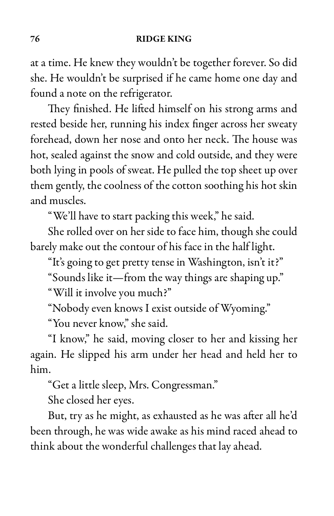at a time. He knew they wouldn't be together forever. So did she. He wouldn't be surprised if he came home one day and found a note on the refrigerator.

They finished. He lifted himself on his strong arms and rested beside her, running his index finger across her sweaty forehead, down her nose and onto her neck. The house was hot, sealed against the snow and cold outside, and they were both lying in pools of sweat. He pulled the top sheet up over them gently, the coolness of the cotton soothing his hot skin and muscles.

"We'll have to start packing this week," he said.

She rolled over on her side to face him, though she could barely make out the contour of his face in the half light.

"It's going to get pretty tense in Washington, isn't it?"

"Sounds like it—from the way things are shaping up."

"Will it involve you much?"

"Nobody even knows I exist outside of Wyoming."

"You never know," she said.

"I know," he said, moving closer to her and kissing her again. He slipped his arm under her head and held her to him.

"Get a little sleep, Mrs. Congressman."

She closed her eyes.

But, try as he might, as exhausted as he was after all he'd been through, he was wide awake as his mind raced ahead to think about the wonderful challenges that lay ahead.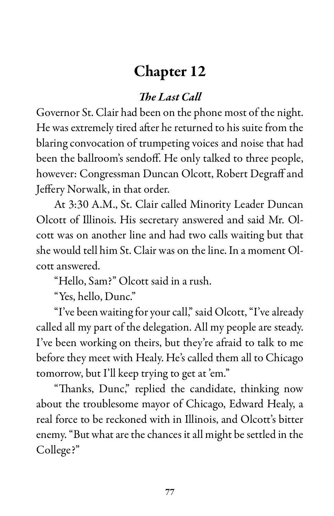# Chapter 12

### The Last Call

Governor St. Clair had been on the phone most of the night. He was extremely tired after he returned to his suite from the blaring convocation of trumpeting voices and noise that had been the ballroom's sendoff. He only talked to three people, however: Congressman Duncan Olcott, Robert Degraff and Jeffery Norwalk, in that order.

At 3:30 A.M., St. Clair called Minority Leader Duncan Olcott of Illinois. His secretary answered and said Mr. Olcott was on another line and had two calls waiting but that she would tell him St. Clair was on the line. In a moment Olcott answered.

"Hello, Sam?" Olcott said in a rush.

"Yes, hello, Dunc."

"I've been waiting for your call," said Olcott, "I've already called all my part of the delegation. All my people are steady. I've been working on theirs, but they're afraid to talk to me before they meet with Healy. He's called them all to Chicago tomorrow, but I'll keep trying to get at 'em."

"Thanks, Dunc," replied the candidate, thinking now about the troublesome mayor of Chicago, Edward Healy, a real force to be reckoned with in Illinois, and Olcott's bitter enemy. "But what are the chances it all might be settled in the College?"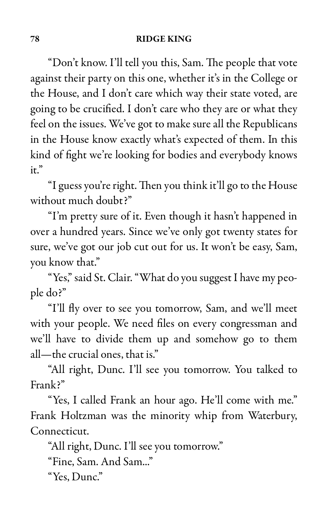"Don't know. I'll tell you this, Sam. The people that vote against their party on this one, whether it's in the College or the House, and I don't care which way their state voted, are going to be crucified. I don't care who they are or what they feel on the issues. We've got to make sure all the Republicans in the House know exactly what's expected of them. In this kind of fight we're looking for bodies and everybody knows it."

"I guess you're right. Then you think it'll go to the House without much doubt?"

"I'm pretty sure of it. Even though it hasn't happened in over a hundred years. Since we've only got twenty states for sure, we've got our job cut out for us. It won't be easy, Sam, you know that."

"Yes," said St. Clair. "What do you suggest I have my people do?"

"I'll fly over to see you tomorrow, Sam, and we'll meet with your people. We need files on every congressman and we'll have to divide them up and somehow go to them all—the crucial ones, that is."

"All right, Dunc. I'll see you tomorrow. You talked to Frank?"

"Yes, I called Frank an hour ago. He'll come with me." Frank Holtzman was the minority whip from Waterbury, Connecticut.

"All right, Dunc. I'll see you tomorrow."

"Fine, Sam. And Sam..."

"Yes, Dunc."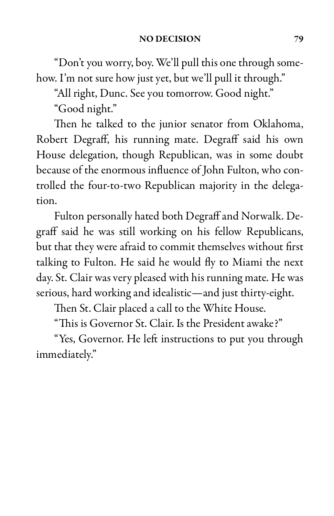"Don't you worry, boy. We'll pull this one through somehow. I'm not sure how just yet, but we'll pull it through."

"All right, Dunc. See you tomorrow. Good night." "Good night."

Then he talked to the junior senator from Oklahoma, Robert Degraff, his running mate. Degraff said his own House delegation, though Republican, was in some doubt because of the enormous influence of John Fulton, who controlled the four-to-two Republican majority in the delegation.

Fulton personally hated both Degraff and Norwalk. Degraff said he was still working on his fellow Republicans, but that they were afraid to commit themselves without first talking to Fulton. He said he would fly to Miami the next day. St. Clair was very pleased with his running mate. He was serious, hard working and idealistic—and just thirty-eight.

Then St. Clair placed a call to the White House.

"This is Governor St. Clair. Is the President awake?"

"Yes, Governor. He left instructions to put you through immediately."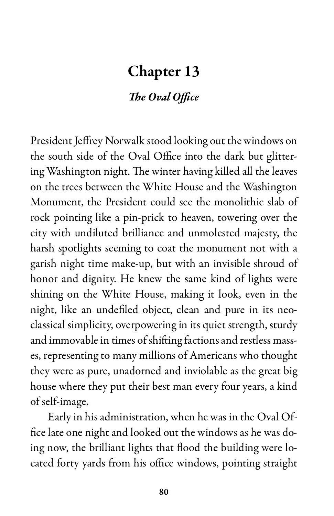## Chapter 13

### The Oval Office

President Jeffrey Norwalk stood looking out the windows on the south side of the Oval Office into the dark but glittering Washington night. The winter having killed all the leaves on the trees between the White House and the Washington Monument, the President could see the monolithic slab of rock pointing like a pin-prick to heaven, towering over the city with undiluted brilliance and unmolested majesty, the harsh spotlights seeming to coat the monument not with a garish night time make-up, but with an invisible shroud of honor and dignity. He knew the same kind of lights were shining on the White House, making it look, even in the night, like an undefiled object, clean and pure in its neoclassical simplicity, overpowering in its quiet strength, sturdy and immovable in times of shifting factions and restless masses, representing to many millions of Americans who thought they were as pure, unadorned and inviolable as the great big house where they put their best man every four years, a kind of self-image.

Early in his administration, when he was in the Oval Office late one night and looked out the windows as he was doing now, the brilliant lights that flood the building were located forty yards from his office windows, pointing straight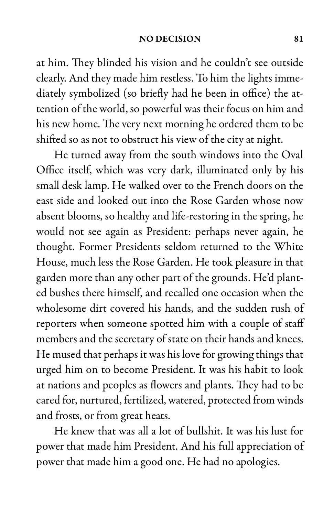#### NO DECISION 81

at him. They blinded his vision and he couldn't see outside clearly. And they made him restless. To him the lights immediately symbolized (so briefly had he been in office) the attention of the world, so powerful was their focus on him and his new home. The very next morning he ordered them to be shifted so as not to obstruct his view of the city at night.

He turned away from the south windows into the Oval Office itself, which was very dark, illuminated only by his small desk lamp. He walked over to the French doors on the east side and looked out into the Rose Garden whose now absent blooms, so healthy and life-restoring in the spring, he would not see again as President: perhaps never again, he thought. Former Presidents seldom returned to the White House, much less the Rose Garden. He took pleasure in that garden more than any other part of the grounds. He'd planted bushes there himself, and recalled one occasion when the wholesome dirt covered his hands, and the sudden rush of reporters when someone spotted him with a couple of staff members and the secretary of state on their hands and knees. He mused that perhaps it was his love for growing things that urged him on to become President. It was his habit to look at nations and peoples as flowers and plants. They had to be cared for, nurtured, fertilized, watered, protected from winds and frosts, or from great heats.

He knew that was all a lot of bullshit. It was his lust for power that made him President. And his full appreciation of power that made him a good one. He had no apologies.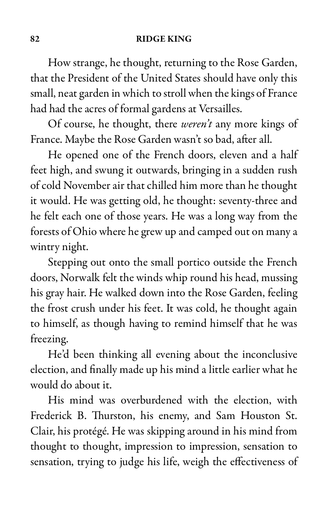How strange, he thought, returning to the Rose Garden, that the President of the United States should have only this small, neat garden in which to stroll when the kings of France had had the acres of formal gardens at Versailles.

Of course, he thought, there weren't any more kings of France. Maybe the Rose Garden wasn't so bad, after all.

He opened one of the French doors, eleven and a half feet high, and swung it outwards, bringing in a sudden rush of cold November air that chilled him more than he thought it would. He was getting old, he thought: seventy-three and he felt each one of those years. He was a long way from the forests of Ohio where he grew up and camped out on many a wintry night.

Stepping out onto the small portico outside the French doors, Norwalk felt the winds whip round his head, mussing his gray hair. He walked down into the Rose Garden, feeling the frost crush under his feet. It was cold, he thought again to himself, as though having to remind himself that he was freezing.

He'd been thinking all evening about the inconclusive election, and finally made up his mind a little earlier what he would do about it.

His mind was overburdened with the election, with Frederick B. Thurston, his enemy, and Sam Houston St. Clair, his protégé. He was skipping around in his mind from thought to thought, impression to impression, sensation to sensation, trying to judge his life, weigh the effectiveness of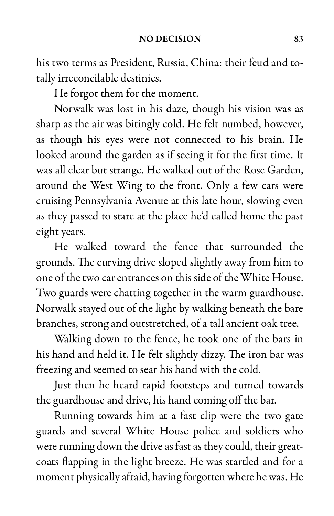NO DECISION 83

his two terms as President, Russia, China: their feud and totally irreconcilable destinies.

He forgot them for the moment.

Norwalk was lost in his daze, though his vision was as sharp as the air was bitingly cold. He felt numbed, however, as though his eyes were not connected to his brain. He looked around the garden as if seeing it for the first time. It was all clear but strange. He walked out of the Rose Garden, around the West Wing to the front. Only a few cars were cruising Pennsylvania Avenue at this late hour, slowing even as they passed to stare at the place he'd called home the past eight years.

He walked toward the fence that surrounded the grounds. The curving drive sloped slightly away from him to one of the two car entrances on this side of the White House. Two guards were chatting together in the warm guardhouse. Norwalk stayed out of the light by walking beneath the bare branches, strong and outstretched, of a tall ancient oak tree.

Walking down to the fence, he took one of the bars in his hand and held it. He felt slightly dizzy. The iron bar was freezing and seemed to sear his hand with the cold.

Just then he heard rapid footsteps and turned towards the guardhouse and drive, his hand coming off the bar.

Running towards him at a fast clip were the two gate guards and several White House police and soldiers who were running down the drive as fast as they could, their greatcoats flapping in the light breeze. He was startled and for a moment physically afraid, having forgotten where he was. He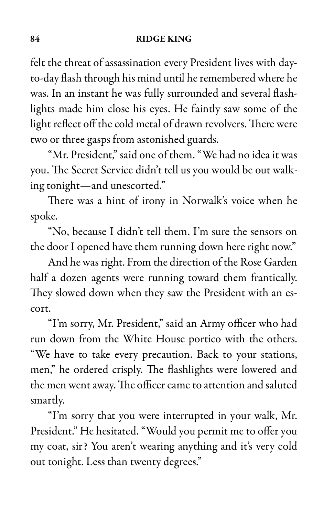felt the threat of assassination every President lives with dayto-day flash through his mind until he remembered where he was. In an instant he was fully surrounded and several flashlights made him close his eyes. He faintly saw some of the light reflect off the cold metal of drawn revolvers. There were two or three gasps from astonished guards.

"Mr. President," said one of them. "We had no idea it was you. The Secret Service didn't tell us you would be out walking tonight—and unescorted."

There was a hint of irony in Norwalk's voice when he spoke.

"No, because I didn't tell them. I'm sure the sensors on the door I opened have them running down here right now."

And he was right. From the direction of the Rose Garden half a dozen agents were running toward them frantically. They slowed down when they saw the President with an escort.

"I'm sorry, Mr. President," said an Army officer who had run down from the White House portico with the others. "We have to take every precaution. Back to your stations, men," he ordered crisply. The flashlights were lowered and the men went away. The officer came to attention and saluted smartly.

"I'm sorry that you were interrupted in your walk, Mr. President." He hesitated. "Would you permit me to offer you my coat, sir? You aren't wearing anything and it's very cold out tonight. Less than twenty degrees."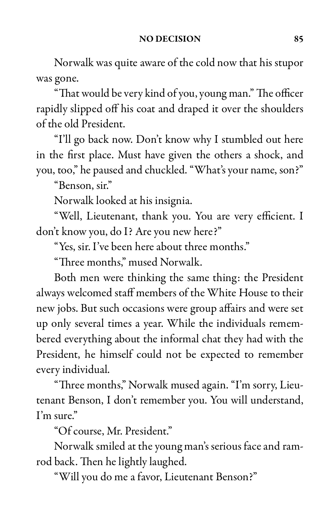Norwalk was quite aware of the cold now that his stupor was gone.

"That would be very kind of you, young man." The officer rapidly slipped off his coat and draped it over the shoulders of the old President.

"I'll go back now. Don't know why I stumbled out here in the first place. Must have given the others a shock, and you, too," he paused and chuckled. "What's your name, son?"

"Benson, sir."

Norwalk looked at his insignia.

"Well, Lieutenant, thank you. You are very efficient. I don't know you, do I? Are you new here?"

"Yes, sir. I've been here about three months."

"Three months," mused Norwalk.

Both men were thinking the same thing: the President always welcomed staff members of the White House to their new jobs. But such occasions were group affairs and were set up only several times a year. While the individuals remembered everything about the informal chat they had with the President, he himself could not be expected to remember every individual.

"Three months," Norwalk mused again. "I'm sorry, Lieutenant Benson, I don't remember you. You will understand, I'm sure"

"Of course, Mr. President."

Norwalk smiled at the young man's serious face and ramrod back. Then he lightly laughed.

"Will you do me a favor, Lieutenant Benson?"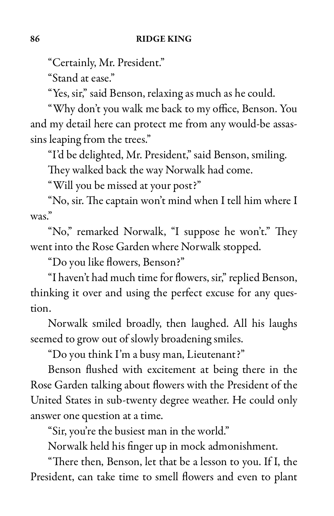"Certainly, Mr. President."

"Stand at ease."

"Yes, sir," said Benson, relaxing as much as he could.

"Why don't you walk me back to my office, Benson. You and my detail here can protect me from any would-be assassins leaping from the trees."

"I'd be delighted, Mr. President," said Benson, smiling.

They walked back the way Norwalk had come.

"Will you be missed at your post?"

"No, sir. The captain won't mind when I tell him where I was."

"No," remarked Norwalk, "I suppose he won't." They went into the Rose Garden where Norwalk stopped.

"Do you like flowers, Benson?"

"I haven't had much time for flowers, sir," replied Benson, thinking it over and using the perfect excuse for any question.

Norwalk smiled broadly, then laughed. All his laughs seemed to grow out of slowly broadening smiles.

"Do you think I'm a busy man, Lieutenant?"

Benson flushed with excitement at being there in the Rose Garden talking about flowers with the President of the United States in sub-twenty degree weather. He could only answer one question at a time.

"Sir, you're the busiest man in the world."

Norwalk held his finger up in mock admonishment.

"There then, Benson, let that be a lesson to you. If I, the President, can take time to smell flowers and even to plant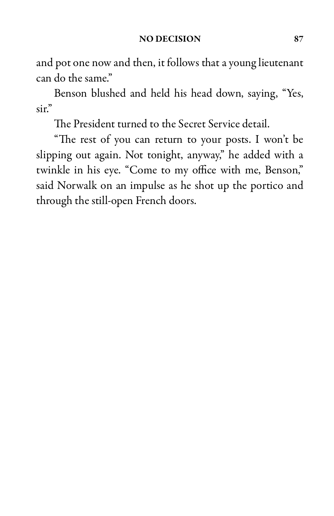NO DECISION 87

and pot one now and then, it follows that a young lieutenant can do the same."

Benson blushed and held his head down, saying, "Yes, sir."

The President turned to the Secret Service detail.

"The rest of you can return to your posts. I won't be slipping out again. Not tonight, anyway," he added with a twinkle in his eye. "Come to my office with me, Benson," said Norwalk on an impulse as he shot up the portico and through the still-open French doors.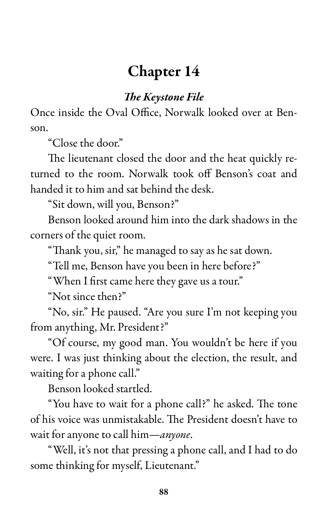## Chapter 14

### The Keystone File

Once inside the Oval Office, Norwalk looked over at Benson.

"Close the door."

The lieutenant closed the door and the heat quickly returned to the room. Norwalk took off Benson's coat and handed it to him and sat behind the desk.

"Sit down, will you, Benson?"

Benson looked around him into the dark shadows in the corners of the quiet room.

"Thank you, sir," he managed to say as he sat down.

"Tell me, Benson have you been in here before?"

"When I first came here they gave us a tour."

"Not since then?"

"No, sir." He paused. "Are you sure I'm not keeping you from anything, Mr. President?"

"Of course, my good man. You wouldn't be here if you were. I was just thinking about the election, the result, and waiting for a phone call."

Benson looked startled.

"You have to wait for a phone call?" he asked. The tone of his voice was unmistakable. The President doesn't have to wait for anyone to call him—*anyone*.

"Well, it's not that pressing a phone call, and I had to do some thinking for myself, Lieutenant."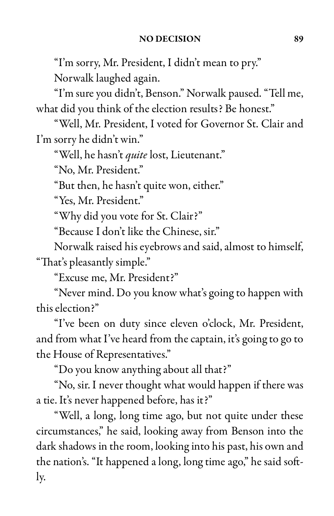"I'm sorry, Mr. President, I didn't mean to pry." Norwalk laughed again.

"I'm sure you didn't, Benson." Norwalk paused. "Tell me, what did you think of the election results? Be honest."

"Well, Mr. President, I voted for Governor St. Clair and I'm sorry he didn't win."

"Well, he hasn't *quite* lost, Lieutenant."

"No, Mr. President."

"But then, he hasn't quite won, either."

"Yes, Mr. President."

"Why did you vote for St. Clair?"

"Because I don't like the Chinese, sir."

Norwalk raised his eyebrows and said, almost to himself, "That's pleasantly simple."

"Excuse me, Mr. President?"

"Never mind. Do you know what's going to happen with this election?"

"I've been on duty since eleven o'clock, Mr. President, and from what I've heard from the captain, it's going to go to the House of Representatives."

"Do you know anything about all that?"

"No, sir. I never thought what would happen if there was a tie. It's never happened before, has it?"

"Well, a long, long time ago, but not quite under these circumstances," he said, looking away from Benson into the dark shadows in the room, looking into his past, his own and the nation's. "It happened a long, long time ago," he said softly.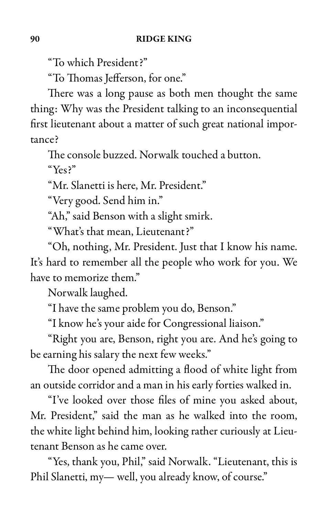"To which President?"

"To Thomas Jefferson, for one."

There was a long pause as both men thought the same thing: Why was the President talking to an inconsequential first lieutenant about a matter of such great national importance?

The console buzzed. Norwalk touched a button.

"Yes?"

"Mr. Slanetti is here, Mr. President."

"Very good. Send him in."

"Ah," said Benson with a slight smirk.

"What's that mean, Lieutenant?"

"Oh, nothing, Mr. President. Just that I know his name. It's hard to remember all the people who work for you. We have to memorize them."

Norwalk laughed.

"I have the same problem you do, Benson."

"I know he's your aide for Congressional liaison."

"Right you are, Benson, right you are. And he's going to be earning his salary the next few weeks."

The door opened admitting a flood of white light from an outside corridor and a man in his early forties walked in.

"I've looked over those files of mine you asked about, Mr. President," said the man as he walked into the room, the white light behind him, looking rather curiously at Lieutenant Benson as he came over.

"Yes, thank you, Phil," said Norwalk. "Lieutenant, this is Phil Slanetti, my— well, you already know, of course."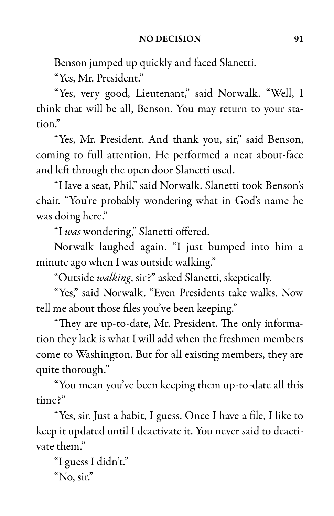Benson jumped up quickly and faced Slanetti.

"Yes, Mr. President."

"Yes, very good, Lieutenant," said Norwalk. "Well, I think that will be all, Benson. You may return to your station."

"Yes, Mr. President. And thank you, sir," said Benson, coming to full attention. He performed a neat about-face and left through the open door Slanetti used.

"Have a seat, Phil," said Norwalk. Slanetti took Benson's chair. "You're probably wondering what in God's name he was doing here."

"I was wondering," Slanetti offered.

Norwalk laughed again. "I just bumped into him a minute ago when I was outside walking."

"Outside walking, sir?" asked Slanetti, skeptically.

"Yes," said Norwalk. "Even Presidents take walks. Now tell me about those files you've been keeping."

"They are up-to-date, Mr. President. The only information they lack is what I will add when the freshmen members come to Washington. But for all existing members, they are quite thorough."

"You mean you've been keeping them up-to-date all this time?"

"Yes, sir. Just a habit, I guess. Once I have a file, I like to keep it updated until I deactivate it. You never said to deactivate them."

"I guess I didn't." "No, sir."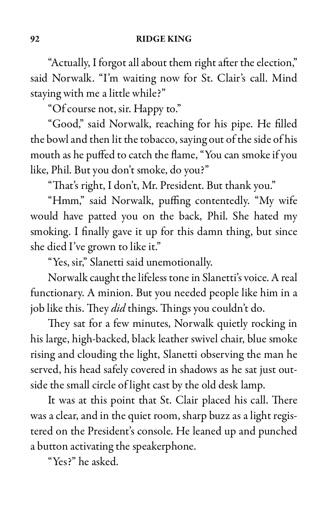"Actually, I forgot all about them right after the election," said Norwalk. "I'm waiting now for St. Clair's call. Mind staying with me a little while?"

"Of course not, sir. Happy to."

"Good," said Norwalk, reaching for his pipe. He filled the bowl and then lit the tobacco, saying out of the side of his mouth as he puffed to catch the flame, "You can smoke if you like, Phil. But you don't smoke, do you?"

"That's right, I don't, Mr. President. But thank you."

"Hmm," said Norwalk, puffing contentedly. "My wife would have patted you on the back, Phil. She hated my smoking. I finally gave it up for this damn thing, but since she died I've grown to like it."

"Yes, sir," Slanetti said unemotionally.

Norwalk caught the lifeless tone in Slanetti's voice. A real functionary. A minion. But you needed people like him in a job like this. They *did* things. Things you couldn't do.

They sat for a few minutes, Norwalk quietly rocking in his large, high-backed, black leather swivel chair, blue smoke rising and clouding the light, Slanetti observing the man he served, his head safely covered in shadows as he sat just outside the small circle of light cast by the old desk lamp.

It was at this point that St. Clair placed his call. There was a clear, and in the quiet room, sharp buzz as a light registered on the President's console. He leaned up and punched a button activating the speakerphone.

"Yes?" he asked.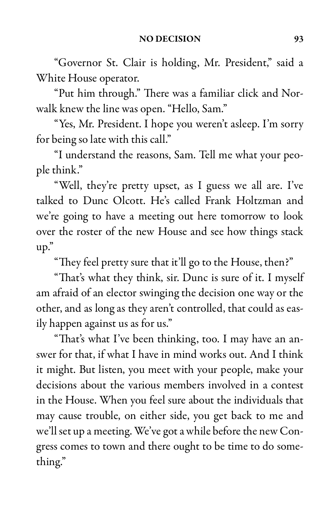"Governor St. Clair is holding, Mr. President," said a White House operator.

"Put him through." There was a familiar click and Norwalk knew the line was open. "Hello, Sam."

"Yes, Mr. President. I hope you weren't asleep. I'm sorry for being so late with this call."

"I understand the reasons, Sam. Tell me what your people think."

"Well, they're pretty upset, as I guess we all are. I've talked to Dunc Olcott. He's called Frank Holtzman and we're going to have a meeting out here tomorrow to look over the roster of the new House and see how things stack up."

"They feel pretty sure that it'll go to the House, then?"

"That's what they think, sir. Dunc is sure of it. I myself am afraid of an elector swinging the decision one way or the other, and as long as they aren't controlled, that could as easily happen against us as for us."

"That's what I've been thinking, too. I may have an answer for that, if what I have in mind works out. And I think it might. But listen, you meet with your people, make your decisions about the various members involved in a contest in the House. When you feel sure about the individuals that may cause trouble, on either side, you get back to me and we'll set up a meeting. We've got a while before the new Congress comes to town and there ought to be time to do something."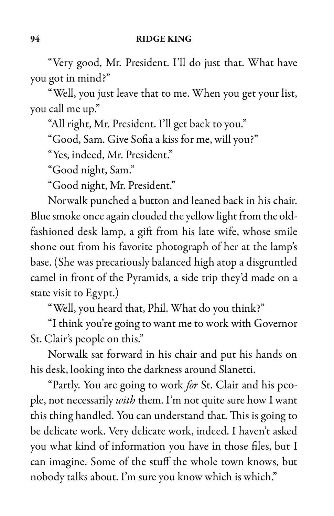"Very good, Mr. President. I'll do just that. What have you got in mind?"

"Well, you just leave that to me. When you get your list, you call me up."

"All right, Mr. President. I'll get back to you."

"Good, Sam. Give Sofia a kiss for me, will you?"

"Yes, indeed, Mr. President."

"Good night, Sam."

"Good night, Mr. President."

Norwalk punched a button and leaned back in his chair. Blue smoke once again clouded the yellow light from the oldfashioned desk lamp, a gift from his late wife, whose smile shone out from his favorite photograph of her at the lamp's base. (She was precariously balanced high atop a disgruntled camel in front of the Pyramids, a side trip they'd made on a state visit to Egypt.)

"Well, you heard that, Phil. What do you think?"

"I think you're going to want me to work with Governor St. Clair's people on this."

Norwalk sat forward in his chair and put his hands on his desk, looking into the darkness around Slanetti.

"Partly. You are going to work for St. Clair and his people, not necessarily with them. I'm not quite sure how I want this thing handled. You can understand that. This is going to be delicate work. Very delicate work, indeed. I haven't asked you what kind of information you have in those files, but I can imagine. Some of the stuff the whole town knows, but nobody talks about. I'm sure you know which is which."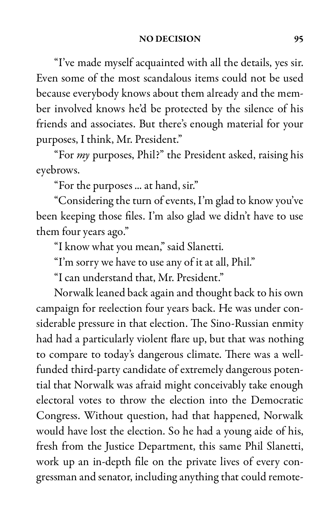#### NO DECISION 95

"I've made myself acquainted with all the details, yes sir. Even some of the most scandalous items could not be used because everybody knows about them already and the member involved knows he'd be protected by the silence of his friends and associates. But there's enough material for your purposes, I think, Mr. President."

"For  $m\gamma$  purposes, Phil?" the President asked, raising his eyebrows.

"For the purposes ... at hand, sir."

"Considering the turn of events, I'm glad to know you've been keeping those files. I'm also glad we didn't have to use them four years ago."

"I know what you mean," said Slanetti.

"I'm sorry we have to use any of it at all, Phil."

"I can understand that, Mr. President."

Norwalk leaned back again and thought back to his own campaign for reelection four years back. He was under considerable pressure in that election. The Sino-Russian enmity had had a particularly violent flare up, but that was nothing to compare to today's dangerous climate. There was a wellfunded third-party candidate of extremely dangerous potential that Norwalk was afraid might conceivably take enough electoral votes to throw the election into the Democratic Congress. Without question, had that happened, Norwalk would have lost the election. So he had a young aide of his, fresh from the Justice Department, this same Phil Slanetti, work up an in-depth file on the private lives of every congressman and senator, including anything that could remote-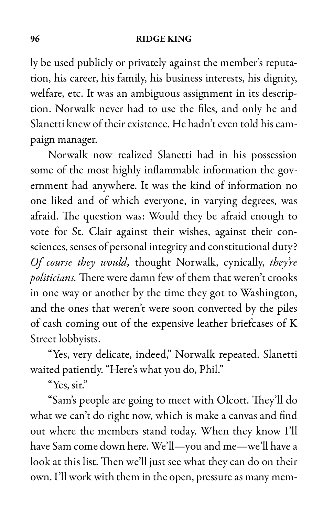ly be used publicly or privately against the member's reputation, his career, his family, his business interests, his dignity, welfare, etc. It was an ambiguous assignment in its description. Norwalk never had to use the files, and only he and Slanetti knew of their existence. He hadn't even told his campaign manager.

Norwalk now realized Slanetti had in his possession some of the most highly inflammable information the government had anywhere. It was the kind of information no one liked and of which everyone, in varying degrees, was afraid. The question was: Would they be afraid enough to vote for St. Clair against their wishes, against their consciences, senses of personal integrity and constitutional duty? Of course they would, thought Norwalk, cynically, they're politicians. There were damn few of them that weren't crooks in one way or another by the time they got to Washington, and the ones that weren't were soon converted by the piles of cash coming out of the expensive leather briefcases of K Street lobbyists.

"Yes, very delicate, indeed," Norwalk repeated. Slanetti waited patiently. "Here's what you do, Phil."

"Yes, sir."

"Sam's people are going to meet with Olcott. They'll do what we can't do right now, which is make a canvas and find out where the members stand today. When they know I'll have Sam come down here. We'll—you and me—we'll have a look at this list. Then we'll just see what they can do on their own. I'll work with them in the open, pressure as many mem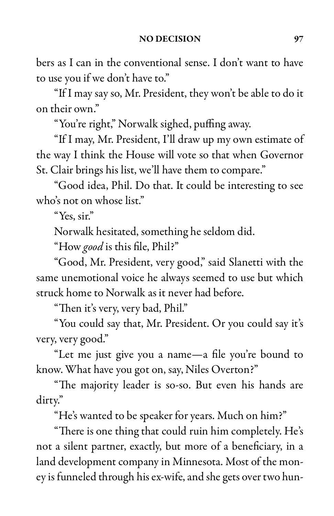bers as I can in the conventional sense. I don't want to have to use you if we don't have to."

"If I may say so, Mr. President, they won't be able to do it on their own."

"You're right," Norwalk sighed, puffing away.

"If I may, Mr. President, I'll draw up my own estimate of the way I think the House will vote so that when Governor St. Clair brings his list, we'll have them to compare."

"Good idea, Phil. Do that. It could be interesting to see who's not on whose list."

"Yes, sir."

Norwalk hesitated, something he seldom did.

"How good is this file, Phil?"

"Good, Mr. President, very good," said Slanetti with the same unemotional voice he always seemed to use but which struck home to Norwalk as it never had before.

"Then it's very, very bad, Phil."

"You could say that, Mr. President. Or you could say it's very, very good."

"Let me just give you a name—a file you're bound to know. What have you got on, say, Niles Overton?"

"The majority leader is so-so. But even his hands are dirty."

"He's wanted to be speaker for years. Much on him?"

"There is one thing that could ruin him completely. He's not a silent partner, exactly, but more of a beneficiary, in a land development company in Minnesota. Most of the money is funneled through his ex-wife, and she gets over two hun-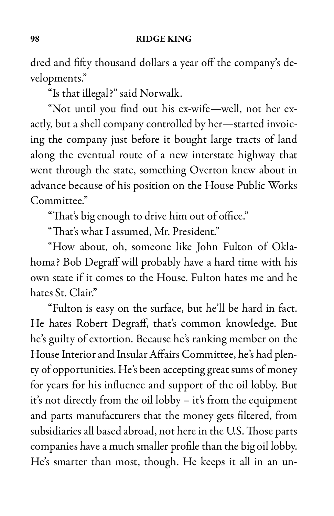dred and fifty thousand dollars a year off the company's developments."

"Is that illegal?" said Norwalk.

"Not until you find out his ex-wife—well, not her exactly, but a shell company controlled by her—started invoicing the company just before it bought large tracts of land along the eventual route of a new interstate highway that went through the state, something Overton knew about in advance because of his position on the House Public Works Committee."

"That's big enough to drive him out of office."

"That's what I assumed, Mr. President."

"How about, oh, someone like John Fulton of Oklahoma? Bob Degraff will probably have a hard time with his own state if it comes to the House. Fulton hates me and he hates St. Clair."

"Fulton is easy on the surface, but he'll be hard in fact. He hates Robert Degraff, that's common knowledge. But he's guilty of extortion. Because he's ranking member on the House Interior and Insular Affairs Committee, he's had plenty of opportunities. He's been accepting great sums of money for years for his influence and support of the oil lobby. But it's not directly from the oil lobby – it's from the equipment and parts manufacturers that the money gets filtered, from subsidiaries all based abroad, not here in the U.S. Those parts companies have a much smaller profile than the big oil lobby. He's smarter than most, though. He keeps it all in an un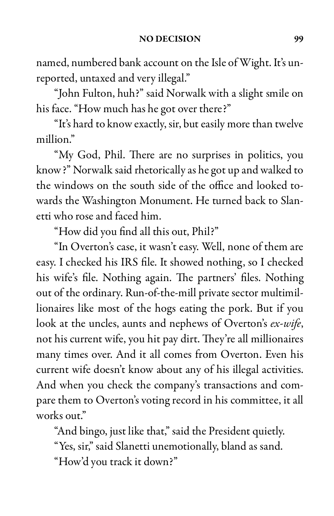named, numbered bank account on the Isle of Wight. It's unreported, untaxed and very illegal."

"John Fulton, huh?" said Norwalk with a slight smile on his face. "How much has he got over there?"

"It's hard to know exactly, sir, but easily more than twelve million<sup>"</sup>

"My God, Phil. There are no surprises in politics, you know?" Norwalk said rhetorically as he got up and walked to the windows on the south side of the office and looked towards the Washington Monument. He turned back to Slanetti who rose and faced him.

"How did you find all this out, Phil?"

"In Overton's case, it wasn't easy. Well, none of them are easy. I checked his IRS file. It showed nothing, so I checked his wife's file. Nothing again. The partners' files. Nothing out of the ordinary. Run-of-the-mill private sector multimillionaires like most of the hogs eating the pork. But if you look at the uncles, aunts and nephews of Overton's ex-wife, not his current wife, you hit pay dirt. They're all millionaires many times over. And it all comes from Overton. Even his current wife doesn't know about any of his illegal activities. And when you check the company's transactions and compare them to Overton's voting record in his committee, it all works out."

"And bingo, just like that," said the President quietly.

"Yes, sir," said Slanetti unemotionally, bland as sand.

"How'd you track it down?"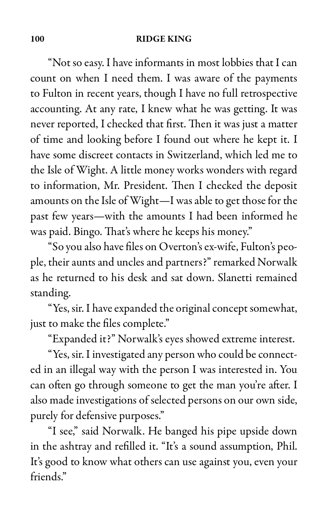"Not so easy. I have informants in most lobbies that I can count on when I need them. I was aware of the payments to Fulton in recent years, though I have no full retrospective accounting. At any rate, I knew what he was getting. It was never reported, I checked that first. Then it was just a matter of time and looking before I found out where he kept it. I have some discreet contacts in Switzerland, which led me to the Isle of Wight. A little money works wonders with regard to information, Mr. President. Then I checked the deposit amounts on the Isle of Wight—I was able to get those for the past few years—with the amounts I had been informed he was paid. Bingo. That's where he keeps his money."

"So you also have files on Overton's ex-wife, Fulton's people, their aunts and uncles and partners?" remarked Norwalk as he returned to his desk and sat down. Slanetti remained standing.

"Yes, sir. I have expanded the original concept somewhat, just to make the files complete."

"Expanded it?" Norwalk's eyes showed extreme interest.

"Yes, sir. I investigated any person who could be connected in an illegal way with the person I was interested in. You can often go through someone to get the man you're after. I also made investigations of selected persons on our own side, purely for defensive purposes."

"I see," said Norwalk. He banged his pipe upside down in the ashtray and refilled it. "It's a sound assumption, Phil. It's good to know what others can use against you, even your friends"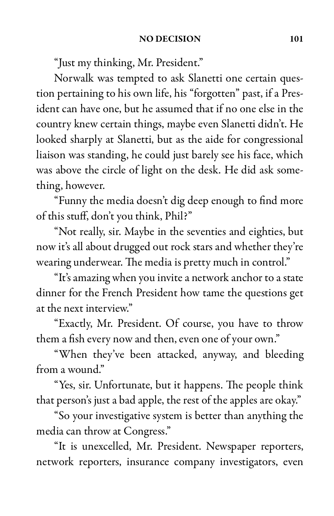"Just my thinking, Mr. President."

Norwalk was tempted to ask Slanetti one certain question pertaining to his own life, his "forgotten" past, if a President can have one, but he assumed that if no one else in the country knew certain things, maybe even Slanetti didn't. He looked sharply at Slanetti, but as the aide for congressional liaison was standing, he could just barely see his face, which was above the circle of light on the desk. He did ask something, however.

"Funny the media doesn't dig deep enough to find more of this stuff, don't you think, Phil?"

"Not really, sir. Maybe in the seventies and eighties, but now it's all about drugged out rock stars and whether they're wearing underwear. The media is pretty much in control."

"It's amazing when you invite a network anchor to a state dinner for the French President how tame the questions get at the next interview."

"Exactly, Mr. President. Of course, you have to throw them a fish every now and then, even one of your own."

"When they've been attacked, anyway, and bleeding from a wound."

"Yes, sir. Unfortunate, but it happens. The people think that person's just a bad apple, the rest of the apples are okay."

"So your investigative system is better than anything the media can throw at Congress."

"It is unexcelled, Mr. President. Newspaper reporters, network reporters, insurance company investigators, even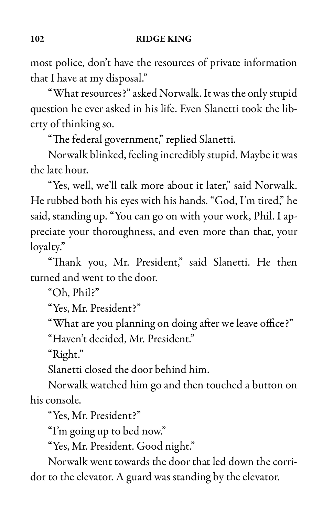most police, don't have the resources of private information that I have at my disposal."

"What resources?" asked Norwalk. It was the only stupid question he ever asked in his life. Even Slanetti took the liberty of thinking so.

"The federal government," replied Slanetti.

Norwalk blinked, feeling incredibly stupid. Maybe it was the late hour.

"Yes, well, we'll talk more about it later," said Norwalk. He rubbed both his eyes with his hands. "God, I'm tired," he said, standing up. "You can go on with your work, Phil. I appreciate your thoroughness, and even more than that, your loyalty."

"Thank you, Mr. President," said Slanetti. He then turned and went to the door.

"Oh, Phil?"

"Yes, Mr. President?"

"What are you planning on doing after we leave office?"

"Haven't decided, Mr. President."

"Right."

Slanetti closed the door behind him.

Norwalk watched him go and then touched a button on his console.

"Yes, Mr. President?"

"I'm going up to bed now."

"Yes, Mr. President. Good night."

Norwalk went towards the door that led down the corridor to the elevator. A guard was standing by the elevator.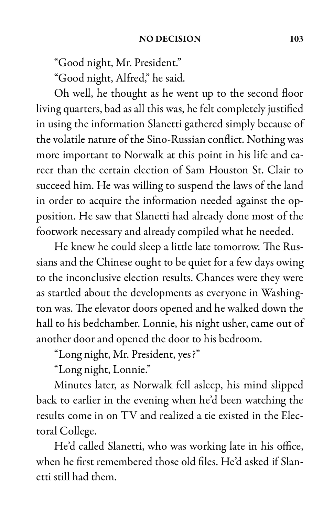"Good night, Mr. President."

"Good night, Alfred," he said.

Oh well, he thought as he went up to the second floor living quarters, bad as all this was, he felt completely justified in using the information Slanetti gathered simply because of the volatile nature of the Sino-Russian conflict. Nothing was more important to Norwalk at this point in his life and career than the certain election of Sam Houston St. Clair to succeed him. He was willing to suspend the laws of the land in order to acquire the information needed against the opposition. He saw that Slanetti had already done most of the footwork necessary and already compiled what he needed.

He knew he could sleep a little late tomorrow. The Russians and the Chinese ought to be quiet for a few days owing to the inconclusive election results. Chances were they were as startled about the developments as everyone in Washington was. The elevator doors opened and he walked down the hall to his bedchamber. Lonnie, his night usher, came out of another door and opened the door to his bedroom.

"Long night, Mr. President, yes?"

"Long night, Lonnie."

Minutes later, as Norwalk fell asleep, his mind slipped back to earlier in the evening when he'd been watching the results come in on TV and realized a tie existed in the Electoral College.

He'd called Slanetti, who was working late in his office, when he first remembered those old files. He'd asked if Slanetti still had them.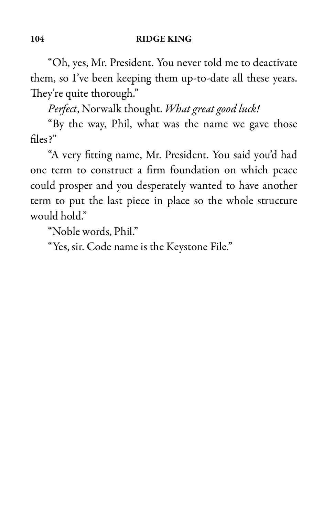"Oh, yes, Mr. President. You never told me to deactivate them, so I've been keeping them up-to-date all these years. They're quite thorough."

Perfect, Norwalk thought. What great good luck!

"By the way, Phil, what was the name we gave those files?"

"A very fitting name, Mr. President. You said you'd had one term to construct a firm foundation on which peace could prosper and you desperately wanted to have another term to put the last piece in place so the whole structure would hold."

"Noble words, Phil."

"Yes, sir. Code name is the Keystone File."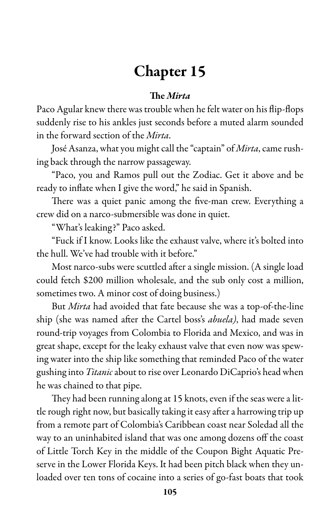## Chapter 15

### The Mirta

Paco Agular knew there was trouble when he felt water on his flip-flops suddenly rise to his ankles just seconds before a muted alarm sounded in the forward section of the Mirta.

José Asanza, what you might call the "captain" of Mirta, came rushing back through the narrow passageway.

"Paco, you and Ramos pull out the Zodiac. Get it above and be ready to inflate when I give the word," he said in Spanish.

There was a quiet panic among the five-man crew. Everything a crew did on a narco-submersible was done in quiet.

"What's leaking?" Paco asked.

"Fuck if I know. Looks like the exhaust valve, where it's bolted into the hull. We've had trouble with it before."

Most narco-subs were scuttled after a single mission. (A single load could fetch \$200 million wholesale, and the sub only cost a million, sometimes two. A minor cost of doing business.)

But Mirta had avoided that fate because she was a top-of-the-line ship (she was named after the Cartel boss's *abuela*), had made seven round-trip voyages from Colombia to Florida and Mexico, and was in great shape, except for the leaky exhaust valve that even now was spewing water into the ship like something that reminded Paco of the water gushing into Titanic about to rise over Leonardo DiCaprio's head when he was chained to that pipe.

They had been running along at 15 knots, even if the seas were a little rough right now, but basically taking it easy after a harrowing trip up from a remote part of Colombia's Caribbean coast near Soledad all the way to an uninhabited island that was one among dozens off the coast of Little Torch Key in the middle of the Coupon Bight Aquatic Preserve in the Lower Florida Keys. It had been pitch black when they unloaded over ten tons of cocaine into a series of go-fast boats that took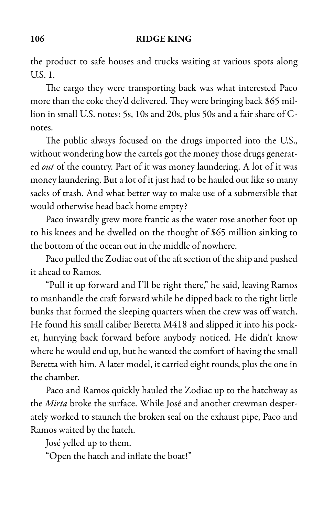the product to safe houses and trucks waiting at various spots along U.S. 1.

The cargo they were transporting back was what interested Paco more than the coke they'd delivered. They were bringing back \$65 million in small U.S. notes: 5s, 10s and 20s, plus 50s and a fair share of Cnotes.

The public always focused on the drugs imported into the U.S., without wondering how the cartels got the money those drugs generated *out* of the country. Part of it was money laundering. A lot of it was money laundering. But a lot of it just had to be hauled out like so many sacks of trash. And what better way to make use of a submersible that would otherwise head back home empty?

Paco inwardly grew more frantic as the water rose another foot up to his knees and he dwelled on the thought of \$65 million sinking to the bottom of the ocean out in the middle of nowhere.

Paco pulled the Zodiac out of the aft section of the ship and pushed it ahead to Ramos.

"Pull it up forward and I'll be right there," he said, leaving Ramos to manhandle the craft forward while he dipped back to the tight little bunks that formed the sleeping quarters when the crew was off watch. He found his small caliber Beretta M418 and slipped it into his pocket, hurrying back forward before anybody noticed. He didn't know where he would end up, but he wanted the comfort of having the small Beretta with him. A later model, it carried eight rounds, plus the one in the chamber.

Paco and Ramos quickly hauled the Zodiac up to the hatchway as the Mirta broke the surface. While José and another crewman desperately worked to staunch the broken seal on the exhaust pipe, Paco and Ramos waited by the hatch.

José yelled up to them.

"Open the hatch and inflate the boat!"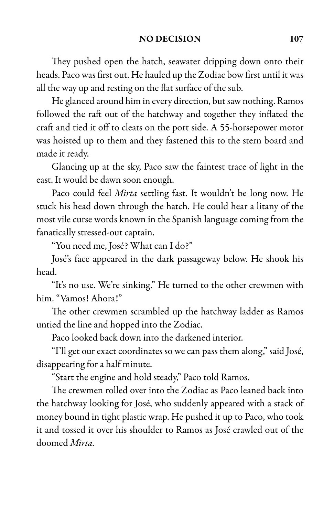#### NO DECISION 107

They pushed open the hatch, seawater dripping down onto their heads. Paco was first out. He hauled up the Zodiac bow first until it was all the way up and resting on the flat surface of the sub.

He glanced around him in every direction, but saw nothing. Ramos followed the raft out of the hatchway and together they inflated the craft and tied it off to cleats on the port side. A 55-horsepower motor was hoisted up to them and they fastened this to the stern board and made it ready.

Glancing up at the sky, Paco saw the faintest trace of light in the east. It would be dawn soon enough.

Paco could feel Mirta settling fast. It wouldn't be long now. He stuck his head down through the hatch. He could hear a litany of the most vile curse words known in the Spanish language coming from the fanatically stressed-out captain.

"You need me, José? What can I do?"

José's face appeared in the dark passageway below. He shook his head.

"It's no use. We're sinking." He turned to the other crewmen with him. "Vamos! Ahora!"

The other crewmen scrambled up the hatchway ladder as Ramos untied the line and hopped into the Zodiac.

Paco looked back down into the darkened interior.

"I'll get our exact coordinates so we can pass them along," said José, disappearing for a half minute.

"Start the engine and hold steady," Paco told Ramos.

The crewmen rolled over into the Zodiac as Paco leaned back into the hatchway looking for José, who suddenly appeared with a stack of money bound in tight plastic wrap. He pushed it up to Paco, who took it and tossed it over his shoulder to Ramos as José crawled out of the doomed Mirta.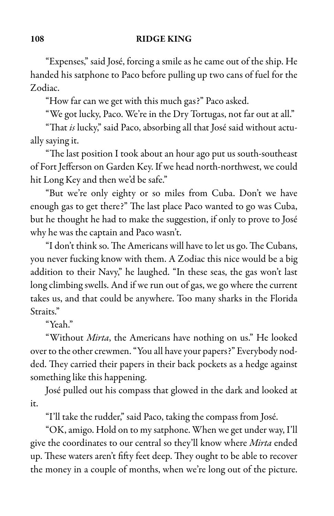"Expenses," said José, forcing a smile as he came out of the ship. He handed his satphone to Paco before pulling up two cans of fuel for the Zodiac.

"How far can we get with this much gas?" Paco asked.

"We got lucky, Paco. We're in the Dry Tortugas, not far out at all."

"That is lucky," said Paco, absorbing all that José said without actually saying it.

"The last position I took about an hour ago put us south-southeast of Fort Jefferson on Garden Key. If we head north-northwest, we could hit Long Key and then we'd be safe."

"But we're only eighty or so miles from Cuba. Don't we have enough gas to get there?" The last place Paco wanted to go was Cuba, but he thought he had to make the suggestion, if only to prove to José why he was the captain and Paco wasn't.

"I don't think so. The Americans will have to let us go. The Cubans, you never fucking know with them. A Zodiac this nice would be a big addition to their Navy," he laughed. "In these seas, the gas won't last long climbing swells. And if we run out of gas, we go where the current takes us, and that could be anywhere. Too many sharks in the Florida Straits."

"Yeah."

"Without Mirta, the Americans have nothing on us." He looked over to the other crewmen. "You all have your papers?" Everybody nodded. They carried their papers in their back pockets as a hedge against something like this happening.

José pulled out his compass that glowed in the dark and looked at it.

"I'll take the rudder," said Paco, taking the compass from José.

"OK, amigo. Hold on to my satphone. When we get under way, I'll give the coordinates to our central so they'll know where Mirta ended up. These waters aren't fifty feet deep. They ought to be able to recover the money in a couple of months, when we're long out of the picture.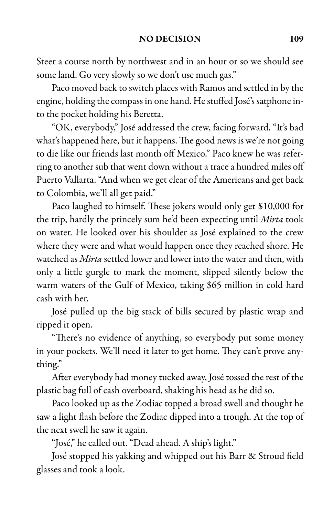Steer a course north by northwest and in an hour or so we should see some land. Go very slowly so we don't use much gas."

Paco moved back to switch places with Ramos and settled in by the engine, holding the compass in one hand. He stuffed José's satphone into the pocket holding his Beretta.

"OK, everybody," José addressed the crew, facing forward. "It's bad what's happened here, but it happens. The good news is we're not going to die like our friends last month off Mexico." Paco knew he was referring to another sub that went down without a trace a hundred miles off Puerto Vallarta. "And when we get clear of the Americans and get back to Colombia, we'll all get paid."

Paco laughed to himself. These jokers would only get \$10,000 for the trip, hardly the princely sum he'd been expecting until Mirta took on water. He looked over his shoulder as José explained to the crew where they were and what would happen once they reached shore. He watched as *Mirta* settled lower and lower into the water and then, with only a little gurgle to mark the moment, slipped silently below the warm waters of the Gulf of Mexico, taking \$65 million in cold hard cash with her.

José pulled up the big stack of bills secured by plastic wrap and ripped it open.

"There's no evidence of anything, so everybody put some money in your pockets. We'll need it later to get home. They can't prove anything."

After everybody had money tucked away, José tossed the rest of the plastic bag full of cash overboard, shaking his head as he did so.

Paco looked up as the Zodiac topped a broad swell and thought he saw a light flash before the Zodiac dipped into a trough. At the top of the next swell he saw it again.

"José," he called out. "Dead ahead. A ship's light."

José stopped his yakking and whipped out his Barr & Stroud field glasses and took a look.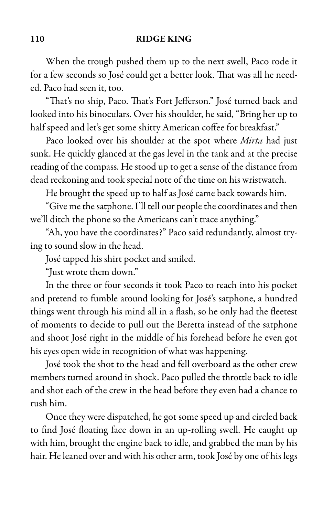When the trough pushed them up to the next swell, Paco rode it for a few seconds so José could get a better look. That was all he needed. Paco had seen it, too.

"That's no ship, Paco. That's Fort Jefferson." José turned back and looked into his binoculars. Over his shoulder, he said, "Bring her up to half speed and let's get some shitty American coffee for breakfast."

Paco looked over his shoulder at the spot where Mirta had just sunk. He quickly glanced at the gas level in the tank and at the precise reading of the compass. He stood up to get a sense of the distance from dead reckoning and took special note of the time on his wristwatch.

He brought the speed up to half as José came back towards him.

"Give me the satphone. I'll tell our people the coordinates and then we'll ditch the phone so the Americans can't trace anything."

"Ah, you have the coordinates?" Paco said redundantly, almost trying to sound slow in the head.

José tapped his shirt pocket and smiled.

"Just wrote them down."

In the three or four seconds it took Paco to reach into his pocket and pretend to fumble around looking for José's satphone, a hundred things went through his mind all in a flash, so he only had the fleetest of moments to decide to pull out the Beretta instead of the satphone and shoot José right in the middle of his forehead before he even got his eyes open wide in recognition of what was happening.

José took the shot to the head and fell overboard as the other crew members turned around in shock. Paco pulled the throttle back to idle and shot each of the crew in the head before they even had a chance to rush him.

Once they were dispatched, he got some speed up and circled back to find José floating face down in an up-rolling swell. He caught up with him, brought the engine back to idle, and grabbed the man by his hair. He leaned over and with his other arm, took José by one of his legs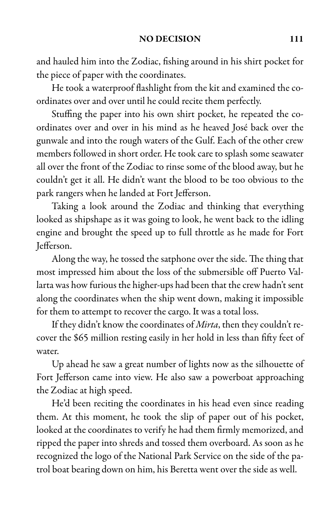and hauled him into the Zodiac, fishing around in his shirt pocket for the piece of paper with the coordinates.

He took a waterproof flashlight from the kit and examined the coordinates over and over until he could recite them perfectly.

Stuffing the paper into his own shirt pocket, he repeated the coordinates over and over in his mind as he heaved José back over the gunwale and into the rough waters of the Gulf. Each of the other crew members followed in short order. He took care to splash some seawater all over the front of the Zodiac to rinse some of the blood away, but he couldn't get it all. He didn't want the blood to be too obvious to the park rangers when he landed at Fort Jefferson.

Taking a look around the Zodiac and thinking that everything looked as shipshape as it was going to look, he went back to the idling engine and brought the speed up to full throttle as he made for Fort Jefferson.

Along the way, he tossed the satphone over the side. The thing that most impressed him about the loss of the submersible off Puerto Vallarta was how furious the higher-ups had been that the crew hadn't sent along the coordinates when the ship went down, making it impossible for them to attempt to recover the cargo. It was a total loss.

If they didn't know the coordinates of Mirta, then they couldn't recover the \$65 million resting easily in her hold in less than fifty feet of water.

Up ahead he saw a great number of lights now as the silhouette of Fort Jefferson came into view. He also saw a powerboat approaching the Zodiac at high speed.

He'd been reciting the coordinates in his head even since reading them. At this moment, he took the slip of paper out of his pocket, looked at the coordinates to verify he had them firmly memorized, and ripped the paper into shreds and tossed them overboard. As soon as he recognized the logo of the National Park Service on the side of the patrol boat bearing down on him, his Beretta went over the side as well.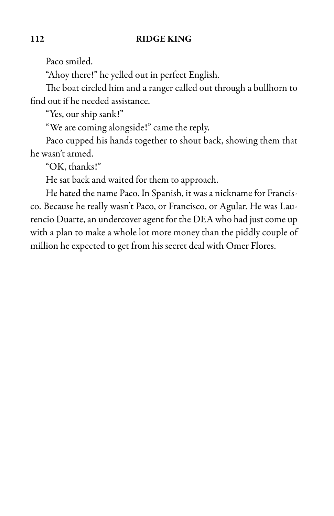Paco smiled.

"Ahoy there!" he yelled out in perfect English.

The boat circled him and a ranger called out through a bullhorn to find out if he needed assistance.

"Yes, our ship sank!"

"We are coming alongside!" came the reply.

Paco cupped his hands together to shout back, showing them that he wasn't armed.

"OK, thanks!"

He sat back and waited for them to approach.

He hated the name Paco. In Spanish, it was a nickname for Francisco. Because he really wasn't Paco, or Francisco, or Agular. He was Laurencio Duarte, an undercover agent for the DEA who had just come up with a plan to make a whole lot more money than the piddly couple of million he expected to get from his secret deal with Omer Flores.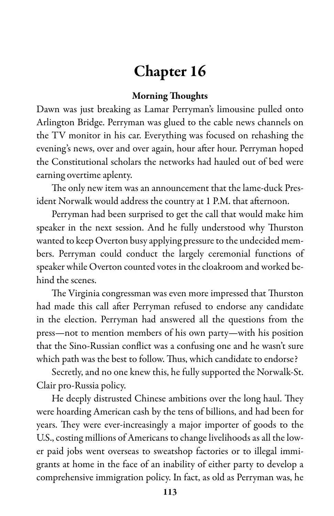## Morning Thoughts

Dawn was just breaking as Lamar Perryman's limousine pulled onto Arlington Bridge. Perryman was glued to the cable news channels on the TV monitor in his car. Everything was focused on rehashing the evening's news, over and over again, hour after hour. Perryman hoped the Constitutional scholars the networks had hauled out of bed were earning overtime aplenty.

The only new item was an announcement that the lame-duck President Norwalk would address the country at 1 P.M. that afternoon.

Perryman had been surprised to get the call that would make him speaker in the next session. And he fully understood why Thurston wanted to keep Overton busy applying pressure to the undecided members. Perryman could conduct the largely ceremonial functions of speaker while Overton counted votes in the cloakroom and worked behind the scenes.

The Virginia congressman was even more impressed that Thurston had made this call after Perryman refused to endorse any candidate in the election. Perryman had answered all the questions from the press—not to mention members of his own party—with his position that the Sino-Russian conflict was a confusing one and he wasn't sure which path was the best to follow. Thus, which candidate to endorse?

Secretly, and no one knew this, he fully supported the Norwalk-St. Clair pro-Russia policy.

He deeply distrusted Chinese ambitions over the long haul. They were hoarding American cash by the tens of billions, and had been for years. They were ever-increasingly a major importer of goods to the U.S., costing millions of Americans to change livelihoods as all the lower paid jobs went overseas to sweatshop factories or to illegal immigrants at home in the face of an inability of either party to develop a comprehensive immigration policy. In fact, as old as Perryman was, he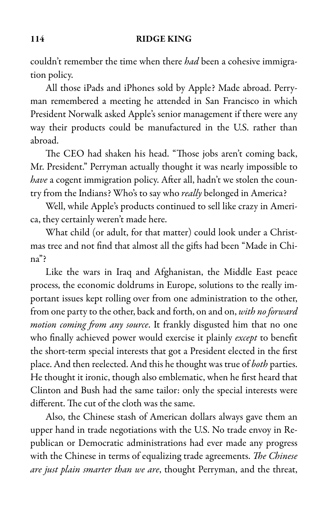couldn't remember the time when there *had* been a cohesive immigration policy.

All those iPads and iPhones sold by Apple? Made abroad. Perryman remembered a meeting he attended in San Francisco in which President Norwalk asked Apple's senior management if there were any way their products could be manufactured in the U.S. rather than abroad.

The CEO had shaken his head. "Those jobs aren't coming back, Mr. President." Perryman actually thought it was nearly impossible to have a cogent immigration policy. After all, hadn't we stolen the country from the Indians? Who's to say who *really* belonged in America?

Well, while Apple's products continued to sell like crazy in America, they certainly weren't made here.

What child (or adult, for that matter) could look under a Christmas tree and not find that almost all the gifts had been "Made in China"?

Like the wars in Iraq and Afghanistan, the Middle East peace process, the economic doldrums in Europe, solutions to the really important issues kept rolling over from one administration to the other, from one party to the other, back and forth, on and on, with no forward motion coming from any source. It frankly disgusted him that no one who finally achieved power would exercise it plainly *except* to benefit the short-term special interests that got a President elected in the first place. And then reelected. And this he thought was true of both parties. He thought it ironic, though also emblematic, when he first heard that Clinton and Bush had the same tailor: only the special interests were different. The cut of the cloth was the same.

Also, the Chinese stash of American dollars always gave them an upper hand in trade negotiations with the U.S. No trade envoy in Republican or Democratic administrations had ever made any progress with the Chinese in terms of equalizing trade agreements. The Chinese are just plain smarter than we are, thought Perryman, and the threat,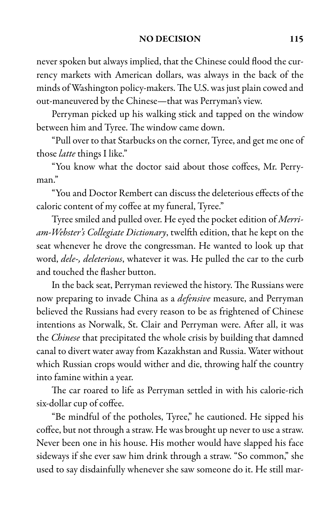never spoken but always implied, that the Chinese could flood the currency markets with American dollars, was always in the back of the minds of Washington policy-makers. The U.S. was just plain cowed and out-maneuvered by the Chinese—that was Perryman's view.

Perryman picked up his walking stick and tapped on the window between him and Tyree. The window came down.

"Pull over to that Starbucks on the corner, Tyree, and get me one of those latte things I like."

"You know what the doctor said about those coffees, Mr. Perryman."

"You and Doctor Rembert can discuss the deleterious effects of the caloric content of my coffee at my funeral, Tyree."

Tyree smiled and pulled over. He eyed the pocket edition of Merriam-Webster's Collegiate Dictionary, twelfth edition, that he kept on the seat whenever he drove the congressman. He wanted to look up that word, dele-, deleterious, whatever it was. He pulled the car to the curb and touched the flasher button.

In the back seat, Perryman reviewed the history. The Russians were now preparing to invade China as a *defensive* measure, and Perryman believed the Russians had every reason to be as frightened of Chinese intentions as Norwalk, St. Clair and Perryman were. After all, it was the Chinese that precipitated the whole crisis by building that damned canal to divert water away from Kazakhstan and Russia. Water without which Russian crops would wither and die, throwing half the country into famine within a year.

The car roared to life as Perryman settled in with his calorie-rich six-dollar cup of coffee.

"Be mindful of the potholes, Tyree," he cautioned. He sipped his coffee, but not through a straw. He was brought up never to use a straw. Never been one in his house. His mother would have slapped his face sideways if she ever saw him drink through a straw. "So common," she used to say disdainfully whenever she saw someone do it. He still mar-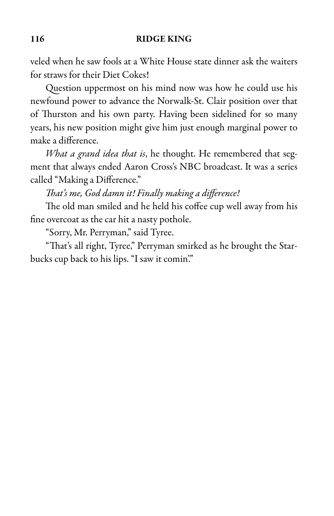veled when he saw fools at a White House state dinner ask the waiters for straws for their Diet Cokes!

Question uppermost on his mind now was how he could use his newfound power to advance the Norwalk-St. Clair position over that of Thurston and his own party. Having been sidelined for so many years, his new position might give him just enough marginal power to make a difference.

What a grand idea that is, he thought. He remembered that segment that always ended Aaron Cross's NBC broadcast. It was a series called "Making a Difference."

That's me, God damn it! Finally making a difference!

The old man smiled and he held his coffee cup well away from his fine overcoat as the car hit a nasty pothole.

"Sorry, Mr. Perryman," said Tyree.

"That's all right, Tyree," Perryman smirked as he brought the Starbucks cup back to his lips. "I saw it comin'."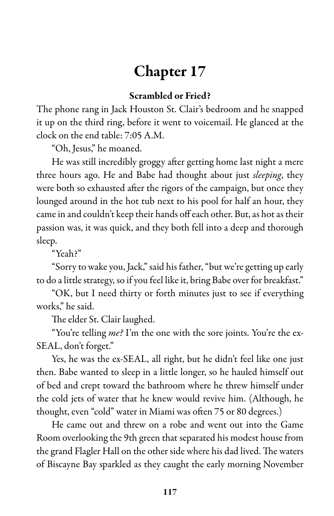## Scrambled or Fried?

The phone rang in Jack Houston St. Clair's bedroom and he snapped it up on the third ring, before it went to voicemail. He glanced at the clock on the end table: 7:05 A.M.

"Oh, Jesus," he moaned.

He was still incredibly groggy after getting home last night a mere three hours ago. He and Babe had thought about just *sleeping*, they were both so exhausted after the rigors of the campaign, but once they lounged around in the hot tub next to his pool for half an hour, they came in and couldn't keep their hands off each other. But, as hot as their passion was, it was quick, and they both fell into a deep and thorough sleep.

"Yeah?"

"Sorry to wake you, Jack," said his father, "but we're getting up early to do a little strategy, so if you feel like it, bring Babe over for breakfast."

"OK, but I need thirty or forth minutes just to see if everything works," he said.

The elder St. Clair laughed.

"You're telling *me*? I'm the one with the sore joints. You're the ex-SEAL, don't forget."

Yes, he was the ex-SEAL, all right, but he didn't feel like one just then. Babe wanted to sleep in a little longer, so he hauled himself out of bed and crept toward the bathroom where he threw himself under the cold jets of water that he knew would revive him. (Although, he thought, even "cold" water in Miami was often 75 or 80 degrees.)

He came out and threw on a robe and went out into the Game Room overlooking the 9th green that separated his modest house from the grand Flagler Hall on the other side where his dad lived. The waters of Biscayne Bay sparkled as they caught the early morning November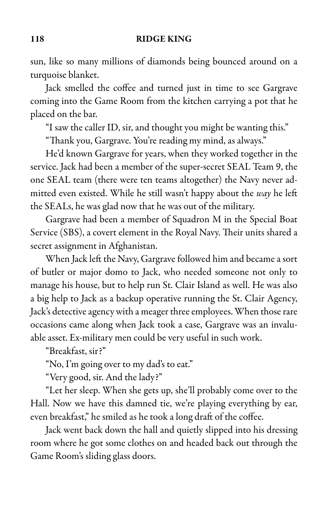sun, like so many millions of diamonds being bounced around on a turquoise blanket.

Jack smelled the coffee and turned just in time to see Gargrave coming into the Game Room from the kitchen carrying a pot that he placed on the bar.

"I saw the caller ID, sir, and thought you might be wanting this."

"Thank you, Gargrave. You're reading my mind, as always."

He'd known Gargrave for years, when they worked together in the service. Jack had been a member of the super-secret SEAL Team 9, the one SEAL team (there were ten teams altogether) the Navy never admitted even existed. While he still wasn't happy about the  $way$  he left the SEALs, he was glad now that he was out of the military.

Gargrave had been a member of Squadron M in the Special Boat Service (SBS), a covert element in the Royal Navy. Their units shared a secret assignment in Afghanistan.

When Jack left the Navy, Gargrave followed him and became a sort of butler or major domo to Jack, who needed someone not only to manage his house, but to help run St. Clair Island as well. He was also a big help to Jack as a backup operative running the St. Clair Agency, Jack's detective agency with a meager three employees. When those rare occasions came along when Jack took a case, Gargrave was an invaluable asset. Ex-military men could be very useful in such work.

"Breakfast, sir?"

"No, I'm going over to my dad's to eat."

"Very good, sir. And the lady?"

"Let her sleep. When she gets up, she'll probably come over to the Hall. Now we have this damned tie, we're playing everything by ear, even breakfast," he smiled as he took a long draft of the coffee.

Jack went back down the hall and quietly slipped into his dressing room where he got some clothes on and headed back out through the Game Room's sliding glass doors.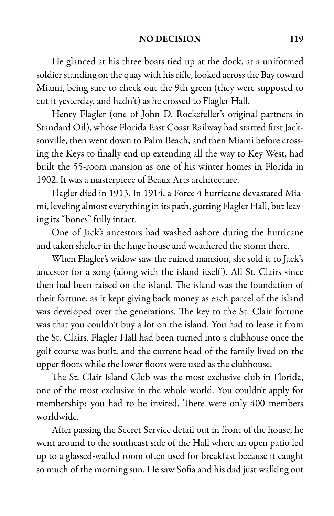He glanced at his three boats tied up at the dock, at a uniformed soldier standing on the quay with his rifle, looked across the Bay toward Miami, being sure to check out the 9th green (they were supposed to cut it yesterday, and hadn't) as he crossed to Flagler Hall.

Henry Flagler (one of John D. Rockefeller's original partners in Standard Oil), whose Florida East Coast Railway had started first Jacksonville, then went down to Palm Beach, and then Miami before crossing the Keys to finally end up extending all the way to Key West, had built the 55-room mansion as one of his winter homes in Florida in 1902. It was a masterpiece of Beaux Arts architecture.

Flagler died in 1913. In 1914, a Force 4 hurricane devastated Miami, leveling almost everything in its path, gutting Flagler Hall, but leaving its "bones" fully intact.

One of Jack's ancestors had washed ashore during the hurricane and taken shelter in the huge house and weathered the storm there.

When Flagler's widow saw the ruined mansion, she sold it to Jack's ancestor for a song (along with the island itself). All St. Clairs since then had been raised on the island. The island was the foundation of their fortune, as it kept giving back money as each parcel of the island was developed over the generations. The key to the St. Clair fortune was that you couldn't buy a lot on the island. You had to lease it from the St. Clairs. Flagler Hall had been turned into a clubhouse once the golf course was built, and the current head of the family lived on the upper floors while the lower floors were used as the clubhouse.

The St. Clair Island Club was the most exclusive club in Florida, one of the most exclusive in the whole world. You couldn't apply for membership: you had to be invited. There were only 400 members worldwide.

After passing the Secret Service detail out in front of the house, he went around to the southeast side of the Hall where an open patio led up to a glassed-walled room often used for breakfast because it caught so much of the morning sun. He saw Sofia and his dad just walking out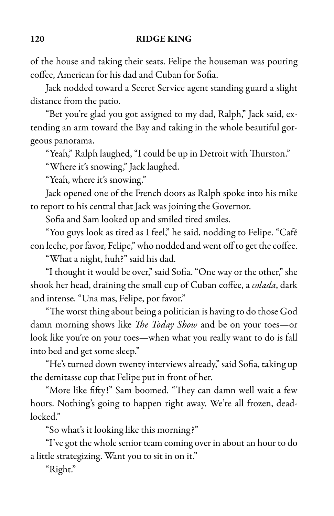of the house and taking their seats. Felipe the houseman was pouring coffee, American for his dad and Cuban for Sofia.

Jack nodded toward a Secret Service agent standing guard a slight distance from the patio.

"Bet you're glad you got assigned to my dad, Ralph," Jack said, extending an arm toward the Bay and taking in the whole beautiful gorgeous panorama.

"Yeah," Ralph laughed, "I could be up in Detroit with Thurston."

"Where it's snowing," Jack laughed.

"Yeah, where it's snowing."

Jack opened one of the French doors as Ralph spoke into his mike to report to his central that Jack was joining the Governor.

Sofia and Sam looked up and smiled tired smiles.

"You guys look as tired as I feel," he said, nodding to Felipe. "Café con leche, por favor, Felipe," who nodded and went off to get the coffee.

"What a night, huh?" said his dad.

"I thought it would be over," said Sofia. "One way or the other," she shook her head, draining the small cup of Cuban coffee, a *colada*, dark and intense. "Una mas, Felipe, por favor."

"The worst thing about being a politician is having to do those God damn morning shows like *The Today Show* and be on your toes—or look like you're on your toes—when what you really want to do is fall into bed and get some sleep."

"He's turned down twenty interviews already," said Sofia, taking up the demitasse cup that Felipe put in front of her.

"More like fifty!" Sam boomed. "They can damn well wait a few hours. Nothing's going to happen right away. We're all frozen, deadlocked."

"So what's it looking like this morning?"

"I've got the whole senior team coming over in about an hour to do a little strategizing. Want you to sit in on it."

"Right."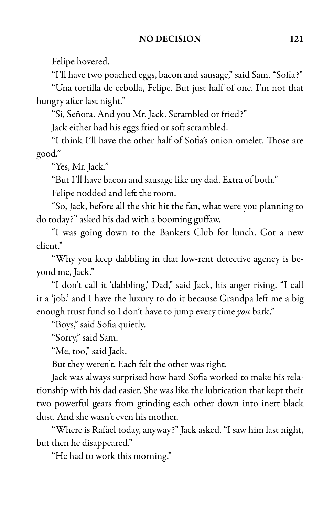Felipe hovered.

"I'll have two poached eggs, bacon and sausage," said Sam. "Sofia?"

"Una tortilla de cebolla, Felipe. But just half of one. I'm not that hungry after last night."

"Si, Señora. And you Mr. Jack. Scrambled or fried?"

Jack either had his eggs fried or soft scrambled.

"I think I'll have the other half of Sofia's onion omelet. Those are good."

"Yes, Mr. Jack."

"But I'll have bacon and sausage like my dad. Extra of both."

Felipe nodded and left the room.

"So, Jack, before all the shit hit the fan, what were you planning to do today?" asked his dad with a booming guffaw.

"I was going down to the Bankers Club for lunch. Got a new client."

"Why you keep dabbling in that low-rent detective agency is beyond me, Jack."

"I don't call it 'dabbling,' Dad," said Jack, his anger rising. "I call it a 'job,' and I have the luxury to do it because Grandpa left me a big enough trust fund so I don't have to jump every time you bark."

"Boys," said Sofia quietly.

"Sorry," said Sam.

"Me, too," said Jack.

But they weren't. Each felt the other was right.

Jack was always surprised how hard Sofia worked to make his relationship with his dad easier. She was like the lubrication that kept their two powerful gears from grinding each other down into inert black dust. And she wasn't even his mother.

"Where is Rafael today, anyway?" Jack asked. "I saw him last night, but then he disappeared."

"He had to work this morning."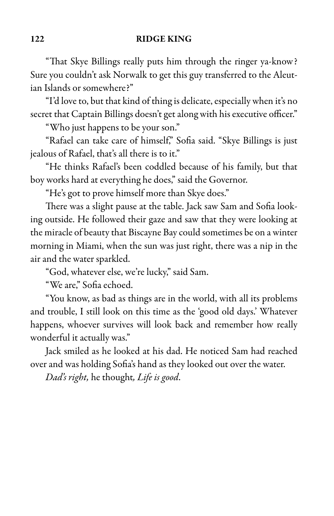"That Skye Billings really puts him through the ringer ya-know? Sure you couldn't ask Norwalk to get this guy transferred to the Aleutian Islands or somewhere?"

"I'd love to, but that kind of thing is delicate, especially when it's no secret that Captain Billings doesn't get along with his executive officer."

"Who just happens to be your son."

"Rafael can take care of himself," Sofia said. "Skye Billings is just jealous of Rafael, that's all there is to it."

"He thinks Rafael's been coddled because of his family, but that boy works hard at everything he does," said the Governor.

"He's got to prove himself more than Skye does."

There was a slight pause at the table. Jack saw Sam and Sofia looking outside. He followed their gaze and saw that they were looking at the miracle of beauty that Biscayne Bay could sometimes be on a winter morning in Miami, when the sun was just right, there was a nip in the air and the water sparkled.

"God, whatever else, we're lucky," said Sam.

"We are," Sofia echoed.

"You know, as bad as things are in the world, with all its problems and trouble, I still look on this time as the 'good old days.' Whatever happens, whoever survives will look back and remember how really wonderful it actually was."

Jack smiled as he looked at his dad. He noticed Sam had reached over and was holding Sofia's hand as they looked out over the water.

Dad's right, he thought, Life is good.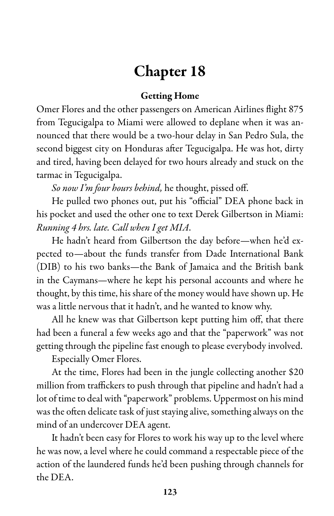## Getting Home

Omer Flores and the other passengers on American Airlines flight 875 from Tegucigalpa to Miami were allowed to deplane when it was announced that there would be a two-hour delay in San Pedro Sula, the second biggest city on Honduras after Tegucigalpa. He was hot, dirty and tired, having been delayed for two hours already and stuck on the tarmac in Tegucigalpa.

So now I'm four hours behind, he thought, pissed off.

He pulled two phones out, put his "official" DEA phone back in his pocket and used the other one to text Derek Gilbertson in Miami: Running 4 hrs. late. Call when I get MIA.

He hadn't heard from Gilbertson the day before—when he'd expected to—about the funds transfer from Dade International Bank (DIB) to his two banks—the Bank of Jamaica and the British bank in the Caymans—where he kept his personal accounts and where he thought, by this time, his share of the money would have shown up. He was a little nervous that it hadn't, and he wanted to know why.

All he knew was that Gilbertson kept putting him off, that there had been a funeral a few weeks ago and that the "paperwork" was not getting through the pipeline fast enough to please everybody involved.

Especially Omer Flores.

At the time, Flores had been in the jungle collecting another \$20 million from traffickers to push through that pipeline and hadn't had a lot of time to deal with "paperwork" problems. Uppermost on his mind was the often delicate task of just staying alive, something always on the mind of an undercover DEA agent.

It hadn't been easy for Flores to work his way up to the level where he was now, a level where he could command a respectable piece of the action of the laundered funds he'd been pushing through channels for the DEA.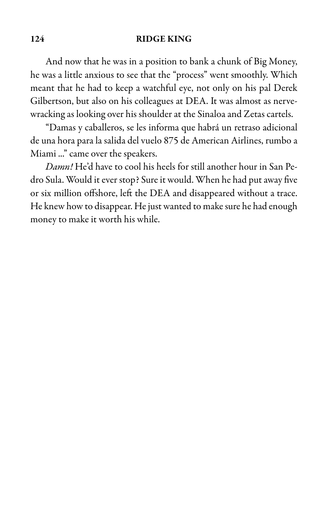And now that he was in a position to bank a chunk of Big Money, he was a little anxious to see that the "process" went smoothly. Which meant that he had to keep a watchful eye, not only on his pal Derek Gilbertson, but also on his colleagues at DEA. It was almost as nervewracking as looking over his shoulder at the Sinaloa and Zetas cartels.

"Damas y caballeros, se les informa que habrá un retraso adicional de una hora para la salida del vuelo 875 de American Airlines, rumbo a Miami ..." came over the speakers.

Damn! He'd have to cool his heels for still another hour in San Pedro Sula. Would it ever stop? Sure it would. When he had put away five or six million offshore, left the DEA and disappeared without a trace. He knew how to disappear. He just wanted to make sure he had enough money to make it worth his while.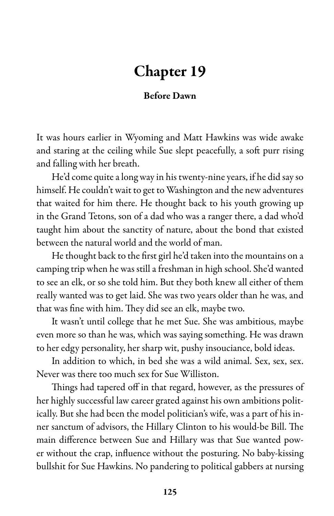## Before Dawn

It was hours earlier in Wyoming and Matt Hawkins was wide awake and staring at the ceiling while Sue slept peacefully, a soft purr rising and falling with her breath.

He'd come quite a long way in his twenty-nine years, if he did say so himself. He couldn't wait to get to Washington and the new adventures that waited for him there. He thought back to his youth growing up in the Grand Tetons, son of a dad who was a ranger there, a dad who'd taught him about the sanctity of nature, about the bond that existed between the natural world and the world of man.

He thought back to the first girl he'd taken into the mountains on a camping trip when he was still a freshman in high school. She'd wanted to see an elk, or so she told him. But they both knew all either of them really wanted was to get laid. She was two years older than he was, and that was fine with him. They did see an elk, maybe two.

It wasn't until college that he met Sue. She was ambitious, maybe even more so than he was, which was saying something. He was drawn to her edgy personality, her sharp wit, pushy insouciance, bold ideas.

In addition to which, in bed she was a wild animal. Sex, sex, sex. Never was there too much sex for Sue Williston.

Things had tapered off in that regard, however, as the pressures of her highly successful law career grated against his own ambitions politically. But she had been the model politician's wife, was a part of his inner sanctum of advisors, the Hillary Clinton to his would-be Bill. The main difference between Sue and Hillary was that Sue wanted power without the crap, influence without the posturing. No baby-kissing bullshit for Sue Hawkins. No pandering to political gabbers at nursing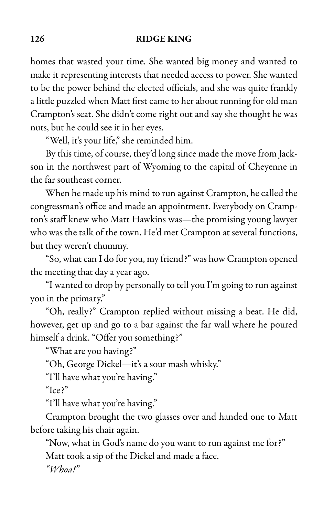homes that wasted your time. She wanted big money and wanted to make it representing interests that needed access to power. She wanted to be the power behind the elected officials, and she was quite frankly a little puzzled when Matt first came to her about running for old man Crampton's seat. She didn't come right out and say she thought he was nuts, but he could see it in her eyes.

"Well, it's your life," she reminded him.

By this time, of course, they'd long since made the move from Jackson in the northwest part of Wyoming to the capital of Cheyenne in the far southeast corner.

When he made up his mind to run against Crampton, he called the congressman's office and made an appointment. Everybody on Crampton's staff knew who Matt Hawkins was—the promising young lawyer who was the talk of the town. He'd met Crampton at several functions, but they weren't chummy.

"So, what can I do for you, my friend?" was how Crampton opened the meeting that day a year ago.

"I wanted to drop by personally to tell you I'm going to run against you in the primary."

"Oh, really?" Crampton replied without missing a beat. He did, however, get up and go to a bar against the far wall where he poured himself a drink. "Offer you something?"

"What are you having?"

"Oh, George Dickel—it's a sour mash whisky."

"I'll have what you're having."

"Ice?"

"I'll have what you're having."

Crampton brought the two glasses over and handed one to Matt before taking his chair again.

"Now, what in God's name do you want to run against me for?" Matt took a sip of the Dickel and made a face.

"Whoa!"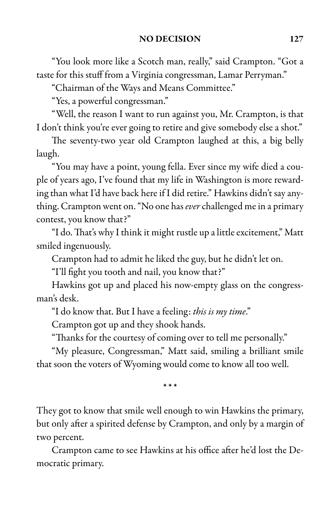"You look more like a Scotch man, really," said Crampton. "Got a taste for this stuff from a Virginia congressman, Lamar Perryman."

"Chairman of the Ways and Means Committee."

"Yes, a powerful congressman."

"Well, the reason I want to run against you, Mr. Crampton, is that I don't think you're ever going to retire and give somebody else a shot."

The seventy-two year old Crampton laughed at this, a big belly laugh.

"You may have a point, young fella. Ever since my wife died a couple of years ago, I've found that my life in Washington is more rewarding than what I'd have back here if I did retire." Hawkins didn't say anything. Crampton went on. "No one has ever challenged me in a primary contest, you know that?"

"I do. That's why I think it might rustle up a little excitement," Matt smiled ingenuously.

Crampton had to admit he liked the guy, but he didn't let on.

"I'll fight you tooth and nail, you know that?"

Hawkins got up and placed his now-empty glass on the congressman's desk.

"I do know that. But I have a feeling: this is my time."

Crampton got up and they shook hands.

"Thanks for the courtesy of coming over to tell me personally."

"My pleasure, Congressman," Matt said, smiling a brilliant smile that soon the voters of Wyoming would come to know all too well.

\* \* \*

They got to know that smile well enough to win Hawkins the primary, but only after a spirited defense by Crampton, and only by a margin of two percent.

Crampton came to see Hawkins at his office after he'd lost the Democratic primary.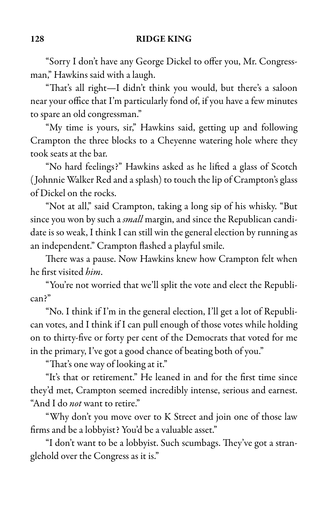"Sorry I don't have any George Dickel to offer you, Mr. Congressman," Hawkins said with a laugh.

"That's all right—I didn't think you would, but there's a saloon near your office that I'm particularly fond of, if you have a few minutes to spare an old congressman."

"My time is yours, sir," Hawkins said, getting up and following Crampton the three blocks to a Cheyenne watering hole where they took seats at the bar.

"No hard feelings?" Hawkins asked as he lifted a glass of Scotch (Johnnie Walker Red and a splash) to touch the lip of Crampton's glass of Dickel on the rocks.

"Not at all," said Crampton, taking a long sip of his whisky. "But since you won by such a *small* margin, and since the Republican candidate is so weak, I think I can still win the general election by running as an independent." Crampton flashed a playful smile.

There was a pause. Now Hawkins knew how Crampton felt when he first visited him.

"You're not worried that we'll split the vote and elect the Republican?"

"No. I think if I'm in the general election, I'll get a lot of Republican votes, and I think if I can pull enough of those votes while holding on to thirty-five or forty per cent of the Democrats that voted for me in the primary, I've got a good chance of beating both of you."

"That's one way of looking at it."

"It's that or retirement." He leaned in and for the first time since they'd met, Crampton seemed incredibly intense, serious and earnest. "And I do *not* want to retire."

"Why don't you move over to K Street and join one of those law firms and be a lobbyist? You'd be a valuable asset."

"I don't want to be a lobbyist. Such scumbags. They've got a stranglehold over the Congress as it is."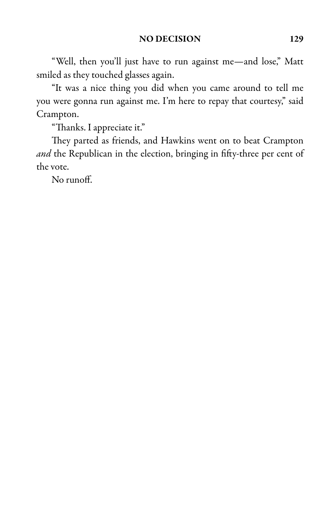"Well, then you'll just have to run against me—and lose," Matt smiled as they touched glasses again.

"It was a nice thing you did when you came around to tell me you were gonna run against me. I'm here to repay that courtesy," said Crampton.

"Thanks. I appreciate it."

They parted as friends, and Hawkins went on to beat Crampton and the Republican in the election, bringing in fifty-three per cent of the vote.

No runoff.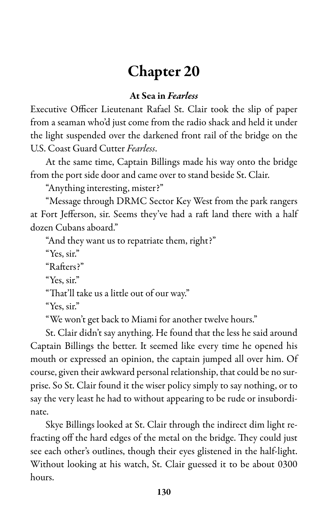## At Sea in Fearless

Executive Officer Lieutenant Rafael St. Clair took the slip of paper from a seaman who'd just come from the radio shack and held it under the light suspended over the darkened front rail of the bridge on the U.S. Coast Guard Cutter Fearless.

At the same time, Captain Billings made his way onto the bridge from the port side door and came over to stand beside St. Clair.

"Anything interesting, mister?"

"Message through DRMC Sector Key West from the park rangers at Fort Jefferson, sir. Seems they've had a raft land there with a half dozen Cubans aboard."

"And they want us to repatriate them, right?"

"Yes, sir."

"Rafters?"

"Yes, sir."

"That'll take us a little out of our way."

"Yes, sir."

"We won't get back to Miami for another twelve hours."

St. Clair didn't say anything. He found that the less he said around Captain Billings the better. It seemed like every time he opened his mouth or expressed an opinion, the captain jumped all over him. Of course, given their awkward personal relationship, that could be no surprise. So St. Clair found it the wiser policy simply to say nothing, or to say the very least he had to without appearing to be rude or insubordinate.

Skye Billings looked at St. Clair through the indirect dim light refracting off the hard edges of the metal on the bridge. They could just see each other's outlines, though their eyes glistened in the half-light. Without looking at his watch, St. Clair guessed it to be about 0300 hours.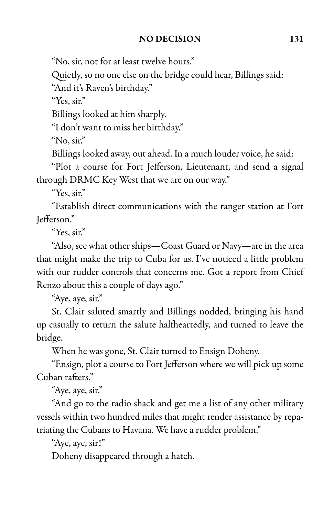"No, sir, not for at least twelve hours."

Quietly, so no one else on the bridge could hear, Billings said:

"And it's Raven's birthday."

"Yes, sir."

Billings looked at him sharply.

"I don't want to miss her birthday."

"No, sir."

Billings looked away, out ahead. In a much louder voice, he said:

"Plot a course for Fort Jefferson, Lieutenant, and send a signal through DRMC Key West that we are on our way."

"Yes, sir."

"Establish direct communications with the ranger station at Fort Jefferson."

"Yes, sir."

"Also, see what other ships—Coast Guard or Navy—are in the area that might make the trip to Cuba for us. I've noticed a little problem with our rudder controls that concerns me. Got a report from Chief Renzo about this a couple of days ago."

"Aye, aye, sir."

St. Clair saluted smartly and Billings nodded, bringing his hand up casually to return the salute halfheartedly, and turned to leave the bridge.

When he was gone, St. Clair turned to Ensign Doheny.

"Ensign, plot a course to Fort Jefferson where we will pick up some Cuban rafters."

"Aye, aye, sir."

"And go to the radio shack and get me a list of any other military vessels within two hundred miles that might render assistance by repatriating the Cubans to Havana. We have a rudder problem."

"Aye, aye, sir!"

Doheny disappeared through a hatch.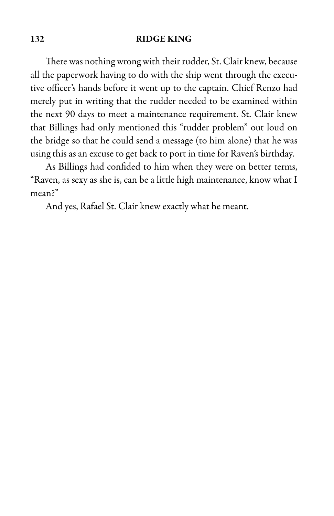There was nothing wrong with their rudder, St. Clair knew, because all the paperwork having to do with the ship went through the executive officer's hands before it went up to the captain. Chief Renzo had merely put in writing that the rudder needed to be examined within the next 90 days to meet a maintenance requirement. St. Clair knew that Billings had only mentioned this "rudder problem" out loud on the bridge so that he could send a message (to him alone) that he was using this as an excuse to get back to port in time for Raven's birthday.

As Billings had confided to him when they were on better terms, "Raven, as sexy as she is, can be a little high maintenance, know what I mean?"

And yes, Rafael St. Clair knew exactly what he meant.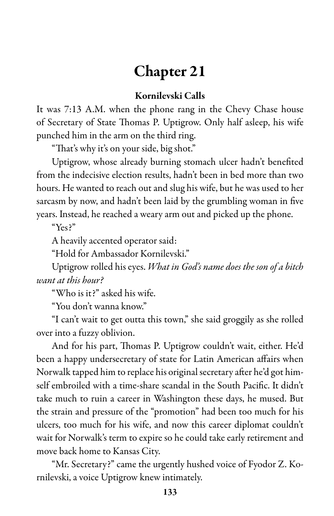## Kornilevski Calls

It was 7:13 A.M. when the phone rang in the Chevy Chase house of Secretary of State Thomas P. Uptigrow. Only half asleep, his wife punched him in the arm on the third ring.

"That's why it's on your side, big shot."

Uptigrow, whose already burning stomach ulcer hadn't benefited from the indecisive election results, hadn't been in bed more than two hours. He wanted to reach out and slug his wife, but he was used to her sarcasm by now, and hadn't been laid by the grumbling woman in five years. Instead, he reached a weary arm out and picked up the phone.

"Yes?"

A heavily accented operator said:

"Hold for Ambassador Kornilevski."

Uptigrow rolled his eyes. What in God's name does the son of a bitch want at this hour?

"Who is it?" asked his wife.

"You don't wanna know."

"I can't wait to get outta this town," she said groggily as she rolled over into a fuzzy oblivion.

And for his part, Thomas P. Uptigrow couldn't wait, either. He'd been a happy undersecretary of state for Latin American affairs when Norwalk tapped him to replace his original secretary after he'd got himself embroiled with a time-share scandal in the South Pacific. It didn't take much to ruin a career in Washington these days, he mused. But the strain and pressure of the "promotion" had been too much for his ulcers, too much for his wife, and now this career diplomat couldn't wait for Norwalk's term to expire so he could take early retirement and move back home to Kansas City.

"Mr. Secretary?" came the urgently hushed voice of Fyodor Z. Kornilevski, a voice Uptigrow knew intimately.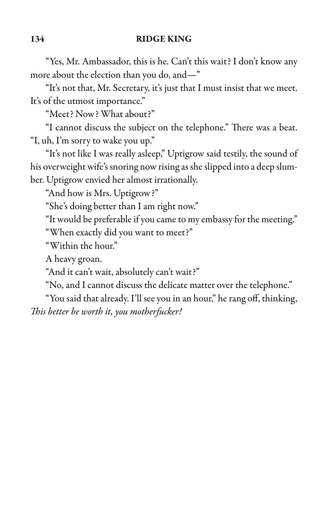"Yes, Mr. Ambassador, this is he. Can't this wait? I don't know any more about the election than you do, and—"

"It's not that, Mr. Secretary, it's just that I must insist that we meet. It's of the utmost importance."

"Meet? Now? What about?"

"I cannot discuss the subject on the telephone." There was a beat. "I, uh, I'm sorry to wake you up."

"It's not like I was really asleep," Uptigrow said testily, the sound of his overweight wife's snoring now rising as she slipped into a deep slumber. Uptigrow envied her almost irrationally.

"And how is Mrs. Uptigrow?"

"She's doing better than I am right now."

"It would be preferable if you came to my embassy for the meeting."

"When exactly did you want to meet?"

"Within the hour."

A heavy groan.

"And it can't wait, absolutely can't wait?"

"No, and I cannot discuss the delicate matter over the telephone."

"You said that already. I'll see you in an hour," he rang off, thinking, This better be worth it, you motherfucker!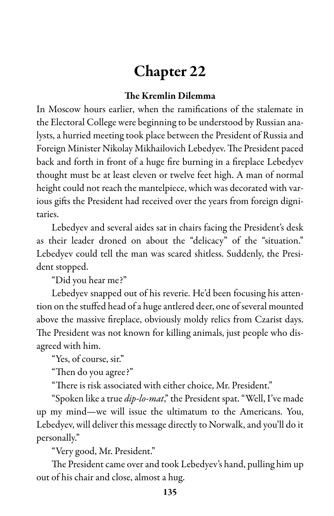## The Kremlin Dilemma

In Moscow hours earlier, when the ramifications of the stalemate in the Electoral College were beginning to be understood by Russian analysts, a hurried meeting took place between the President of Russia and Foreign Minister Nikolay Mikhailovich Lebedyev. The President paced back and forth in front of a huge fire burning in a fireplace Lebedyev thought must be at least eleven or twelve feet high. A man of normal height could not reach the mantelpiece, which was decorated with various gifts the President had received over the years from foreign dignitaries.

Lebedyev and several aides sat in chairs facing the President's desk as their leader droned on about the "delicacy" of the "situation." Lebedyev could tell the man was scared shitless. Suddenly, the President stopped.

"Did you hear me?"

Lebedyev snapped out of his reverie. He'd been focusing his attention on the stuffed head of a huge antlered deer, one of several mounted above the massive fireplace, obviously moldy relics from Czarist days. The President was not known for killing animals, just people who disagreed with him.

"Yes, of course, sir."

"Then do you agree?"

"There is risk associated with either choice, Mr. President."

"Spoken like a true *dip-lo-mat*," the President spat. "Well, I've made up my mind—we will issue the ultimatum to the Americans. You, Lebedyev, will deliver this message directly to Norwalk, and you'll do it personally."

"Very good, Mr. President."

The President came over and took Lebedyev's hand, pulling him up out of his chair and close, almost a hug.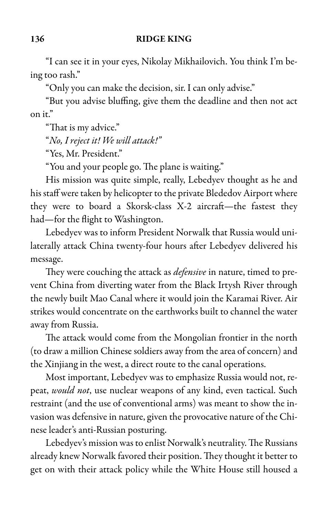"I can see it in your eyes, Nikolay Mikhailovich. You think I'm being too rash."

"Only you can make the decision, sir. I can only advise."

"But you advise bluffing, give them the deadline and then not act on it."

"That is my advice."

"No, I reject it! We will attack!"

"Yes, Mr. President."

"You and your people go. The plane is waiting."

His mission was quite simple, really, Lebedyev thought as he and his staff were taken by helicopter to the private Blededov Airport where they were to board a Skorsk-class X-2 aircraft—the fastest they had—for the flight to Washington.

Lebedyev was to inform President Norwalk that Russia would unilaterally attack China twenty-four hours after Lebedyev delivered his message.

They were couching the attack as *defensive* in nature, timed to prevent China from diverting water from the Black Irtysh River through the newly built Mao Canal where it would join the Karamai River. Air strikes would concentrate on the earthworks built to channel the water away from Russia.

The attack would come from the Mongolian frontier in the north (to draw a million Chinese soldiers away from the area of concern) and the Xinjiang in the west, a direct route to the canal operations.

Most important, Lebedyev was to emphasize Russia would not, repeat, would not, use nuclear weapons of any kind, even tactical. Such restraint (and the use of conventional arms) was meant to show the invasion was defensive in nature, given the provocative nature of the Chinese leader's anti-Russian posturing.

Lebedyev's mission was to enlist Norwalk's neutrality. The Russians already knew Norwalk favored their position. They thought it better to get on with their attack policy while the White House still housed a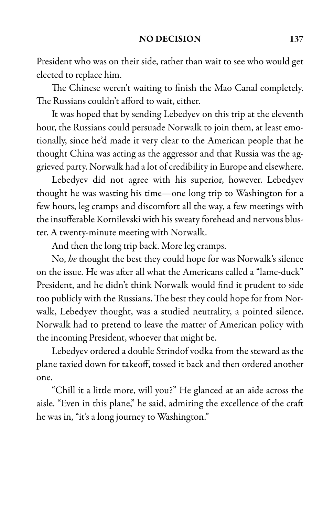President who was on their side, rather than wait to see who would get elected to replace him.

The Chinese weren't waiting to finish the Mao Canal completely. The Russians couldn't afford to wait, either.

It was hoped that by sending Lebedyev on this trip at the eleventh hour, the Russians could persuade Norwalk to join them, at least emotionally, since he'd made it very clear to the American people that he thought China was acting as the aggressor and that Russia was the aggrieved party. Norwalk had a lot of credibility in Europe and elsewhere.

Lebedyev did not agree with his superior, however. Lebedyev thought he was wasting his time—one long trip to Washington for a few hours, leg cramps and discomfort all the way, a few meetings with the insufferable Kornilevski with his sweaty forehead and nervous bluster. A twenty-minute meeting with Norwalk.

And then the long trip back. More leg cramps.

No, he thought the best they could hope for was Norwalk's silence on the issue. He was after all what the Americans called a "lame-duck" President, and he didn't think Norwalk would find it prudent to side too publicly with the Russians. The best they could hope for from Norwalk, Lebedyev thought, was a studied neutrality, a pointed silence. Norwalk had to pretend to leave the matter of American policy with the incoming President, whoever that might be.

Lebedyev ordered a double Strindof vodka from the steward as the plane taxied down for takeoff, tossed it back and then ordered another one.

"Chill it a little more, will you?" He glanced at an aide across the aisle. "Even in this plane," he said, admiring the excellence of the craft he was in, "it's a long journey to Washington."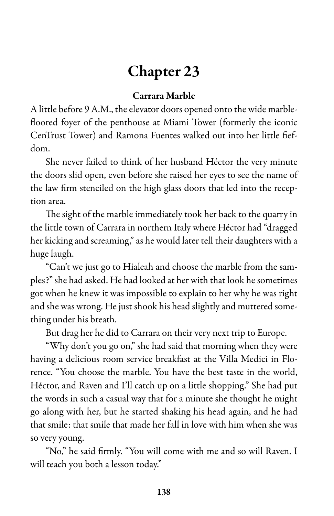## Carrara Marble

A little before 9 A.M., the elevator doors opened onto the wide marblefloored foyer of the penthouse at Miami Tower (formerly the iconic CenTrust Tower) and Ramona Fuentes walked out into her little fiefdom.

She never failed to think of her husband Héctor the very minute the doors slid open, even before she raised her eyes to see the name of the law firm stenciled on the high glass doors that led into the reception area.

The sight of the marble immediately took her back to the quarry in the little town of Carrara in northern Italy where Héctor had "dragged her kicking and screaming," as he would later tell their daughters with a huge laugh.

"Can't we just go to Hialeah and choose the marble from the samples?" she had asked. He had looked at her with that look he sometimes got when he knew it was impossible to explain to her why he was right and she was wrong. He just shook his head slightly and muttered something under his breath.

But drag her he did to Carrara on their very next trip to Europe.

"Why don't you go on," she had said that morning when they were having a delicious room service breakfast at the Villa Medici in Florence. "You choose the marble. You have the best taste in the world, Héctor, and Raven and I'll catch up on a little shopping." She had put the words in such a casual way that for a minute she thought he might go along with her, but he started shaking his head again, and he had that smile: that smile that made her fall in love with him when she was so very young.

"No," he said firmly. "You will come with me and so will Raven. I will teach you both a lesson today."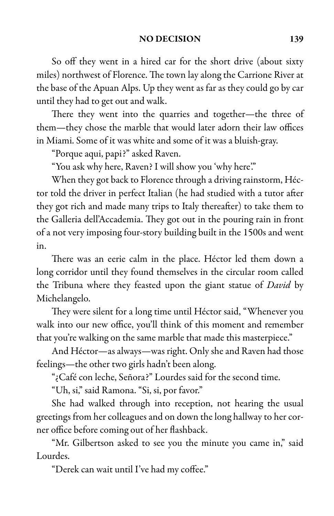So off they went in a hired car for the short drive (about sixty miles) northwest of Florence. The town lay along the Carrione River at the base of the Apuan Alps. Up they went as far as they could go by car until they had to get out and walk.

There they went into the quarries and together—the three of them—they chose the marble that would later adorn their law offices in Miami. Some of it was white and some of it was a bluish-gray.

"Porque aqui, papi?" asked Raven.

"You ask why here, Raven? I will show you 'why here'."

When they got back to Florence through a driving rainstorm, Héctor told the driver in perfect Italian (he had studied with a tutor after they got rich and made many trips to Italy thereafter) to take them to the Galleria dell'Accademia. They got out in the pouring rain in front of a not very imposing four-story building built in the 1500s and went in.

There was an eerie calm in the place. Héctor led them down a long corridor until they found themselves in the circular room called the Tribuna where they feasted upon the giant statue of David by Michelangelo.

They were silent for a long time until Héctor said, "Whenever you walk into our new office, you'll think of this moment and remember that you're walking on the same marble that made this masterpiece."

And Héctor—as always—was right. Only she and Raven had those feelings—the other two girls hadn't been along.

"¿Café con leche, Señora?" Lourdes said for the second time.

"Uh, si," said Ramona. "Si, si, por favor."

She had walked through into reception, not hearing the usual greetings from her colleagues and on down the long hallway to her corner office before coming out of her flashback.

"Mr. Gilbertson asked to see you the minute you came in," said Lourdes.

"Derek can wait until I've had my coffee."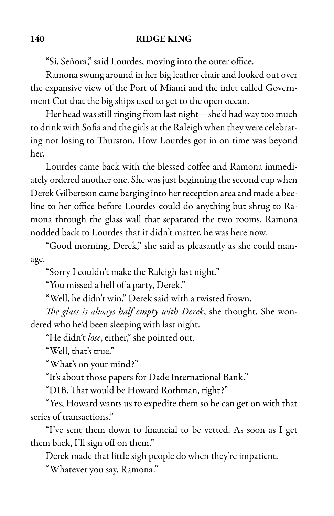"Si, Señora," said Lourdes, moving into the outer office.

Ramona swung around in her big leather chair and looked out over the expansive view of the Port of Miami and the inlet called Government Cut that the big ships used to get to the open ocean.

Her head was still ringing from last night—she'd had way too much to drink with Sofia and the girls at the Raleigh when they were celebrating not losing to Thurston. How Lourdes got in on time was beyond her.

Lourdes came back with the blessed coffee and Ramona immediately ordered another one. She was just beginning the second cup when Derek Gilbertson came barging into her reception area and made a beeline to her office before Lourdes could do anything but shrug to Ramona through the glass wall that separated the two rooms. Ramona nodded back to Lourdes that it didn't matter, he was here now.

"Good morning, Derek," she said as pleasantly as she could manage.

"Sorry I couldn't make the Raleigh last night."

"You missed a hell of a party, Derek."

"Well, he didn't win," Derek said with a twisted frown.

The glass is always half empty with Derek, she thought. She wondered who he'd been sleeping with last night.

"He didn't lose, either," she pointed out.

"Well, that's true."

"What's on your mind?"

"It's about those papers for Dade International Bank."

"DIB. That would be Howard Rothman, right?"

"Yes, Howard wants us to expedite them so he can get on with that series of transactions."

"I've sent them down to financial to be vetted. As soon as I get them back, I'll sign off on them."

Derek made that little sigh people do when they're impatient.

"Whatever you say, Ramona."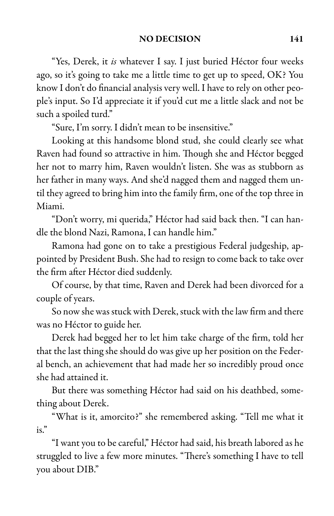"Yes, Derek, it is whatever I say. I just buried Héctor four weeks ago, so it's going to take me a little time to get up to speed, OK? You know I don't do financial analysis very well. I have to rely on other people's input. So I'd appreciate it if you'd cut me a little slack and not be such a spoiled turd."

"Sure, I'm sorry. I didn't mean to be insensitive."

Looking at this handsome blond stud, she could clearly see what Raven had found so attractive in him. Though she and Héctor begged her not to marry him, Raven wouldn't listen. She was as stubborn as her father in many ways. And she'd nagged them and nagged them until they agreed to bring him into the family firm, one of the top three in Miami.

"Don't worry, mi querida," Héctor had said back then. "I can handle the blond Nazi, Ramona, I can handle him."

Ramona had gone on to take a prestigious Federal judgeship, appointed by President Bush. She had to resign to come back to take over the firm after Héctor died suddenly.

Of course, by that time, Raven and Derek had been divorced for a couple of years.

So now she was stuck with Derek, stuck with the law firm and there was no Héctor to guide her.

Derek had begged her to let him take charge of the firm, told her that the last thing she should do was give up her position on the Federal bench, an achievement that had made her so incredibly proud once she had attained it.

But there was something Héctor had said on his deathbed, something about Derek.

"What is it, amorcito?" she remembered asking. "Tell me what it is."

"I want you to be careful," Héctor had said, his breath labored as he struggled to live a few more minutes. "There's something I have to tell you about DIB."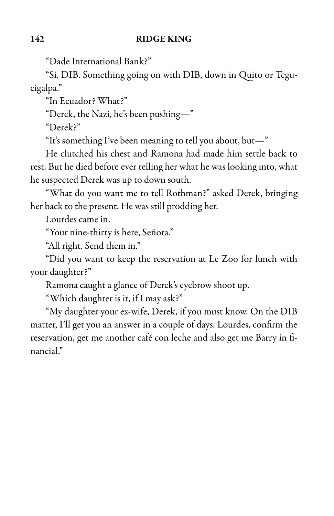"Dade International Bank?"

"Si. DIB. Something going on with DIB, down in Quito or Tegucigalpa."

"In Ecuador? What?"

"Derek, the Nazi, he's been pushing—"

"Derek?"

"It's something I've been meaning to tell you about, but—"

He clutched his chest and Ramona had made him settle back to rest. But he died before ever telling her what he was looking into, what he suspected Derek was up to down south.

"What do you want me to tell Rothman?" asked Derek, bringing her back to the present. He was still prodding her.

Lourdes came in.

"Your nine-thirty is here, Señora."

"All right. Send them in."

"Did you want to keep the reservation at Le Zoo for lunch with your daughter?"

Ramona caught a glance of Derek's eyebrow shoot up.

"Which daughter is it, if I may ask?"

"My daughter your ex-wife, Derek, if you must know. On the DIB matter, I'll get you an answer in a couple of days. Lourdes, confirm the reservation, get me another café con leche and also get me Barry in financial."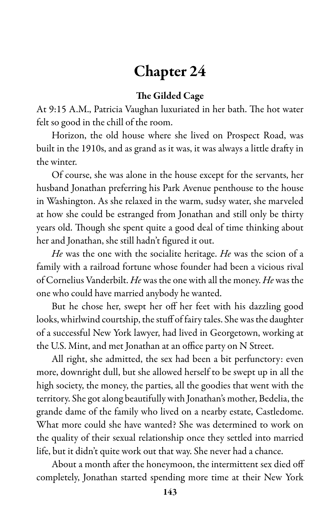## The Gilded Cage

At 9:15 A.M., Patricia Vaughan luxuriated in her bath. The hot water felt so good in the chill of the room.

Horizon, the old house where she lived on Prospect Road, was built in the 1910s, and as grand as it was, it was always a little drafty in the winter.

Of course, she was alone in the house except for the servants, her husband Jonathan preferring his Park Avenue penthouse to the house in Washington. As she relaxed in the warm, sudsy water, she marveled at how she could be estranged from Jonathan and still only be thirty years old. Though she spent quite a good deal of time thinking about her and Jonathan, she still hadn't figured it out.

He was the one with the socialite heritage. He was the scion of a family with a railroad fortune whose founder had been a vicious rival of Cornelius Vanderbilt. He was the one with all the money. He was the one who could have married anybody he wanted.

But he chose her, swept her off her feet with his dazzling good looks, whirlwind courtship, the stuff of fairy tales. She was the daughter of a successful New York lawyer, had lived in Georgetown, working at the U.S. Mint, and met Jonathan at an office party on N Street.

All right, she admitted, the sex had been a bit perfunctory: even more, downright dull, but she allowed herself to be swept up in all the high society, the money, the parties, all the goodies that went with the territory. She got along beautifully with Jonathan's mother, Bedelia, the grande dame of the family who lived on a nearby estate, Castledome. What more could she have wanted? She was determined to work on the quality of their sexual relationship once they settled into married life, but it didn't quite work out that way. She never had a chance.

About a month after the honeymoon, the intermittent sex died off completely, Jonathan started spending more time at their New York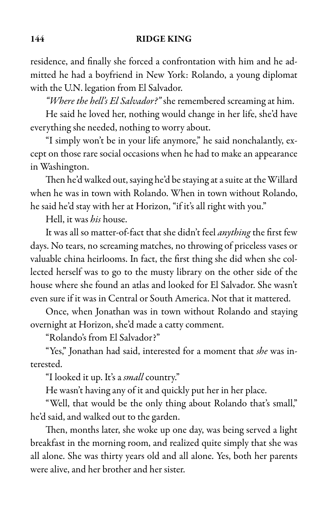residence, and finally she forced a confrontation with him and he admitted he had a boyfriend in New York: Rolando, a young diplomat with the U.N. legation from El Salvador.

"Where the hell's El Salvador?" she remembered screaming at him.

He said he loved her, nothing would change in her life, she'd have everything she needed, nothing to worry about.

"I simply won't be in your life anymore," he said nonchalantly, except on those rare social occasions when he had to make an appearance in Washington.

Then he'd walked out, saying he'd be staying at a suite at the Willard when he was in town with Rolando. When in town without Rolando, he said he'd stay with her at Horizon, "if it's all right with you."

Hell, it was *his* house.

It was all so matter-of-fact that she didn't feel *anything* the first few days. No tears, no screaming matches, no throwing of priceless vases or valuable china heirlooms. In fact, the first thing she did when she collected herself was to go to the musty library on the other side of the house where she found an atlas and looked for El Salvador. She wasn't even sure if it was in Central or South America. Not that it mattered.

Once, when Jonathan was in town without Rolando and staying overnight at Horizon, she'd made a catty comment.

"Rolando's from El Salvador?"

"Yes," Jonathan had said, interested for a moment that she was interested.

"I looked it up. It's a *small* country."

He wasn't having any of it and quickly put her in her place.

"Well, that would be the only thing about Rolando that's small," he'd said, and walked out to the garden.

Then, months later, she woke up one day, was being served a light breakfast in the morning room, and realized quite simply that she was all alone. She was thirty years old and all alone. Yes, both her parents were alive, and her brother and her sister.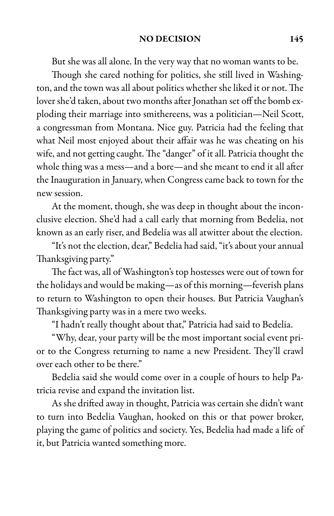But she was all alone. In the very way that no woman wants to be.

Though she cared nothing for politics, she still lived in Washington, and the town was all about politics whether she liked it or not. The lover she'd taken, about two months after Jonathan set off the bomb exploding their marriage into smithereens, was a politician—Neil Scott, a congressman from Montana. Nice guy. Patricia had the feeling that what Neil most enjoyed about their affair was he was cheating on his wife, and not getting caught. The "danger" of it all. Patricia thought the whole thing was a mess—and a bore—and she meant to end it all after the Inauguration in January, when Congress came back to town for the new session.

At the moment, though, she was deep in thought about the inconclusive election. She'd had a call early that morning from Bedelia, not known as an early riser, and Bedelia was all atwitter about the election.

"It's not the election, dear," Bedelia had said, "it's about your annual Thanksgiving party."

The fact was, all of Washington's top hostesses were out of town for the holidays and would be making—as of this morning—feverish plans to return to Washington to open their houses. But Patricia Vaughan's Thanksgiving party was in a mere two weeks.

"I hadn't really thought about that," Patricia had said to Bedelia.

"Why, dear, your party will be the most important social event prior to the Congress returning to name a new President. They'll crawl over each other to be there."

Bedelia said she would come over in a couple of hours to help Patricia revise and expand the invitation list.

As she drifted away in thought, Patricia was certain she didn't want to turn into Bedelia Vaughan, hooked on this or that power broker, playing the game of politics and society. Yes, Bedelia had made a life of it, but Patricia wanted something more.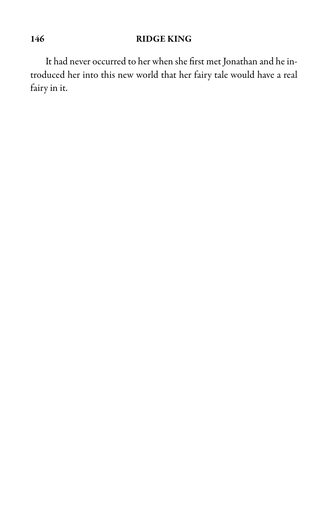It had never occurred to her when she first met Jonathan and he introduced her into this new world that her fairy tale would have a real fairy in it.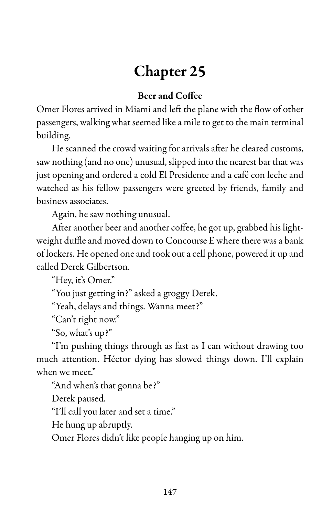## Beer and Coffee

Omer Flores arrived in Miami and left the plane with the flow of other passengers, walking what seemed like a mile to get to the main terminal building.

He scanned the crowd waiting for arrivals after he cleared customs, saw nothing (and no one) unusual, slipped into the nearest bar that was just opening and ordered a cold El Presidente and a café con leche and watched as his fellow passengers were greeted by friends, family and business associates.

Again, he saw nothing unusual.

After another beer and another coffee, he got up, grabbed his lightweight duffle and moved down to Concourse E where there was a bank of lockers. He opened one and took out a cell phone, powered it up and called Derek Gilbertson.

"Hey, it's Omer."

"You just getting in?" asked a groggy Derek.

"Yeah, delays and things. Wanna meet?"

"Can't right now."

"So, what's up?"

"I'm pushing things through as fast as I can without drawing too much attention. Héctor dying has slowed things down. I'll explain when we meet."

"And when's that gonna be?"

Derek paused.

"I'll call you later and set a time."

He hung up abruptly.

Omer Flores didn't like people hanging up on him.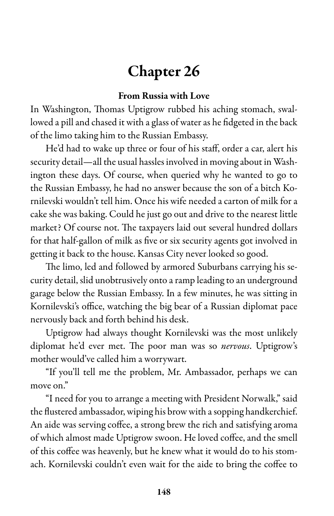### From Russia with Love

In Washington, Thomas Uptigrow rubbed his aching stomach, swallowed a pill and chased it with a glass of water as he fidgeted in the back of the limo taking him to the Russian Embassy.

He'd had to wake up three or four of his staff, order a car, alert his security detail—all the usual hassles involved in moving about in Washington these days. Of course, when queried why he wanted to go to the Russian Embassy, he had no answer because the son of a bitch Kornilevski wouldn't tell him. Once his wife needed a carton of milk for a cake she was baking. Could he just go out and drive to the nearest little market? Of course not. The taxpayers laid out several hundred dollars for that half-gallon of milk as five or six security agents got involved in getting it back to the house. Kansas City never looked so good.

The limo, led and followed by armored Suburbans carrying his security detail, slid unobtrusively onto a ramp leading to an underground garage below the Russian Embassy. In a few minutes, he was sitting in Kornilevski's office, watching the big bear of a Russian diplomat pace nervously back and forth behind his desk.

Uptigrow had always thought Kornilevski was the most unlikely diplomat he'd ever met. The poor man was so *nervous*. Uptigrow's mother would've called him a worrywart.

"If you'll tell me the problem, Mr. Ambassador, perhaps we can move on."

"I need for you to arrange a meeting with President Norwalk," said the flustered ambassador, wiping his brow with a sopping handkerchief. An aide was serving coffee, a strong brew the rich and satisfying aroma of which almost made Uptigrow swoon. He loved coffee, and the smell of this coffee was heavenly, but he knew what it would do to his stomach. Kornilevski couldn't even wait for the aide to bring the coffee to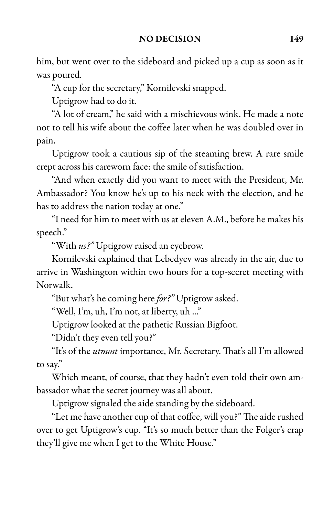him, but went over to the sideboard and picked up a cup as soon as it was poured.

"A cup for the secretary," Kornilevski snapped.

Uptigrow had to do it.

"A lot of cream," he said with a mischievous wink. He made a note not to tell his wife about the coffee later when he was doubled over in pain.

Uptigrow took a cautious sip of the steaming brew. A rare smile crept across his careworn face: the smile of satisfaction.

"And when exactly did you want to meet with the President, Mr. Ambassador? You know he's up to his neck with the election, and he has to address the nation today at one."

"I need for him to meet with us at eleven A.M., before he makes his speech."

"With us?" Uptigrow raised an eyebrow.

Kornilevski explained that Lebedyev was already in the air, due to arrive in Washington within two hours for a top-secret meeting with Norwalk.

"But what's he coming here for?" Uptigrow asked.

"Well, I'm, uh, I'm not, at liberty, uh ..."

Uptigrow looked at the pathetic Russian Bigfoot.

"Didn't they even tell you?"

"It's of the utmost importance, Mr. Secretary. That's all I'm allowed to say."

Which meant, of course, that they hadn't even told their own ambassador what the secret journey was all about.

Uptigrow signaled the aide standing by the sideboard.

"Let me have another cup of that coffee, will you?" The aide rushed over to get Uptigrow's cup. "It's so much better than the Folger's crap they'll give me when I get to the White House."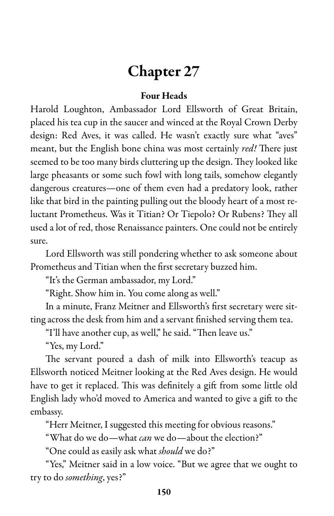### Four Heads

Harold Loughton, Ambassador Lord Ellsworth of Great Britain, placed his tea cup in the saucer and winced at the Royal Crown Derby design: Red Aves, it was called. He wasn't exactly sure what "aves" meant, but the English bone china was most certainly *red!* There just seemed to be too many birds cluttering up the design. They looked like large pheasants or some such fowl with long tails, somehow elegantly dangerous creatures—one of them even had a predatory look, rather like that bird in the painting pulling out the bloody heart of a most reluctant Prometheus. Was it Titian? Or Tiepolo? Or Rubens? They all used a lot of red, those Renaissance painters. One could not be entirely sure.

Lord Ellsworth was still pondering whether to ask someone about Prometheus and Titian when the first secretary buzzed him.

"It's the German ambassador, my Lord."

"Right. Show him in. You come along as well."

In a minute, Franz Meitner and Ellsworth's first secretary were sitting across the desk from him and a servant finished serving them tea.

"I'll have another cup, as well," he said. "Then leave us."

"Yes, my Lord."

The servant poured a dash of milk into Ellsworth's teacup as Ellsworth noticed Meitner looking at the Red Aves design. He would have to get it replaced. This was definitely a gift from some little old English lady who'd moved to America and wanted to give a gift to the embassy.

"Herr Meitner, I suggested this meeting for obvious reasons."

"What do we do—what can we do—about the election?"

"One could as easily ask what *should* we do?"

"Yes," Meitner said in a low voice. "But we agree that we ought to try to do something, yes?"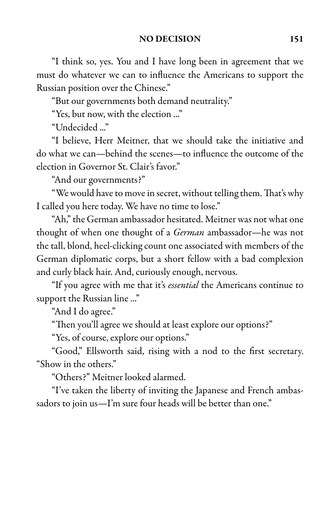"I think so, yes. You and I have long been in agreement that we must do whatever we can to influence the Americans to support the Russian position over the Chinese."

"But our governments both demand neutrality."

"Yes, but now, with the election ..."

"Undecided ..."

"I believe, Herr Meitner, that we should take the initiative and do what we can—behind the scenes—to influence the outcome of the election in Governor St. Clair's favor."

"And our governments?"

"We would have to move in secret, without telling them. That's why I called you here today. We have no time to lose."

"Ah," the German ambassador hesitated. Meitner was not what one thought of when one thought of a German ambassador—he was not the tall, blond, heel-clicking count one associated with members of the German diplomatic corps, but a short fellow with a bad complexion and curly black hair. And, curiously enough, nervous.

"If you agree with me that it's *essential* the Americans continue to support the Russian line ..."

"And I do agree."

"Then you'll agree we should at least explore our options?"

"Yes, of course, explore our options."

"Good," Ellsworth said, rising with a nod to the first secretary. "Show in the others."

"Others?" Meitner looked alarmed.

"I've taken the liberty of inviting the Japanese and French ambassadors to join us—I'm sure four heads will be better than one."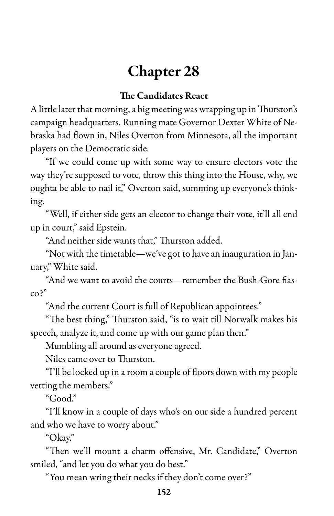### The Candidates React

A little later that morning, a big meeting was wrapping up in Thurston's campaign headquarters. Running mate Governor Dexter White of Nebraska had flown in, Niles Overton from Minnesota, all the important players on the Democratic side.

"If we could come up with some way to ensure electors vote the way they're supposed to vote, throw this thing into the House, why, we oughta be able to nail it," Overton said, summing up everyone's thinking.

"Well, if either side gets an elector to change their vote, it'll all end up in court," said Epstein.

"And neither side wants that," Thurston added.

"Not with the timetable—we've got to have an inauguration in January," White said.

"And we want to avoid the courts—remember the Bush-Gore fiasco?"

"And the current Court is full of Republican appointees."

"The best thing," Thurston said, "is to wait till Norwalk makes his speech, analyze it, and come up with our game plan then."

Mumbling all around as everyone agreed.

Niles came over to Thurston.

"I'll be locked up in a room a couple of floors down with my people vetting the members."

"Good."

"I'll know in a couple of days who's on our side a hundred percent and who we have to worry about."

"Okay."

"Then we'll mount a charm offensive, Mr. Candidate," Overton smiled, "and let you do what you do best."

"You mean wring their necks if they don't come over?"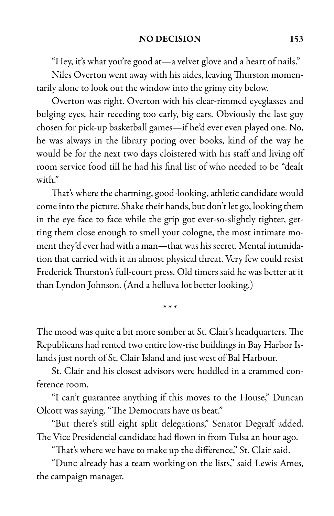"Hey, it's what you're good at—a velvet glove and a heart of nails."

Niles Overton went away with his aides, leaving Thurston momentarily alone to look out the window into the grimy city below.

Overton was right. Overton with his clear-rimmed eyeglasses and bulging eyes, hair receding too early, big ears. Obviously the last guy chosen for pick-up basketball games—if he'd ever even played one. No, he was always in the library poring over books, kind of the way he would be for the next two days cloistered with his staff and living off room service food till he had his final list of who needed to be "dealt with."

That's where the charming, good-looking, athletic candidate would come into the picture. Shake their hands, but don't let go, looking them in the eye face to face while the grip got ever-so-slightly tighter, getting them close enough to smell your cologne, the most intimate moment they'd ever had with a man—that was his secret. Mental intimidation that carried with it an almost physical threat. Very few could resist Frederick Thurston's full-court press. Old timers said he was better at it than Lyndon Johnson. (And a helluva lot better looking.)

\* \* \*

The mood was quite a bit more somber at St. Clair's headquarters. The Republicans had rented two entire low-rise buildings in Bay Harbor Islands just north of St. Clair Island and just west of Bal Harbour.

St. Clair and his closest advisors were huddled in a crammed conference room.

"I can't guarantee anything if this moves to the House," Duncan Olcott was saying. "The Democrats have us beat."

"But there's still eight split delegations," Senator Degraff added. The Vice Presidential candidate had flown in from Tulsa an hour ago.

"That's where we have to make up the difference," St. Clair said.

"Dunc already has a team working on the lists," said Lewis Ames, the campaign manager.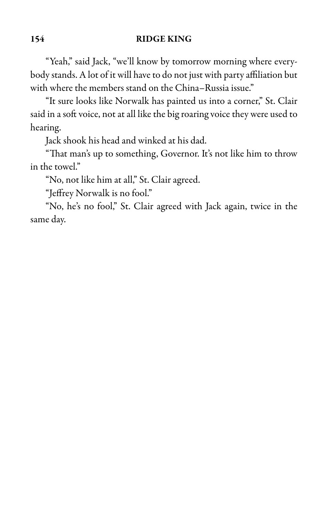"Yeah," said Jack, "we'll know by tomorrow morning where everybody stands. A lot of it will have to do not just with party affiliation but with where the members stand on the China–Russia issue."

"It sure looks like Norwalk has painted us into a corner," St. Clair said in a soft voice, not at all like the big roaring voice they were used to hearing.

Jack shook his head and winked at his dad.

"That man's up to something, Governor. It's not like him to throw in the towel."

"No, not like him at all," St. Clair agreed.

"Jeffrey Norwalk is no fool."

"No, he's no fool," St. Clair agreed with Jack again, twice in the same day.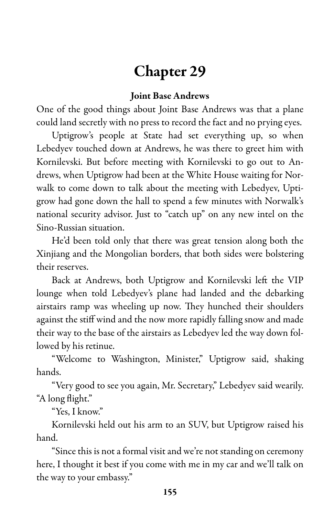### Joint Base Andrews

One of the good things about Joint Base Andrews was that a plane could land secretly with no press to record the fact and no prying eyes.

Uptigrow's people at State had set everything up, so when Lebedyev touched down at Andrews, he was there to greet him with Kornilevski. But before meeting with Kornilevski to go out to Andrews, when Uptigrow had been at the White House waiting for Norwalk to come down to talk about the meeting with Lebedyev, Uptigrow had gone down the hall to spend a few minutes with Norwalk's national security advisor. Just to "catch up" on any new intel on the Sino-Russian situation.

He'd been told only that there was great tension along both the Xinjiang and the Mongolian borders, that both sides were bolstering their reserves.

Back at Andrews, both Uptigrow and Kornilevski left the VIP lounge when told Lebedyev's plane had landed and the debarking airstairs ramp was wheeling up now. They hunched their shoulders against the stiff wind and the now more rapidly falling snow and made their way to the base of the airstairs as Lebedyev led the way down followed by his retinue.

"Welcome to Washington, Minister," Uptigrow said, shaking hands.

"Very good to see you again, Mr. Secretary," Lebedyev said wearily. "A long flight."

"Yes, I know."

Kornilevski held out his arm to an SUV, but Uptigrow raised his hand.

"Since this is not a formal visit and we're not standing on ceremony here, I thought it best if you come with me in my car and we'll talk on the way to your embassy."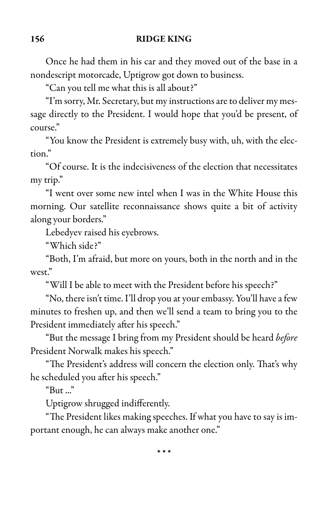Once he had them in his car and they moved out of the base in a nondescript motorcade, Uptigrow got down to business.

"Can you tell me what this is all about?"

"I'm sorry, Mr. Secretary, but my instructions are to deliver my message directly to the President. I would hope that you'd be present, of course."

"You know the President is extremely busy with, uh, with the election."

"Of course. It is the indecisiveness of the election that necessitates my trip."

"I went over some new intel when I was in the White House this morning. Our satellite reconnaissance shows quite a bit of activity along your borders."

Lebedyev raised his eyebrows.

"Which side?"

"Both, I'm afraid, but more on yours, both in the north and in the west."

"Will I be able to meet with the President before his speech?"

"No, there isn't time. I'll drop you at your embassy. You'll have a few minutes to freshen up, and then we'll send a team to bring you to the President immediately after his speech."

"But the message I bring from my President should be heard before President Norwalk makes his speech."

"The President's address will concern the election only. That's why he scheduled you after his speech."

"But ..."

Uptigrow shrugged indifferently.

"The President likes making speeches. If what you have to say is important enough, he can always make another one."

\* \* \*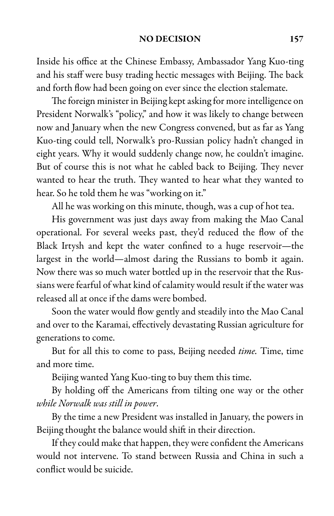Inside his office at the Chinese Embassy, Ambassador Yang Kuo-ting and his staff were busy trading hectic messages with Beijing. The back and forth flow had been going on ever since the election stalemate.

The foreign minister in Beijing kept asking for more intelligence on President Norwalk's "policy," and how it was likely to change between now and January when the new Congress convened, but as far as Yang Kuo-ting could tell, Norwalk's pro-Russian policy hadn't changed in eight years. Why it would suddenly change now, he couldn't imagine. But of course this is not what he cabled back to Beijing. They never wanted to hear the truth. They wanted to hear what they wanted to hear. So he told them he was "working on it."

All he was working on this minute, though, was a cup of hot tea.

His government was just days away from making the Mao Canal operational. For several weeks past, they'd reduced the flow of the Black Irtysh and kept the water confined to a huge reservoir—the largest in the world—almost daring the Russians to bomb it again. Now there was so much water bottled up in the reservoir that the Russians were fearful of what kind of calamity would result if the water was released all at once if the dams were bombed.

Soon the water would flow gently and steadily into the Mao Canal and over to the Karamai, effectively devastating Russian agriculture for generations to come.

But for all this to come to pass, Beijing needed time. Time, time and more time.

Beijing wanted Yang Kuo-ting to buy them this time.

By holding off the Americans from tilting one way or the other while Norwalk was still in power.

By the time a new President was installed in January, the powers in Beijing thought the balance would shift in their direction.

If they could make that happen, they were confident the Americans would not intervene. To stand between Russia and China in such a conflict would be suicide.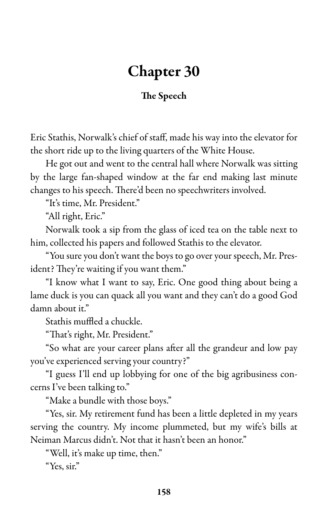## The Speech

Eric Stathis, Norwalk's chief of staff, made his way into the elevator for the short ride up to the living quarters of the White House.

He got out and went to the central hall where Norwalk was sitting by the large fan-shaped window at the far end making last minute changes to his speech. There'd been no speechwriters involved.

"It's time, Mr. President."

"All right, Eric."

Norwalk took a sip from the glass of iced tea on the table next to him, collected his papers and followed Stathis to the elevator.

"You sure you don't want the boys to go over your speech, Mr. President? They're waiting if you want them."

"I know what I want to say, Eric. One good thing about being a lame duck is you can quack all you want and they can't do a good God damn about it."

Stathis muffled a chuckle.

"That's right, Mr. President."

"So what are your career plans after all the grandeur and low pay you've experienced serving your country?"

"I guess I'll end up lobbying for one of the big agribusiness concerns I've been talking to."

"Make a bundle with those boys."

"Yes, sir. My retirement fund has been a little depleted in my years serving the country. My income plummeted, but my wife's bills at Neiman Marcus didn't. Not that it hasn't been an honor."

"Well, it's make up time, then."

"Yes, sir."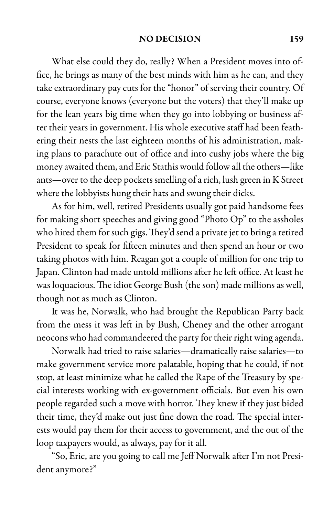What else could they do, really? When a President moves into office, he brings as many of the best minds with him as he can, and they take extraordinary pay cuts for the "honor" of serving their country. Of course, everyone knows (everyone but the voters) that they'll make up for the lean years big time when they go into lobbying or business after their years in government. His whole executive staff had been feathering their nests the last eighteen months of his administration, making plans to parachute out of office and into cushy jobs where the big money awaited them, and Eric Stathis would follow all the others—like ants—over to the deep pockets smelling of a rich, lush green in K Street where the lobbyists hung their hats and swung their dicks.

As for him, well, retired Presidents usually got paid handsome fees for making short speeches and giving good "Photo Op" to the assholes who hired them for such gigs. They'd send a private jet to bring a retired President to speak for fifteen minutes and then spend an hour or two taking photos with him. Reagan got a couple of million for one trip to Japan. Clinton had made untold millions after he left office. At least he was loquacious. The idiot George Bush (the son) made millions as well, though not as much as Clinton.

It was he, Norwalk, who had brought the Republican Party back from the mess it was left in by Bush, Cheney and the other arrogant neocons who had commandeered the party for their right wing agenda.

Norwalk had tried to raise salaries—dramatically raise salaries—to make government service more palatable, hoping that he could, if not stop, at least minimize what he called the Rape of the Treasury by special interests working with ex-government officials. But even his own people regarded such a move with horror. They knew if they just bided their time, they'd make out just fine down the road. The special interests would pay them for their access to government, and the out of the loop taxpayers would, as always, pay for it all.

"So, Eric, are you going to call me Jeff Norwalk after I'm not President anymore?"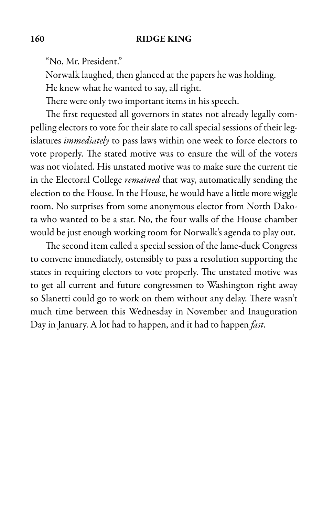"No, Mr. President."

Norwalk laughed, then glanced at the papers he was holding. He knew what he wanted to say, all right.

There were only two important items in his speech.

The first requested all governors in states not already legally compelling electors to vote for their slate to call special sessions of their legislatures *immediately* to pass laws within one week to force electors to vote properly. The stated motive was to ensure the will of the voters was not violated. His unstated motive was to make sure the current tie in the Electoral College *remained* that way, automatically sending the election to the House. In the House, he would have a little more wiggle room. No surprises from some anonymous elector from North Dakota who wanted to be a star. No, the four walls of the House chamber would be just enough working room for Norwalk's agenda to play out.

The second item called a special session of the lame-duck Congress to convene immediately, ostensibly to pass a resolution supporting the states in requiring electors to vote properly. The unstated motive was to get all current and future congressmen to Washington right away so Slanetti could go to work on them without any delay. There wasn't much time between this Wednesday in November and Inauguration Day in January. A lot had to happen, and it had to happen *fast*.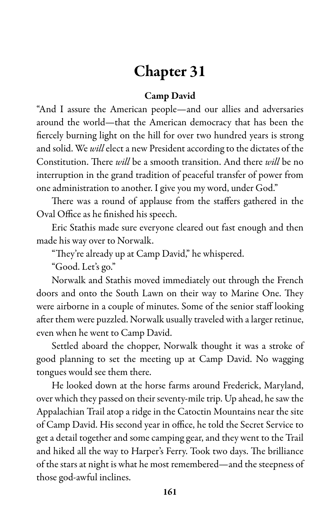### Camp David

"And I assure the American people—and our allies and adversaries around the world—that the American democracy that has been the fiercely burning light on the hill for over two hundred years is strong and solid. We will elect a new President according to the dictates of the Constitution. There *will* be a smooth transition. And there *will* be no interruption in the grand tradition of peaceful transfer of power from one administration to another. I give you my word, under God."

There was a round of applause from the staffers gathered in the Oval Office as he finished his speech.

Eric Stathis made sure everyone cleared out fast enough and then made his way over to Norwalk.

"They're already up at Camp David," he whispered.

"Good. Let's go."

Norwalk and Stathis moved immediately out through the French doors and onto the South Lawn on their way to Marine One. They were airborne in a couple of minutes. Some of the senior staff looking after them were puzzled. Norwalk usually traveled with a larger retinue, even when he went to Camp David.

Settled aboard the chopper, Norwalk thought it was a stroke of good planning to set the meeting up at Camp David. No wagging tongues would see them there.

He looked down at the horse farms around Frederick, Maryland, over which they passed on their seventy-mile trip. Up ahead, he saw the Appalachian Trail atop a ridge in the Catoctin Mountains near the site of Camp David. His second year in office, he told the Secret Service to get a detail together and some camping gear, and they went to the Trail and hiked all the way to Harper's Ferry. Took two days. The brilliance of the stars at night is what he most remembered—and the steepness of those god-awful inclines.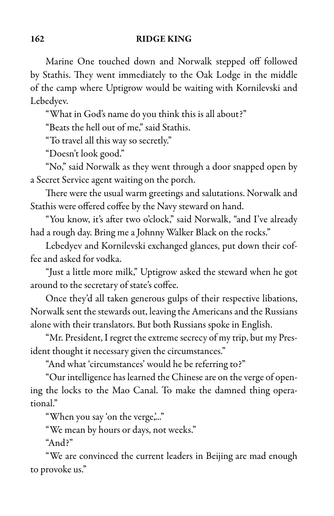Marine One touched down and Norwalk stepped off followed by Stathis. They went immediately to the Oak Lodge in the middle of the camp where Uptigrow would be waiting with Kornilevski and Lebedyev.

"What in God's name do you think this is all about?"

"Beats the hell out of me," said Stathis.

"To travel all this way so secretly."

"Doesn't look good."

"No," said Norwalk as they went through a door snapped open by a Secret Service agent waiting on the porch.

There were the usual warm greetings and salutations. Norwalk and Stathis were offered coffee by the Navy steward on hand.

"You know, it's after two o'clock," said Norwalk, "and I've already had a rough day. Bring me a Johnny Walker Black on the rocks."

Lebedyev and Kornilevski exchanged glances, put down their coffee and asked for vodka.

"Just a little more milk," Uptigrow asked the steward when he got around to the secretary of state's coffee.

Once they'd all taken generous gulps of their respective libations, Norwalk sent the stewards out, leaving the Americans and the Russians alone with their translators. But both Russians spoke in English.

"Mr. President, I regret the extreme secrecy of my trip, but my President thought it necessary given the circumstances."

"And what 'circumstances' would he be referring to?"

"Our intelligence has learned the Chinese are on the verge of opening the locks to the Mao Canal. To make the damned thing operational."

"When you say 'on the verge,"..."

"We mean by hours or days, not weeks."

"And?"

"We are convinced the current leaders in Beijing are mad enough to provoke us."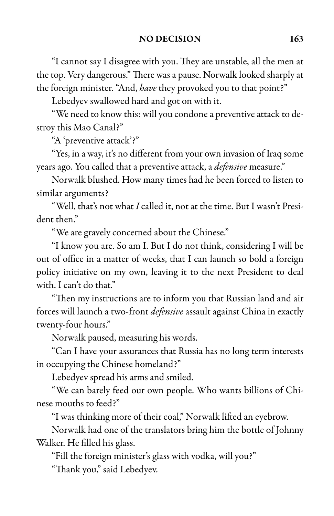"I cannot say I disagree with you. They are unstable, all the men at the top. Very dangerous." There was a pause. Norwalk looked sharply at the foreign minister. "And, have they provoked you to that point?"

Lebedyev swallowed hard and got on with it.

"We need to know this: will you condone a preventive attack to destroy this Mao Canal?"

"A 'preventive attack'?"

"Yes, in a way, it's no different from your own invasion of Iraq some years ago. You called that a preventive attack, a *defensive* measure."

Norwalk blushed. How many times had he been forced to listen to similar arguments?

"Well, that's not what Icalled it, not at the time. But I wasn't President then."

"We are gravely concerned about the Chinese."

"I know you are. So am I. But I do not think, considering I will be out of office in a matter of weeks, that I can launch so bold a foreign policy initiative on my own, leaving it to the next President to deal with. I can't do that."

"Then my instructions are to inform you that Russian land and air forces will launch a two-front *defensive* assault against China in exactly twenty-four hours."

Norwalk paused, measuring his words.

"Can I have your assurances that Russia has no long term interests in occupying the Chinese homeland?"

Lebedyev spread his arms and smiled.

"We can barely feed our own people. Who wants billions of Chinese mouths to feed?"

"I was thinking more of their coal," Norwalk lifted an eyebrow.

Norwalk had one of the translators bring him the bottle of Johnny Walker. He filled his glass.

"Fill the foreign minister's glass with vodka, will you?"

"Thank you," said Lebedyev.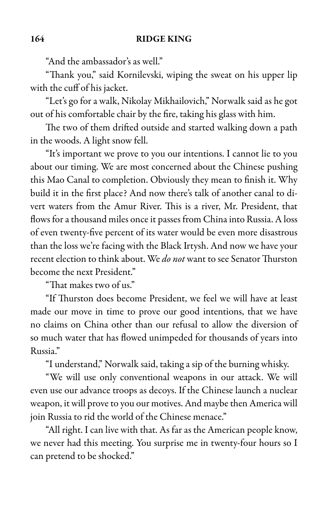"And the ambassador's as well."

"Thank you," said Kornilevski, wiping the sweat on his upper lip with the cuff of his jacket.

"Let's go for a walk, Nikolay Mikhailovich," Norwalk said as he got out of his comfortable chair by the fire, taking his glass with him.

The two of them drifted outside and started walking down a path in the woods. A light snow fell.

"It's important we prove to you our intentions. I cannot lie to you about our timing. We are most concerned about the Chinese pushing this Mao Canal to completion. Obviously they mean to finish it. Why build it in the first place? And now there's talk of another canal to divert waters from the Amur River. This is a river, Mr. President, that flows for a thousand miles once it passes from China into Russia. A loss of even twenty-five percent of its water would be even more disastrous than the loss we're facing with the Black Irtysh. And now we have your recent election to think about. We do not want to see Senator Thurston become the next President."

"That makes two of us."

"If Thurston does become President, we feel we will have at least made our move in time to prove our good intentions, that we have no claims on China other than our refusal to allow the diversion of so much water that has flowed unimpeded for thousands of years into Russia."

"I understand," Norwalk said, taking a sip of the burning whisky.

"We will use only conventional weapons in our attack. We will even use our advance troops as decoys. If the Chinese launch a nuclear weapon, it will prove to you our motives. And maybe then America will join Russia to rid the world of the Chinese menace."

"All right. I can live with that. As far as the American people know, we never had this meeting. You surprise me in twenty-four hours so I can pretend to be shocked."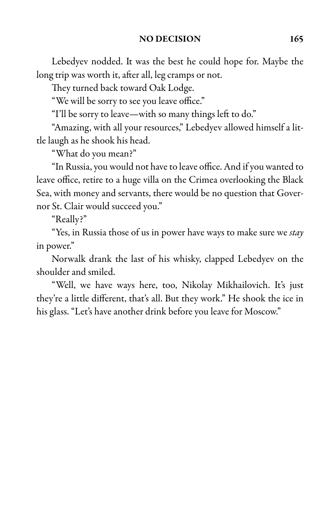Lebedyev nodded. It was the best he could hope for. Maybe the long trip was worth it, after all, leg cramps or not.

They turned back toward Oak Lodge.

"We will be sorry to see you leave office."

"I'll be sorry to leave—with so many things left to do."

"Amazing, with all your resources," Lebedyev allowed himself a little laugh as he shook his head.

"What do you mean?"

"In Russia, you would not have to leave office. And if you wanted to leave office, retire to a huge villa on the Crimea overlooking the Black Sea, with money and servants, there would be no question that Governor St. Clair would succeed you."

"Really?"

"Yes, in Russia those of us in power have ways to make sure we stay in power."

Norwalk drank the last of his whisky, clapped Lebedyev on the shoulder and smiled.

"Well, we have ways here, too, Nikolay Mikhailovich. It's just they're a little different, that's all. But they work." He shook the ice in his glass. "Let's have another drink before you leave for Moscow."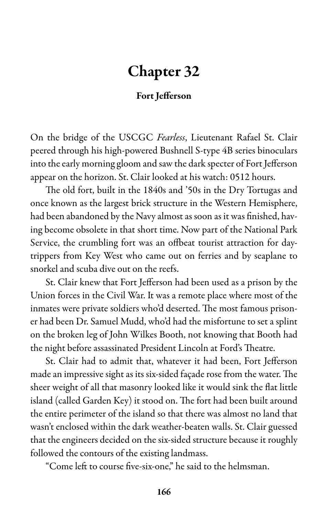### Fort Jefferson

On the bridge of the USCGC Fearless, Lieutenant Rafael St. Clair peered through his high-powered Bushnell S-type 4B series binoculars into the early morning gloom and saw the dark specter of Fort Jefferson appear on the horizon. St. Clair looked at his watch: 0512 hours.

The old fort, built in the 1840s and '50s in the Dry Tortugas and once known as the largest brick structure in the Western Hemisphere, had been abandoned by the Navy almost as soon as it was finished, having become obsolete in that short time. Now part of the National Park Service, the crumbling fort was an offbeat tourist attraction for daytrippers from Key West who came out on ferries and by seaplane to snorkel and scuba dive out on the reefs.

St. Clair knew that Fort Jefferson had been used as a prison by the Union forces in the Civil War. It was a remote place where most of the inmates were private soldiers who'd deserted. The most famous prisoner had been Dr. Samuel Mudd, who'd had the misfortune to set a splint on the broken leg of John Wilkes Booth, not knowing that Booth had the night before assassinated President Lincoln at Ford's Theatre.

St. Clair had to admit that, whatever it had been, Fort Jefferson made an impressive sight as its six-sided façade rose from the water. The sheer weight of all that masonry looked like it would sink the flat little island (called Garden Key) it stood on. The fort had been built around the entire perimeter of the island so that there was almost no land that wasn't enclosed within the dark weather-beaten walls. St. Clair guessed that the engineers decided on the six-sided structure because it roughly followed the contours of the existing landmass.

"Come left to course five-six-one," he said to the helmsman.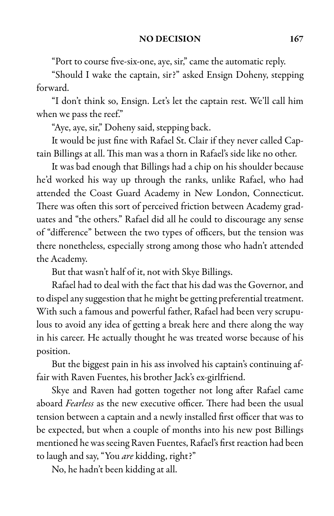"Port to course five-six-one, aye, sir," came the automatic reply.

"Should I wake the captain, sir?" asked Ensign Doheny, stepping forward.

"I don't think so, Ensign. Let's let the captain rest. We'll call him when we pass the reef."

"Aye, aye, sir," Doheny said, stepping back.

It would be just fine with Rafael St. Clair if they never called Captain Billings at all. This man was a thorn in Rafael's side like no other.

It was bad enough that Billings had a chip on his shoulder because he'd worked his way up through the ranks, unlike Rafael, who had attended the Coast Guard Academy in New London, Connecticut. There was often this sort of perceived friction between Academy graduates and "the others." Rafael did all he could to discourage any sense of "difference" between the two types of officers, but the tension was there nonetheless, especially strong among those who hadn't attended the Academy.

But that wasn't half of it, not with Skye Billings.

Rafael had to deal with the fact that his dad was the Governor, and to dispel any suggestion that he might be getting preferential treatment. With such a famous and powerful father, Rafael had been very scrupulous to avoid any idea of getting a break here and there along the way in his career. He actually thought he was treated worse because of his position.

But the biggest pain in his ass involved his captain's continuing affair with Raven Fuentes, his brother Jack's ex-girlfriend.

Skye and Raven had gotten together not long after Rafael came aboard Fearless as the new executive officer. There had been the usual tension between a captain and a newly installed first officer that was to be expected, but when a couple of months into his new post Billings mentioned he was seeing Raven Fuentes, Rafael's first reaction had been to laugh and say, "You are kidding, right?"

No, he hadn't been kidding at all.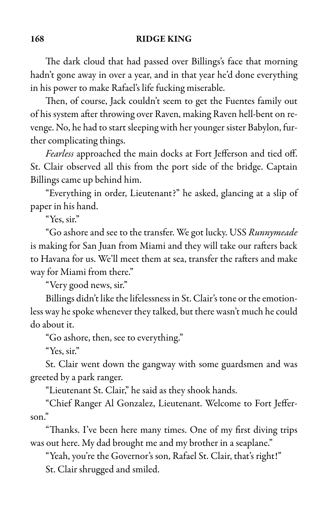The dark cloud that had passed over Billings's face that morning hadn't gone away in over a year, and in that year he'd done everything in his power to make Rafael's life fucking miserable.

Then, of course, Jack couldn't seem to get the Fuentes family out of his system after throwing over Raven, making Raven hell-bent on revenge. No, he had to start sleeping with her younger sister Babylon, further complicating things.

Fearless approached the main docks at Fort Jefferson and tied off. St. Clair observed all this from the port side of the bridge. Captain Billings came up behind him.

"Everything in order, Lieutenant?" he asked, glancing at a slip of paper in his hand.

"Yes, sir."

"Go ashore and see to the transfer. We got lucky. USS Runnymeade is making for San Juan from Miami and they will take our rafters back to Havana for us. We'll meet them at sea, transfer the rafters and make way for Miami from there."

"Very good news, sir."

Billings didn't like the lifelessness in St. Clair's tone or the emotionless way he spoke whenever they talked, but there wasn't much he could do about it.

"Go ashore, then, see to everything."

"Yes, sir."

St. Clair went down the gangway with some guardsmen and was greeted by a park ranger.

"Lieutenant St. Clair," he said as they shook hands.

"Chief Ranger Al Gonzalez, Lieutenant. Welcome to Fort Jefferson."

"Thanks. I've been here many times. One of my first diving trips was out here. My dad brought me and my brother in a seaplane."

"Yeah, you're the Governor's son, Rafael St. Clair, that's right!" St. Clair shrugged and smiled.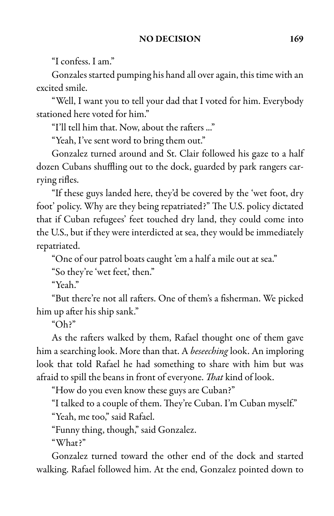"I confess. I am."

Gonzales started pumping his hand all over again, this time with an excited smile.

"Well, I want you to tell your dad that I voted for him. Everybody stationed here voted for him."

"I'll tell him that. Now, about the rafters ..."

"Yeah, I've sent word to bring them out."

Gonzalez turned around and St. Clair followed his gaze to a half dozen Cubans shuffling out to the dock, guarded by park rangers carrying rifles.

"If these guys landed here, they'd be covered by the 'wet foot, dry foot' policy. Why are they being repatriated?" The U.S. policy dictated that if Cuban refugees' feet touched dry land, they could come into the U.S., but if they were interdicted at sea, they would be immediately repatriated.

"One of our patrol boats caught 'em a half a mile out at sea."

"So they're 'wet feet,' then."

"Yeah."

"But there're not all rafters. One of them's a fisherman. We picked him up after his ship sank."

 $^{\omega}$ Ch<sup>2</sup>"

As the rafters walked by them, Rafael thought one of them gave him a searching look. More than that. A beseeching look. An imploring look that told Rafael he had something to share with him but was afraid to spill the beans in front of everyone. That kind of look.

"How do you even know these guys are Cuban?"

"I talked to a couple of them. They're Cuban. I'm Cuban myself."

"Yeah, me too," said Rafael.

"Funny thing, though," said Gonzalez.

"What?"

Gonzalez turned toward the other end of the dock and started walking. Rafael followed him. At the end, Gonzalez pointed down to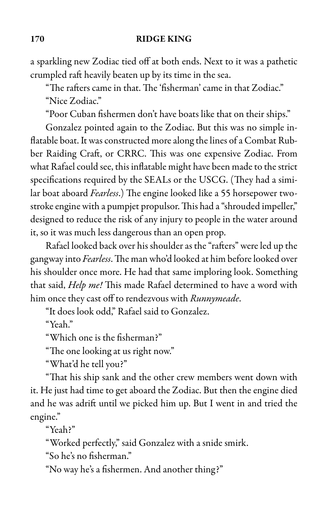a sparkling new Zodiac tied off at both ends. Next to it was a pathetic crumpled raft heavily beaten up by its time in the sea.

"The rafters came in that. The 'fisherman' came in that Zodiac."

"Nice Zodiac."

"Poor Cuban fishermen don't have boats like that on their ships."

Gonzalez pointed again to the Zodiac. But this was no simple inflatable boat. It was constructed more along the lines of a Combat Rubber Raiding Craft, or CRRC. This was one expensive Zodiac. From what Rafael could see, this inflatable might have been made to the strict specifications required by the SEALs or the USCG. (They had a similar boat aboard Fearless.) The engine looked like a 55 horsepower twostroke engine with a pumpjet propulsor. This had a "shrouded impeller," designed to reduce the risk of any injury to people in the water around it, so it was much less dangerous than an open prop.

Rafael looked back over his shoulder as the "rafters" were led up the gangway into Fearless. The man who'd looked at him before looked over his shoulder once more. He had that same imploring look. Something that said, Help me! This made Rafael determined to have a word with him once they cast off to rendezvous with Runnymeade.

"It does look odd," Rafael said to Gonzalez.

"Yeah."

"Which one is the fisherman?"

"The one looking at us right now."

"What'd he tell you?"

"That his ship sank and the other crew members went down with it. He just had time to get aboard the Zodiac. But then the engine died and he was adrift until we picked him up. But I went in and tried the engine."

"Yeah?"

"Worked perfectly," said Gonzalez with a snide smirk.

"So he's no fisherman."

"No way he's a fishermen. And another thing?"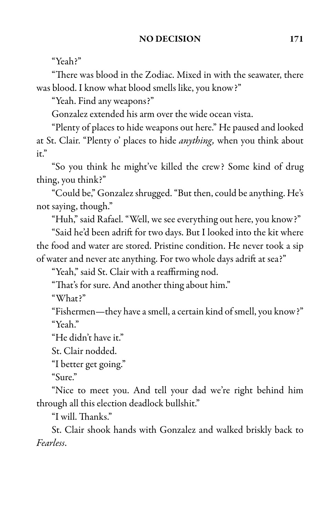"Yeah?"

"There was blood in the Zodiac. Mixed in with the seawater, there was blood. I know what blood smells like, you know?"

"Yeah. Find any weapons?"

Gonzalez extended his arm over the wide ocean vista.

"Plenty of places to hide weapons out here." He paused and looked at St. Clair. "Plenty o' places to hide *anything*, when you think about it."

"So you think he might've killed the crew? Some kind of drug thing, you think?"

"Could be," Gonzalez shrugged. "But then, could be anything. He's not saying, though."

"Huh," said Rafael. "Well, we see everything out here, you know?"

"Said he'd been adrift for two days. But I looked into the kit where the food and water are stored. Pristine condition. He never took a sip of water and never ate anything. For two whole days adrift at sea?"

"Yeah," said St. Clair with a reaffirming nod.

"That's for sure. And another thing about him."

"What?"

"Fishermen—they have a smell, a certain kind of smell, you know?" "Yeah."

"He didn't have it."

St. Clair nodded.

"I better get going."

"Sure."

"Nice to meet you. And tell your dad we're right behind him through all this election deadlock bullshit."

"I will. Thanks."

St. Clair shook hands with Gonzalez and walked briskly back to Fearless.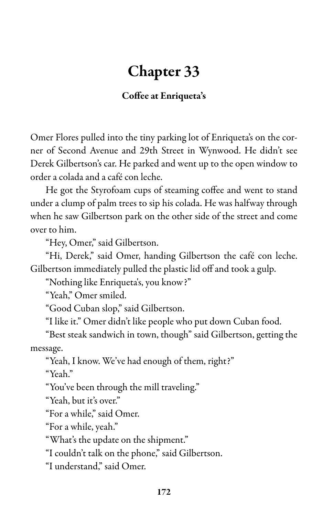## Coffee at Enriqueta's

Omer Flores pulled into the tiny parking lot of Enriqueta's on the corner of Second Avenue and 29th Street in Wynwood. He didn't see Derek Gilbertson's car. He parked and went up to the open window to order a colada and a café con leche.

He got the Styrofoam cups of steaming coffee and went to stand under a clump of palm trees to sip his colada. He was halfway through when he saw Gilbertson park on the other side of the street and come over to him.

"Hey, Omer," said Gilbertson.

"Hi, Derek," said Omer, handing Gilbertson the café con leche. Gilbertson immediately pulled the plastic lid off and took a gulp.

"Nothing like Enriqueta's, you know?"

"Yeah," Omer smiled.

"Good Cuban slop," said Gilbertson.

"I like it." Omer didn't like people who put down Cuban food.

"Best steak sandwich in town, though" said Gilbertson, getting the message.

"Yeah, I know. We've had enough of them, right?"

"Yeah."

"You've been through the mill traveling."

"Yeah, but it's over."

"For a while," said Omer.

"For a while, yeah."

"What's the update on the shipment."

"I couldn't talk on the phone," said Gilbertson.

"I understand," said Omer.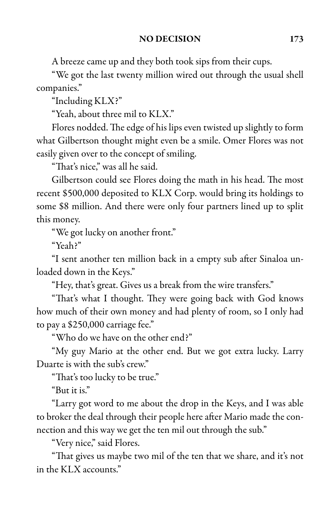A breeze came up and they both took sips from their cups.

"We got the last twenty million wired out through the usual shell companies."

"Including KLX?"

"Yeah, about three mil to KLX."

Flores nodded. The edge of his lips even twisted up slightly to form what Gilbertson thought might even be a smile. Omer Flores was not easily given over to the concept of smiling.

"That's nice," was all he said.

Gilbertson could see Flores doing the math in his head. The most recent \$500,000 deposited to KLX Corp. would bring its holdings to some \$8 million. And there were only four partners lined up to split this money.

"We got lucky on another front."

"Yeah?"

"I sent another ten million back in a empty sub after Sinaloa unloaded down in the Keys."

"Hey, that's great. Gives us a break from the wire transfers."

"That's what I thought. They were going back with God knows how much of their own money and had plenty of room, so I only had to pay a \$250,000 carriage fee."

"Who do we have on the other end?"

"My guy Mario at the other end. But we got extra lucky. Larry Duarte is with the sub's crew."

"That's too lucky to be true."

"But it is."

"Larry got word to me about the drop in the Keys, and I was able to broker the deal through their people here after Mario made the connection and this way we get the ten mil out through the sub."

"Very nice," said Flores.

"That gives us maybe two mil of the ten that we share, and it's not in the KLX accounts."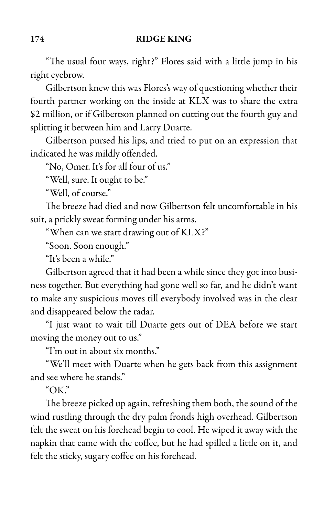"The usual four ways, right?" Flores said with a little jump in his right eyebrow.

Gilbertson knew this was Flores's way of questioning whether their fourth partner working on the inside at KLX was to share the extra \$2 million, or if Gilbertson planned on cutting out the fourth guy and splitting it between him and Larry Duarte.

Gilbertson pursed his lips, and tried to put on an expression that indicated he was mildly offended.

"No, Omer. It's for all four of us."

"Well, sure. It ought to be."

"Well, of course."

The breeze had died and now Gilbertson felt uncomfortable in his suit, a prickly sweat forming under his arms.

"When can we start drawing out of KLX?"

"Soon. Soon enough."

"It's been a while."

Gilbertson agreed that it had been a while since they got into business together. But everything had gone well so far, and he didn't want to make any suspicious moves till everybody involved was in the clear and disappeared below the radar.

"I just want to wait till Duarte gets out of DEA before we start moving the money out to us."

"I'm out in about six months."

"We'll meet with Duarte when he gets back from this assignment and see where he stands."

" $OK$ ."

The breeze picked up again, refreshing them both, the sound of the wind rustling through the dry palm fronds high overhead. Gilbertson felt the sweat on his forehead begin to cool. He wiped it away with the napkin that came with the coffee, but he had spilled a little on it, and felt the sticky, sugary coffee on his forehead.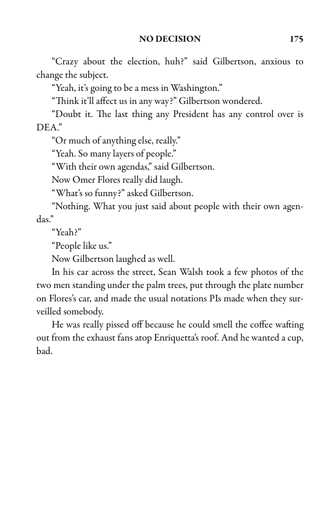"Crazy about the election, huh?" said Gilbertson, anxious to change the subject.

"Yeah, it's going to be a mess in Washington."

"Think it'll affect us in any way?" Gilbertson wondered.

"Doubt it. The last thing any President has any control over is DEA."

"Or much of anything else, really."

"Yeah. So many layers of people."

"With their own agendas," said Gilbertson.

Now Omer Flores really did laugh.

"What's so funny?" asked Gilbertson.

"Nothing. What you just said about people with their own agendas."

"Yeah?"

"People like us."

Now Gilbertson laughed as well.

In his car across the street, Sean Walsh took a few photos of the two men standing under the palm trees, put through the plate number on Flores's car, and made the usual notations PIs made when they surveilled somebody.

He was really pissed off because he could smell the coffee wafting out from the exhaust fans atop Enriquetta's roof. And he wanted a cup, bad.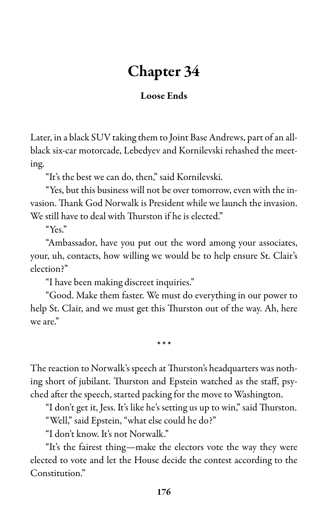## Loose Ends

Later, in a black SUV taking them to Joint Base Andrews, part of an allblack six-car motorcade, Lebedyev and Kornilevski rehashed the meeting.

"It's the best we can do, then," said Kornilevski.

"Yes, but this business will not be over tomorrow, even with the invasion. Thank God Norwalk is President while we launch the invasion. We still have to deal with Thurston if he is elected."

"Yes."

"Ambassador, have you put out the word among your associates, your, uh, contacts, how willing we would be to help ensure St. Clair's election?"

"I have been making discreet inquiries."

"Good. Make them faster. We must do everything in our power to help St. Clair, and we must get this Thurston out of the way. Ah, here we are."

\* \* \*

The reaction to Norwalk's speech at Thurston's headquarters was nothing short of jubilant. Thurston and Epstein watched as the staff, psyched after the speech, started packing for the move to Washington.

"I don't get it, Jess. It's like he's setting us up to win," said Thurston.

"Well," said Epstein, "what else could he do?"

"I don't know. It's not Norwalk."

"It's the fairest thing—make the electors vote the way they were elected to vote and let the House decide the contest according to the Constitution."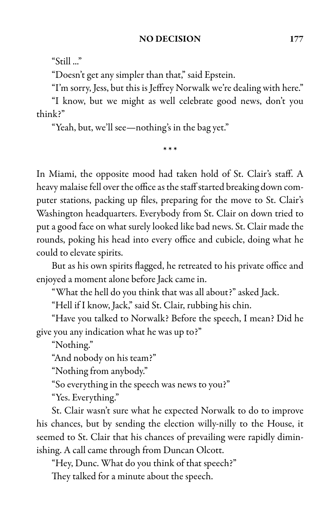"Still ..."

"Doesn't get any simpler than that," said Epstein.

"I'm sorry, Jess, but this is Jeffrey Norwalk we're dealing with here."

"I know, but we might as well celebrate good news, don't you think?"

\* \* \*

"Yeah, but, we'll see—nothing's in the bag yet."

In Miami, the opposite mood had taken hold of St. Clair's staff. A heavy malaise fell over the office as the staff started breaking down computer stations, packing up files, preparing for the move to St. Clair's Washington headquarters. Everybody from St. Clair on down tried to put a good face on what surely looked like bad news. St. Clair made the rounds, poking his head into every office and cubicle, doing what he could to elevate spirits.

But as his own spirits flagged, he retreated to his private office and enjoyed a moment alone before Jack came in.

"What the hell do you think that was all about?" asked Jack.

"Hell if I know, Jack," said St. Clair, rubbing his chin.

"Have you talked to Norwalk? Before the speech, I mean? Did he give you any indication what he was up to?"

"Nothing."

"And nobody on his team?"

"Nothing from anybody."

"So everything in the speech was news to you?"

"Yes. Everything."

St. Clair wasn't sure what he expected Norwalk to do to improve his chances, but by sending the election willy-nilly to the House, it seemed to St. Clair that his chances of prevailing were rapidly diminishing. A call came through from Duncan Olcott.

"Hey, Dunc. What do you think of that speech?"

They talked for a minute about the speech.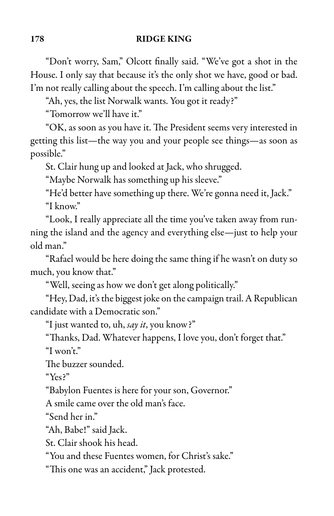"Don't worry, Sam," Olcott finally said. "We've got a shot in the House. I only say that because it's the only shot we have, good or bad. I'm not really calling about the speech. I'm calling about the list."

"Ah, yes, the list Norwalk wants. You got it ready?"

"Tomorrow we'll have it."

"OK, as soon as you have it. The President seems very interested in getting this list—the way you and your people see things—as soon as possible."

St. Clair hung up and looked at Jack, who shrugged.

"Maybe Norwalk has something up his sleeve."

"He'd better have something up there. We're gonna need it, Jack." "I know."

"Look, I really appreciate all the time you've taken away from running the island and the agency and everything else—just to help your old man."

"Rafael would be here doing the same thing if he wasn't on duty so much, you know that."

"Well, seeing as how we don't get along politically."

"Hey, Dad, it's the biggest joke on the campaign trail. A Republican candidate with a Democratic son."

"I just wanted to, uh, say it, you know?"

"Thanks, Dad. Whatever happens, I love you, don't forget that."

"I won't."

The buzzer sounded.

"Yes?"

"Babylon Fuentes is here for your son, Governor."

A smile came over the old man's face.

"Send her in."

"Ah, Babe!" said Jack.

St. Clair shook his head.

"You and these Fuentes women, for Christ's sake."

"This one was an accident," Jack protested.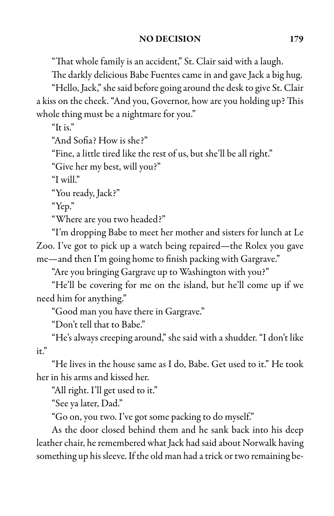"That whole family is an accident," St. Clair said with a laugh.

The darkly delicious Babe Fuentes came in and gave Jack a big hug.

"Hello, Jack," she said before going around the desk to give St. Clair a kiss on the cheek. "And you, Governor, how are you holding up? This whole thing must be a nightmare for you."

"It is."

"And Sofia? How is she?"

"Fine, a little tired like the rest of us, but she'll be all right."

"Give her my best, will you?"

"I will."

"You ready, Jack?"

"Yep."

"Where are you two headed?"

"I'm dropping Babe to meet her mother and sisters for lunch at Le Zoo. I've got to pick up a watch being repaired—the Rolex you gave me—and then I'm going home to finish packing with Gargrave."

"Are you bringing Gargrave up to Washington with you?"

"He'll be covering for me on the island, but he'll come up if we need him for anything."

"Good man you have there in Gargrave."

"Don't tell that to Babe."

"He's always creeping around," she said with a shudder. "I don't like it."

"He lives in the house same as I do, Babe. Get used to it." He took her in his arms and kissed her.

"All right. I'll get used to it."

"See ya later, Dad."

"Go on, you two. I've got some packing to do myself."

As the door closed behind them and he sank back into his deep leather chair, he remembered what Jack had said about Norwalk having something up his sleeve. If the old man had a trick or two remaining be-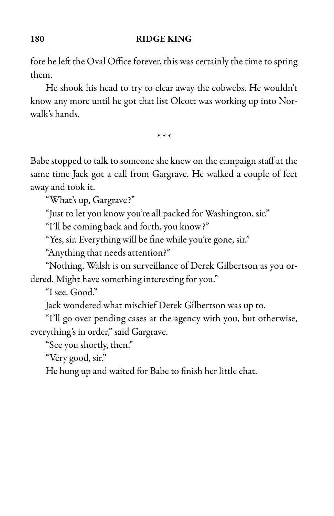fore he left the Oval Office forever, this was certainly the time to spring them.

He shook his head to try to clear away the cobwebs. He wouldn't know any more until he got that list Olcott was working up into Norwalk's hands.

\* \* \*

Babe stopped to talk to someone she knew on the campaign staff at the same time Jack got a call from Gargrave. He walked a couple of feet away and took it.

"What's up, Gargrave?"

"Just to let you know you're all packed for Washington, sir."

"I'll be coming back and forth, you know?"

"Yes, sir. Everything will be fine while you're gone, sir."

"Anything that needs attention?"

"Nothing. Walsh is on surveillance of Derek Gilbertson as you or-

dered. Might have something interesting for you."

"I see. Good."

Jack wondered what mischief Derek Gilbertson was up to.

"I'll go over pending cases at the agency with you, but otherwise, everything's in order," said Gargrave.

"See you shortly, then."

"Very good, sir."

He hung up and waited for Babe to finish her little chat.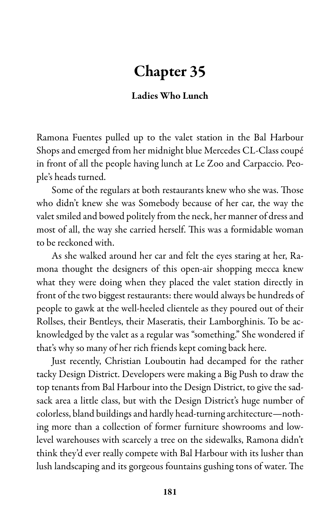# Ladies Who Lunch

Ramona Fuentes pulled up to the valet station in the Bal Harbour Shops and emerged from her midnight blue Mercedes CL-Class coupé in front of all the people having lunch at Le Zoo and Carpaccio. People's heads turned.

Some of the regulars at both restaurants knew who she was. Those who didn't knew she was Somebody because of her car, the way the valet smiled and bowed politely from the neck, her manner of dress and most of all, the way she carried herself. This was a formidable woman to be reckoned with.

As she walked around her car and felt the eyes staring at her, Ramona thought the designers of this open-air shopping mecca knew what they were doing when they placed the valet station directly in front of the two biggest restaurants: there would always be hundreds of people to gawk at the well-heeled clientele as they poured out of their Rollses, their Bentleys, their Maseratis, their Lamborghinis. To be acknowledged by the valet as a regular was "something." She wondered if that's why so many of her rich friends kept coming back here.

Just recently, Christian Louboutin had decamped for the rather tacky Design District. Developers were making a Big Push to draw the top tenants from Bal Harbour into the Design District, to give the sadsack area a little class, but with the Design District's huge number of colorless, bland buildings and hardly head-turning architecture—nothing more than a collection of former furniture showrooms and lowlevel warehouses with scarcely a tree on the sidewalks, Ramona didn't think they'd ever really compete with Bal Harbour with its lusher than lush landscaping and its gorgeous fountains gushing tons of water. The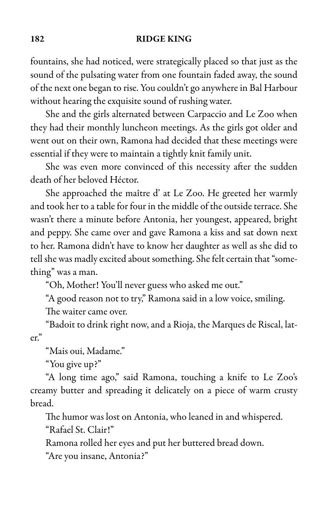fountains, she had noticed, were strategically placed so that just as the sound of the pulsating water from one fountain faded away, the sound of the next one began to rise. You couldn't go anywhere in Bal Harbour without hearing the exquisite sound of rushing water.

She and the girls alternated between Carpaccio and Le Zoo when they had their monthly luncheon meetings. As the girls got older and went out on their own, Ramona had decided that these meetings were essential if they were to maintain a tightly knit family unit.

She was even more convinced of this necessity after the sudden death of her beloved Héctor.

She approached the maître d' at Le Zoo. He greeted her warmly and took her to a table for four in the middle of the outside terrace. She wasn't there a minute before Antonia, her youngest, appeared, bright and peppy. She came over and gave Ramona a kiss and sat down next to her. Ramona didn't have to know her daughter as well as she did to tell she was madly excited about something. She felt certain that "something" was a man.

"Oh, Mother! You'll never guess who asked me out."

"A good reason not to try," Ramona said in a low voice, smiling. The waiter came over.

"Badoit to drink right now, and a Rioja, the Marques de Riscal, later."

"Mais oui, Madame."

"You give up?"

"A long time ago," said Ramona, touching a knife to Le Zoo's creamy butter and spreading it delicately on a piece of warm crusty bread.

The humor was lost on Antonia, who leaned in and whispered.

"Rafael St. Clair!"

Ramona rolled her eyes and put her buttered bread down.

"Are you insane, Antonia?"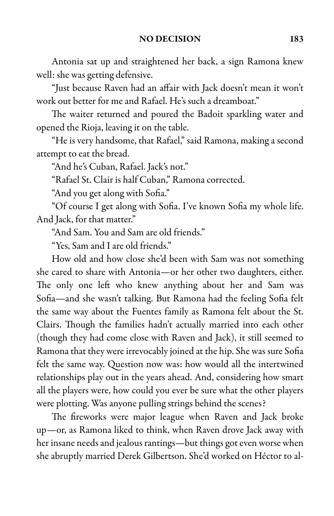Antonia sat up and straightened her back, a sign Ramona knew well: she was getting defensive.

"Just because Raven had an affair with Jack doesn't mean it won't work out better for me and Rafael. He's such a dreamboat."

The waiter returned and poured the Badoit sparkling water and opened the Rioja, leaving it on the table.

"He is very handsome, that Rafael," said Ramona, making a second attempt to eat the bread.

"And he's Cuban, Rafael. Jack's not."

"Rafael St. Clair is half Cuban," Ramona corrected.

"And you get along with Sofia."

"Of course I get along with Sofia. I've known Sofia my whole life. And Jack, for that matter."

"And Sam. You and Sam are old friends."

"Yes, Sam and I are old friends."

How old and how close she'd been with Sam was not something she cared to share with Antonia—or her other two daughters, either. The only one left who knew anything about her and Sam was Sofia—and she wasn't talking. But Ramona had the feeling Sofia felt the same way about the Fuentes family as Ramona felt about the St. Clairs. Though the families hadn't actually married into each other (though they had come close with Raven and Jack), it still seemed to Ramona that they were irrevocably joined at the hip. She was sure Sofia felt the same way. Question now was: how would all the intertwined relationships play out in the years ahead. And, considering how smart all the players were, how could you ever be sure what the other players were plotting. Was anyone pulling strings behind the scenes?

The fireworks were major league when Raven and Jack broke up—or, as Ramona liked to think, when Raven drove Jack away with her insane needs and jealous rantings—but things got even worse when she abruptly married Derek Gilbertson. She'd worked on Héctor to al-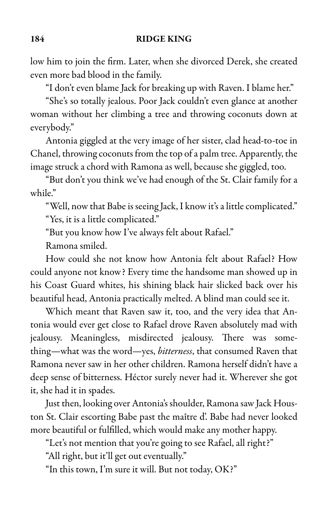low him to join the firm. Later, when she divorced Derek, she created even more bad blood in the family.

"I don't even blame Jack for breaking up with Raven. I blame her."

"She's so totally jealous. Poor Jack couldn't even glance at another woman without her climbing a tree and throwing coconuts down at everybody."

Antonia giggled at the very image of her sister, clad head-to-toe in Chanel, throwing coconuts from the top of a palm tree. Apparently, the image struck a chord with Ramona as well, because she giggled, too.

"But don't you think we've had enough of the St. Clair family for a while."

"Well, now that Babe is seeing Jack, I know it's a little complicated." "Yes, it is a little complicated."

"But you know how I've always felt about Rafael."

Ramona smiled.

How could she not know how Antonia felt about Rafael? How could anyone not know? Every time the handsome man showed up in his Coast Guard whites, his shining black hair slicked back over his beautiful head, Antonia practically melted. A blind man could see it.

Which meant that Raven saw it, too, and the very idea that Antonia would ever get close to Rafael drove Raven absolutely mad with jealousy. Meaningless, misdirected jealousy. There was something—what was the word—yes, bitterness, that consumed Raven that Ramona never saw in her other children. Ramona herself didn't have a deep sense of bitterness. Héctor surely never had it. Wherever she got it, she had it in spades.

Just then, looking over Antonia's shoulder, Ramona saw Jack Houston St. Clair escorting Babe past the maître d'. Babe had never looked more beautiful or fulfilled, which would make any mother happy.

"Let's not mention that you're going to see Rafael, all right?"

"All right, but it'll get out eventually."

"In this town, I'm sure it will. But not today, OK?"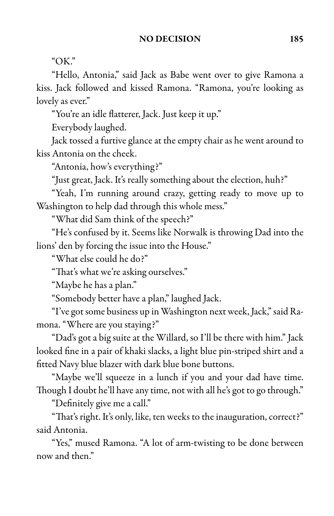"OK."

"Hello, Antonia," said Jack as Babe went over to give Ramona a kiss. Jack followed and kissed Ramona. "Ramona, you're looking as lovely as ever."

"You're an idle flatterer, Jack. Just keep it up."

Everybody laughed.

Jack tossed a furtive glance at the empty chair as he went around to kiss Antonia on the cheek.

"Antonia, how's everything?"

"Just great, Jack. It's really something about the election, huh?"

"Yeah, I'm running around crazy, getting ready to move up to Washington to help dad through this whole mess."

"What did Sam think of the speech?"

"He's confused by it. Seems like Norwalk is throwing Dad into the lions' den by forcing the issue into the House."

"What else could he do?"

"That's what we're asking ourselves."

"Maybe he has a plan."

"Somebody better have a plan," laughed Jack.

"I've got some business up in Washington next week, Jack," said Ramona. "Where are you staying?"

"Dad's got a big suite at the Willard, so I'll be there with him." Jack looked fine in a pair of khaki slacks, a light blue pin-striped shirt and a fitted Navy blue blazer with dark blue bone buttons.

"Maybe we'll squeeze in a lunch if you and your dad have time. Though I doubt he'll have any time, not with all he's got to go through."

"Definitely give me a call."

"That's right. It's only, like, ten weeks to the inauguration, correct?" said Antonia.

"Yes," mused Ramona. "A lot of arm-twisting to be done between now and then."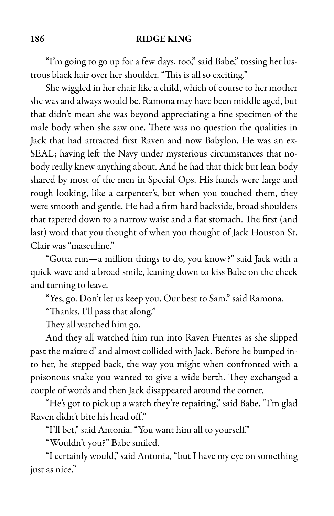"I'm going to go up for a few days, too," said Babe," tossing her lustrous black hair over her shoulder. "This is all so exciting."

She wiggled in her chair like a child, which of course to her mother she was and always would be. Ramona may have been middle aged, but that didn't mean she was beyond appreciating a fine specimen of the male body when she saw one. There was no question the qualities in Jack that had attracted first Raven and now Babylon. He was an ex-SEAL; having left the Navy under mysterious circumstances that nobody really knew anything about. And he had that thick but lean body shared by most of the men in Special Ops. His hands were large and rough looking, like a carpenter's, but when you touched them, they were smooth and gentle. He had a firm hard backside, broad shoulders that tapered down to a narrow waist and a flat stomach. The first (and last) word that you thought of when you thought of Jack Houston St. Clair was "masculine."

"Gotta run—a million things to do, you know?" said Jack with a quick wave and a broad smile, leaning down to kiss Babe on the cheek and turning to leave.

"Yes, go. Don't let us keep you. Our best to Sam," said Ramona.

"Thanks. I'll pass that along."

They all watched him go.

And they all watched him run into Raven Fuentes as she slipped past the maître d' and almost collided with Jack. Before he bumped into her, he stepped back, the way you might when confronted with a poisonous snake you wanted to give a wide berth. They exchanged a couple of words and then Jack disappeared around the corner.

"He's got to pick up a watch they're repairing," said Babe. "I'm glad Raven didn't bite his head off."

"I'll bet," said Antonia. "You want him all to yourself."

"Wouldn't you?" Babe smiled.

"I certainly would," said Antonia, "but I have my eye on something just as nice."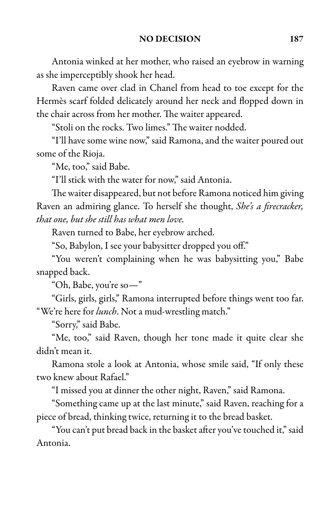Antonia winked at her mother, who raised an eyebrow in warning as she imperceptibly shook her head.

Raven came over clad in Chanel from head to toe except for the Hermès scarf folded delicately around her neck and flopped down in the chair across from her mother. The waiter appeared.

"Stoli on the rocks. Two limes." The waiter nodded.

"I'll have some wine now," said Ramona, and the waiter poured out some of the Rioja.

"Me, too," said Babe.

"I'll stick with the water for now," said Antonia.

The waiter disappeared, but not before Ramona noticed him giving Raven an admiring glance. To herself she thought, She's a firecracker, that one, but she still has what men love.

Raven turned to Babe, her eyebrow arched.

"So, Babylon, I see your babysitter dropped you off."

"You weren't complaining when he was babysitting you," Babe snapped back.

"Oh, Babe, you're so—"

"Girls, girls, girls," Ramona interrupted before things went too far. "We're here for lunch. Not a mud-wrestling match."

"Sorry," said Babe.

"Me, too," said Raven, though her tone made it quite clear she didn't mean it.

Ramona stole a look at Antonia, whose smile said, "If only these two knew about Rafael."

"I missed you at dinner the other night, Raven," said Ramona.

"Something came up at the last minute," said Raven, reaching for a piece of bread, thinking twice, returning it to the bread basket.

"You can't put bread back in the basket after you've touched it," said Antonia.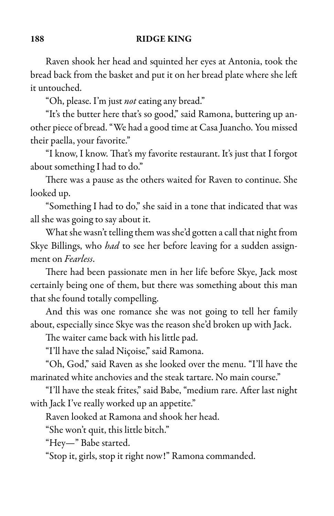Raven shook her head and squinted her eyes at Antonia, took the bread back from the basket and put it on her bread plate where she left it untouched.

"Oh, please. I'm just not eating any bread."

"It's the butter here that's so good," said Ramona, buttering up another piece of bread. "We had a good time at Casa Juancho. You missed their paella, your favorite."

"I know, I know. That's my favorite restaurant. It's just that I forgot about something I had to do."

There was a pause as the others waited for Raven to continue. She looked up.

"Something I had to do," she said in a tone that indicated that was all she was going to say about it.

What she wasn't telling them was she'd gotten a call that night from Skye Billings, who *had* to see her before leaving for a sudden assignment on Fearless.

There had been passionate men in her life before Skye, Jack most certainly being one of them, but there was something about this man that she found totally compelling.

And this was one romance she was not going to tell her family about, especially since Skye was the reason she'd broken up with Jack.

The waiter came back with his little pad.

"I'll have the salad Niçoise," said Ramona.

"Oh, God," said Raven as she looked over the menu. "I'll have the marinated white anchovies and the steak tartare. No main course."

"I'll have the steak frites," said Babe, "medium rare. After last night with Jack I've really worked up an appetite."

Raven looked at Ramona and shook her head.

"She won't quit, this little bitch."

"Hey—" Babe started.

"Stop it, girls, stop it right now!" Ramona commanded.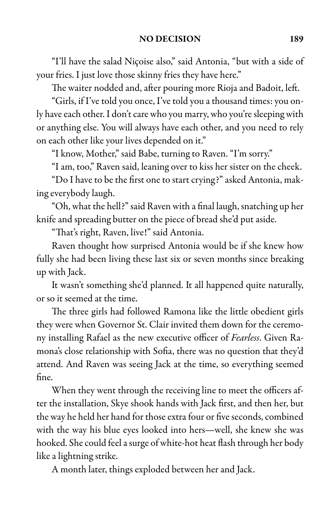"I'll have the salad Niçoise also," said Antonia, "but with a side of your fries. I just love those skinny fries they have here."

The waiter nodded and, after pouring more Rioja and Badoit, left.

"Girls, if I've told you once, I've told you a thousand times: you only have each other. I don't care who you marry, who you're sleeping with or anything else. You will always have each other, and you need to rely on each other like your lives depended on it."

"I know, Mother," said Babe, turning to Raven. "I'm sorry."

"I am, too," Raven said, leaning over to kiss her sister on the cheek.

"Do I have to be the first one to start crying?" asked Antonia, making everybody laugh.

"Oh, what the hell?" said Raven with a final laugh, snatching up her knife and spreading butter on the piece of bread she'd put aside.

"That's right, Raven, live!" said Antonia.

Raven thought how surprised Antonia would be if she knew how fully she had been living these last six or seven months since breaking up with Jack.

It wasn't something she'd planned. It all happened quite naturally, or so it seemed at the time.

The three girls had followed Ramona like the little obedient girls they were when Governor St. Clair invited them down for the ceremony installing Rafael as the new executive officer of Fearless. Given Ramona's close relationship with Sofia, there was no question that they'd attend. And Raven was seeing Jack at the time, so everything seemed fine.

When they went through the receiving line to meet the officers after the installation, Skye shook hands with Jack first, and then her, but the way he held her hand for those extra four or five seconds, combined with the way his blue eyes looked into hers—well, she knew she was hooked. She could feel a surge of white-hot heat flash through her body like a lightning strike.

A month later, things exploded between her and Jack.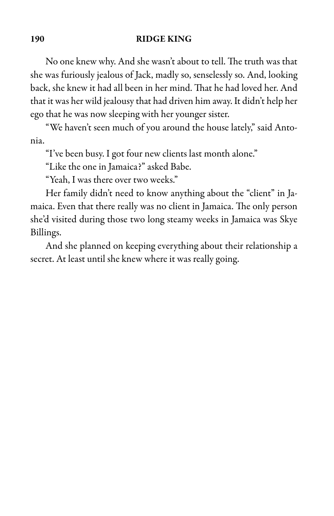No one knew why. And she wasn't about to tell. The truth was that she was furiously jealous of Jack, madly so, senselessly so. And, looking back, she knew it had all been in her mind. That he had loved her. And that it was her wild jealousy that had driven him away. It didn't help her ego that he was now sleeping with her younger sister.

"We haven't seen much of you around the house lately," said Antonia.

"I've been busy. I got four new clients last month alone."

"Like the one in Jamaica?" asked Babe.

"Yeah, I was there over two weeks."

Her family didn't need to know anything about the "client" in Jamaica. Even that there really was no client in Jamaica. The only person she'd visited during those two long steamy weeks in Jamaica was Skye Billings.

And she planned on keeping everything about their relationship a secret. At least until she knew where it was really going.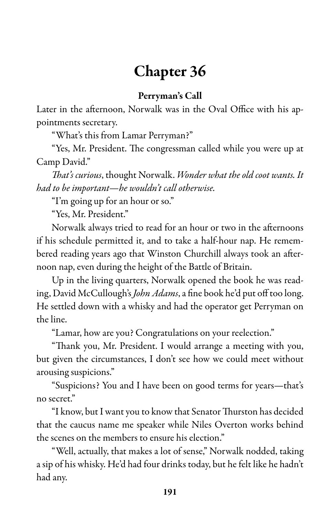# Perryman's Call

Later in the afternoon, Norwalk was in the Oval Office with his appointments secretary.

"What's this from Lamar Perryman?"

"Yes, Mr. President. The congressman called while you were up at Camp David."

That's curious, thought Norwalk. Wonder what the old coot wants. It had to be important—he wouldn't call otherwise.

"I'm going up for an hour or so."

"Yes, Mr. President."

Norwalk always tried to read for an hour or two in the afternoons if his schedule permitted it, and to take a half-hour nap. He remembered reading years ago that Winston Churchill always took an afternoon nap, even during the height of the Battle of Britain.

Up in the living quarters, Norwalk opened the book he was reading, David McCullough's John Adams, a fine book he'd put off too long. He settled down with a whisky and had the operator get Perryman on the line.

"Lamar, how are you? Congratulations on your reelection."

"Thank you, Mr. President. I would arrange a meeting with you, but given the circumstances, I don't see how we could meet without arousing suspicions."

"Suspicions? You and I have been on good terms for years—that's no secret."

"I know, but I want you to know that Senator Thurston has decided that the caucus name me speaker while Niles Overton works behind the scenes on the members to ensure his election."

"Well, actually, that makes a lot of sense," Norwalk nodded, taking a sip of his whisky. He'd had four drinks today, but he felt like he hadn't had any.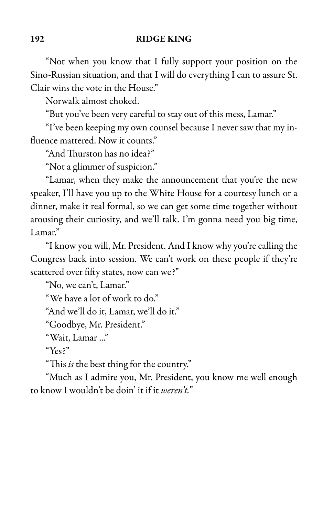"Not when you know that I fully support your position on the Sino-Russian situation, and that I will do everything I can to assure St. Clair wins the vote in the House."

Norwalk almost choked.

"But you've been very careful to stay out of this mess, Lamar."

"I've been keeping my own counsel because I never saw that my influence mattered. Now it counts."

"And Thurston has no idea?"

"Not a glimmer of suspicion."

"Lamar, when they make the announcement that you're the new speaker, I'll have you up to the White House for a courtesy lunch or a dinner, make it real formal, so we can get some time together without arousing their curiosity, and we'll talk. I'm gonna need you big time, Lamar."

"I know you will, Mr. President. And I know why you're calling the Congress back into session. We can't work on these people if they're scattered over fifty states, now can we?"

"No, we can't, Lamar."

"We have a lot of work to do."

"And we'll do it, Lamar, we'll do it."

"Goodbye, Mr. President."

"Wait, Lamar ..."

"Yes?"

"This is the best thing for the country."

"Much as I admire you, Mr. President, you know me well enough to know I wouldn't be doin' it if it weren't."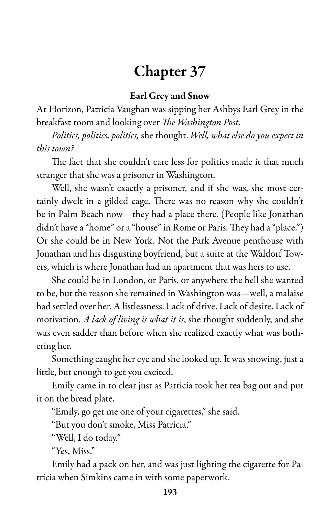# Earl Grey and Snow

At Horizon, Patricia Vaughan was sipping her Ashbys Earl Grey in the breakfast room and looking over The Washington Post.

Politics, politics, politics, she thought. Well, what else do you expect in this town?

The fact that she couldn't care less for politics made it that much stranger that she was a prisoner in Washington.

Well, she wasn't exactly a prisoner, and if she was, she most certainly dwelt in a gilded cage. There was no reason why she couldn't be in Palm Beach now—they had a place there. (People like Jonathan didn't have a "home" or a "house" in Rome or Paris. They had a "place.") Or she could be in New York. Not the Park Avenue penthouse with Jonathan and his disgusting boyfriend, but a suite at the Waldorf Towers, which is where Jonathan had an apartment that was hers to use.

She could be in London, or Paris, or anywhere the hell she wanted to be, but the reason she remained in Washington was—well, a malaise had settled over her. A listlessness. Lack of drive. Lack of desire. Lack of motivation. A lack of living is what it is, she thought suddenly, and she was even sadder than before when she realized exactly what was bothering her.

Something caught her eye and she looked up. It was snowing, just a little, but enough to get you excited.

Emily came in to clear just as Patricia took her tea bag out and put it on the bread plate.

"Emily, go get me one of your cigarettes," she said.

"But you don't smoke, Miss Patricia."

"Well, I do today."

"Yes, Miss."

Emily had a pack on her, and was just lighting the cigarette for Patricia when Simkins came in with some paperwork.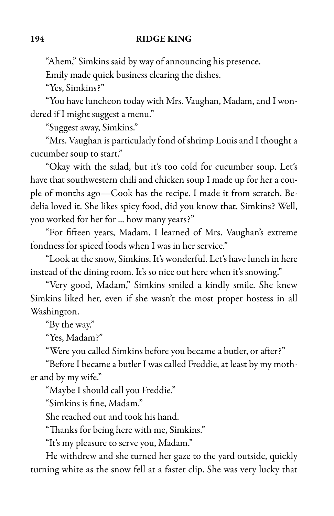"Ahem," Simkins said by way of announcing his presence.

Emily made quick business clearing the dishes.

"Yes, Simkins?"

"You have luncheon today with Mrs. Vaughan, Madam, and I wondered if I might suggest a menu."

"Suggest away, Simkins."

"Mrs. Vaughan is particularly fond of shrimp Louis and I thought a cucumber soup to start."

"Okay with the salad, but it's too cold for cucumber soup. Let's have that southwestern chili and chicken soup I made up for her a couple of months ago—Cook has the recipe. I made it from scratch. Bedelia loved it. She likes spicy food, did you know that, Simkins? Well, you worked for her for ... how many years?"

"For fifteen years, Madam. I learned of Mrs. Vaughan's extreme fondness for spiced foods when I was in her service."

"Look at the snow, Simkins. It's wonderful. Let's have lunch in here instead of the dining room. It's so nice out here when it's snowing."

"Very good, Madam," Simkins smiled a kindly smile. She knew Simkins liked her, even if she wasn't the most proper hostess in all Washington.

"By the way."

"Yes, Madam?"

"Were you called Simkins before you became a butler, or after?"

"Before I became a butler I was called Freddie, at least by my mother and by my wife."

"Maybe I should call you Freddie."

"Simkins is fine, Madam."

She reached out and took his hand.

"Thanks for being here with me, Simkins."

"It's my pleasure to serve you, Madam."

He withdrew and she turned her gaze to the yard outside, quickly turning white as the snow fell at a faster clip. She was very lucky that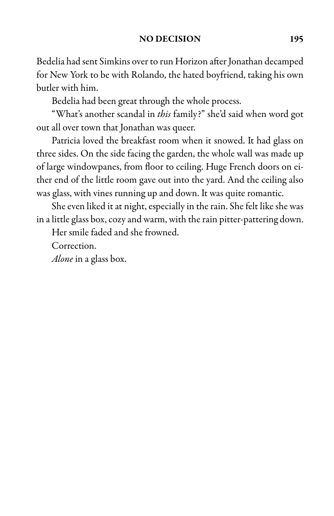Bedelia had sent Simkins over to run Horizon after Jonathan decamped for New York to be with Rolando, the hated boyfriend, taking his own butler with him.

Bedelia had been great through the whole process.

"What's another scandal in this family?" she'd said when word got out all over town that Jonathan was queer.

Patricia loved the breakfast room when it snowed. It had glass on three sides. On the side facing the garden, the whole wall was made up of large windowpanes, from floor to ceiling. Huge French doors on either end of the little room gave out into the yard. And the ceiling also was glass, with vines running up and down. It was quite romantic.

She even liked it at night, especially in the rain. She felt like she was in a little glass box, cozy and warm, with the rain pitter-pattering down.

Her smile faded and she frowned.

Correction.

Alone in a glass box.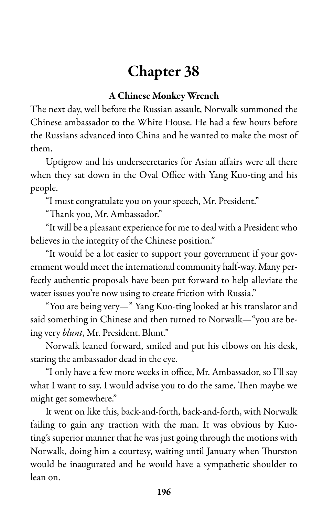# A Chinese Monkey Wrench

The next day, well before the Russian assault, Norwalk summoned the Chinese ambassador to the White House. He had a few hours before the Russians advanced into China and he wanted to make the most of them.

Uptigrow and his undersecretaries for Asian affairs were all there when they sat down in the Oval Office with Yang Kuo-ting and his people.

"I must congratulate you on your speech, Mr. President."

"Thank you, Mr. Ambassador."

"It will be a pleasant experience for me to deal with a President who believes in the integrity of the Chinese position."

"It would be a lot easier to support your government if your government would meet the international community half-way. Many perfectly authentic proposals have been put forward to help alleviate the water issues you're now using to create friction with Russia."

"You are being very—" Yang Kuo-ting looked at his translator and said something in Chinese and then turned to Norwalk—"you are being very *blunt*, Mr. President. Blunt."

Norwalk leaned forward, smiled and put his elbows on his desk, staring the ambassador dead in the eye.

"I only have a few more weeks in office, Mr. Ambassador, so I'll say what I want to say. I would advise you to do the same. Then maybe we might get somewhere."

It went on like this, back-and-forth, back-and-forth, with Norwalk failing to gain any traction with the man. It was obvious by Kuoting's superior manner that he was just going through the motions with Norwalk, doing him a courtesy, waiting until January when Thurston would be inaugurated and he would have a sympathetic shoulder to lean on.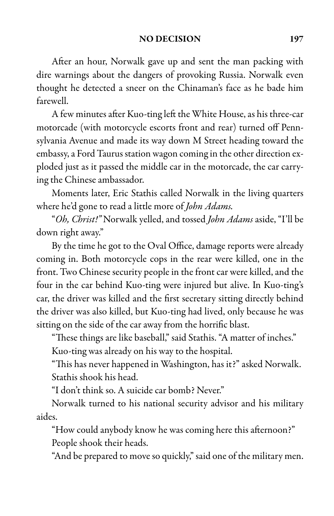After an hour, Norwalk gave up and sent the man packing with dire warnings about the dangers of provoking Russia. Norwalk even thought he detected a sneer on the Chinaman's face as he bade him farewell.

A few minutes after Kuo-ting left the White House, as his three-car motorcade (with motorcycle escorts front and rear) turned off Pennsylvania Avenue and made its way down M Street heading toward the embassy, a Ford Taurus station wagon coming in the other direction exploded just as it passed the middle car in the motorcade, the car carrying the Chinese ambassador.

Moments later, Eric Stathis called Norwalk in the living quarters where he'd gone to read a little more of *John Adams*.

"Oh, Christ!" Norwalk yelled, and tossed John Adams aside, "I'll be down right away."

By the time he got to the Oval Office, damage reports were already coming in. Both motorcycle cops in the rear were killed, one in the front. Two Chinese security people in the front car were killed, and the four in the car behind Kuo-ting were injured but alive. In Kuo-ting's car, the driver was killed and the first secretary sitting directly behind the driver was also killed, but Kuo-ting had lived, only because he was sitting on the side of the car away from the horrific blast.

"These things are like baseball," said Stathis. "A matter of inches." Kuo-ting was already on his way to the hospital.

"This has never happened in Washington, has it?" asked Norwalk. Stathis shook his head.

"I don't think so. A suicide car bomb? Never."

Norwalk turned to his national security advisor and his military aides.

"How could anybody know he was coming here this afternoon?" People shook their heads.

"And be prepared to move so quickly," said one of the military men.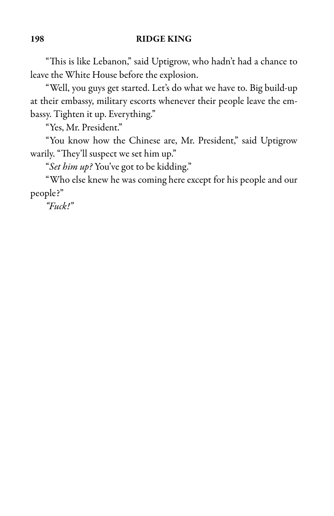"This is like Lebanon," said Uptigrow, who hadn't had a chance to leave the White House before the explosion.

"Well, you guys get started. Let's do what we have to. Big build-up at their embassy, military escorts whenever their people leave the embassy. Tighten it up. Everything."

"Yes, Mr. President."

"You know how the Chinese are, Mr. President," said Uptigrow warily. "They'll suspect we set him up."

"Set him up? You've got to be kidding."

"Who else knew he was coming here except for his people and our people?"

 $"Fuck!"$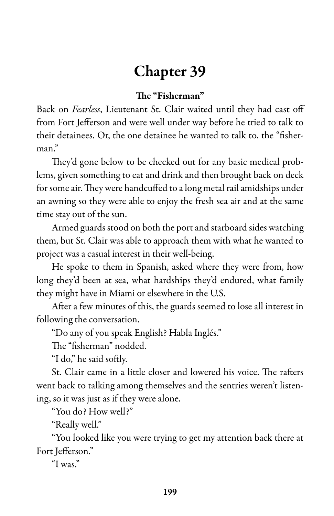# The "Fisherman"

Back on Fearless, Lieutenant St. Clair waited until they had cast off from Fort Jefferson and were well under way before he tried to talk to their detainees. Or, the one detainee he wanted to talk to, the "fisherman."

They'd gone below to be checked out for any basic medical problems, given something to eat and drink and then brought back on deck for some air. They were handcuffed to a long metal rail amidships under an awning so they were able to enjoy the fresh sea air and at the same time stay out of the sun.

Armed guards stood on both the port and starboard sides watching them, but St. Clair was able to approach them with what he wanted to project was a casual interest in their well-being.

He spoke to them in Spanish, asked where they were from, how long they'd been at sea, what hardships they'd endured, what family they might have in Miami or elsewhere in the U.S.

After a few minutes of this, the guards seemed to lose all interest in following the conversation.

"Do any of you speak English? Habla Inglés."

The "fisherman" nodded.

"I do," he said softly.

St. Clair came in a little closer and lowered his voice. The rafters went back to talking among themselves and the sentries weren't listening, so it was just as if they were alone.

"You do? How well?"

"Really well."

"You looked like you were trying to get my attention back there at Fort Jefferson."

"I was."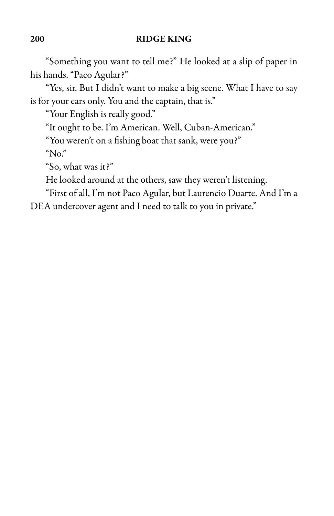"Something you want to tell me?" He looked at a slip of paper in his hands. "Paco Agular?"

"Yes, sir. But I didn't want to make a big scene. What I have to say is for your ears only. You and the captain, that is."

"Your English is really good."

"It ought to be. I'm American. Well, Cuban-American."

"You weren't on a fishing boat that sank, were you?"

"No."

"So, what was it?"

He looked around at the others, saw they weren't listening.

"First of all, I'm not Paco Agular, but Laurencio Duarte. And I'm a DEA undercover agent and I need to talk to you in private."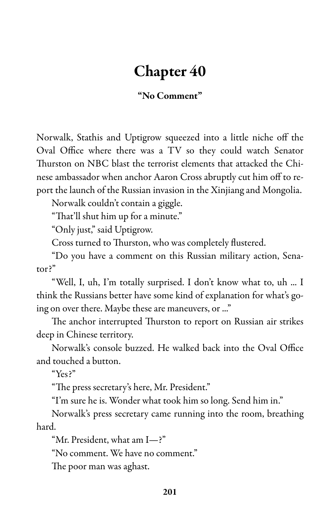# "No Comment"

Norwalk, Stathis and Uptigrow squeezed into a little niche off the Oval Office where there was a TV so they could watch Senator Thurston on NBC blast the terrorist elements that attacked the Chinese ambassador when anchor Aaron Cross abruptly cut him off to report the launch of the Russian invasion in the Xinjiang and Mongolia.

Norwalk couldn't contain a giggle.

"That'll shut him up for a minute."

"Only just," said Uptigrow.

Cross turned to Thurston, who was completely flustered.

"Do you have a comment on this Russian military action, Senator?"

"Well, I, uh, I'm totally surprised. I don't know what to, uh ... I think the Russians better have some kind of explanation for what's going on over there. Maybe these are maneuvers, or ..."

The anchor interrupted Thurston to report on Russian air strikes deep in Chinese territory.

Norwalk's console buzzed. He walked back into the Oval Office and touched a button.

"Yes?"

"The press secretary's here, Mr. President."

"I'm sure he is. Wonder what took him so long. Send him in."

Norwalk's press secretary came running into the room, breathing hard.

"Mr. President, what am I—?"

"No comment. We have no comment."

The poor man was aghast.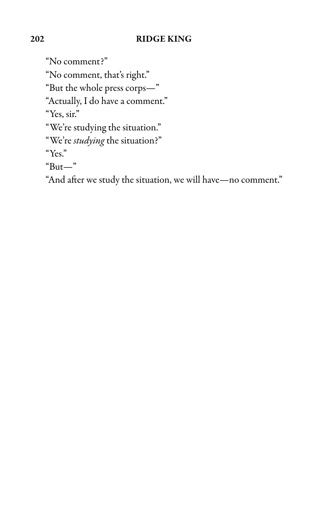"No comment?" "No comment, that's right." "But the whole press corps—" "Actually, I do have a comment." "Yes, sir." "We're studying the situation." "We're studying the situation?" "Yes."  $\textdegree$ But—" "And after we study the situation, we will have—no comment."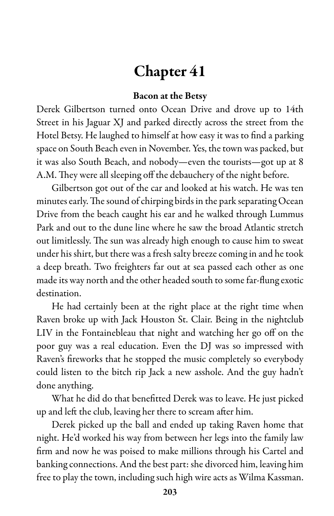# Bacon at the Betsy

Derek Gilbertson turned onto Ocean Drive and drove up to 14th Street in his Jaguar XJ and parked directly across the street from the Hotel Betsy. He laughed to himself at how easy it was to find a parking space on South Beach even in November. Yes, the town was packed, but it was also South Beach, and nobody—even the tourists—got up at 8 A.M. They were all sleeping off the debauchery of the night before.

Gilbertson got out of the car and looked at his watch. He was ten minutes early. The sound of chirping birds in the park separating Ocean Drive from the beach caught his ear and he walked through Lummus Park and out to the dune line where he saw the broad Atlantic stretch out limitlessly. The sun was already high enough to cause him to sweat under his shirt, but there was a fresh salty breeze coming in and he took a deep breath. Two freighters far out at sea passed each other as one made its way north and the other headed south to some far-flung exotic destination.

He had certainly been at the right place at the right time when Raven broke up with Jack Houston St. Clair. Being in the nightclub LIV in the Fontainebleau that night and watching her go off on the poor guy was a real education. Even the DJ was so impressed with Raven's fireworks that he stopped the music completely so everybody could listen to the bitch rip Jack a new asshole. And the guy hadn't done anything.

What he did do that benefitted Derek was to leave. He just picked up and left the club, leaving her there to scream after him.

Derek picked up the ball and ended up taking Raven home that night. He'd worked his way from between her legs into the family law firm and now he was poised to make millions through his Cartel and banking connections. And the best part: she divorced him, leaving him free to play the town, including such high wire acts as Wilma Kassman.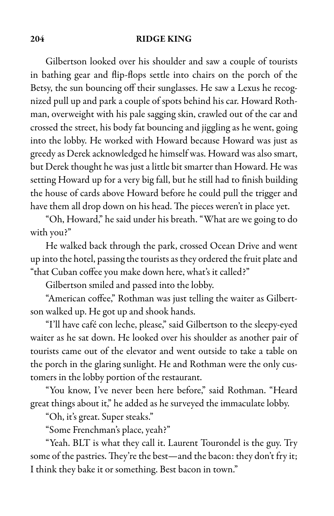Gilbertson looked over his shoulder and saw a couple of tourists in bathing gear and flip-flops settle into chairs on the porch of the Betsy, the sun bouncing off their sunglasses. He saw a Lexus he recognized pull up and park a couple of spots behind his car. Howard Rothman, overweight with his pale sagging skin, crawled out of the car and crossed the street, his body fat bouncing and jiggling as he went, going into the lobby. He worked with Howard because Howard was just as greedy as Derek acknowledged he himself was. Howard was also smart, but Derek thought he was just a little bit smarter than Howard. He was setting Howard up for a very big fall, but he still had to finish building the house of cards above Howard before he could pull the trigger and have them all drop down on his head. The pieces weren't in place yet.

"Oh, Howard," he said under his breath. "What are we going to do with you?"

He walked back through the park, crossed Ocean Drive and went up into the hotel, passing the tourists as they ordered the fruit plate and "that Cuban coffee you make down here, what's it called?"

Gilbertson smiled and passed into the lobby.

"American coffee," Rothman was just telling the waiter as Gilbertson walked up. He got up and shook hands.

"I'll have café con leche, please," said Gilbertson to the sleepy-eyed waiter as he sat down. He looked over his shoulder as another pair of tourists came out of the elevator and went outside to take a table on the porch in the glaring sunlight. He and Rothman were the only customers in the lobby portion of the restaurant.

"You know, I've never been here before," said Rothman. "Heard great things about it," he added as he surveyed the immaculate lobby.

"Oh, it's great. Super steaks."

"Some Frenchman's place, yeah?"

"Yeah. BLT is what they call it. Laurent Tourondel is the guy. Try some of the pastries. They're the best—and the bacon: they don't fry it; I think they bake it or something. Best bacon in town."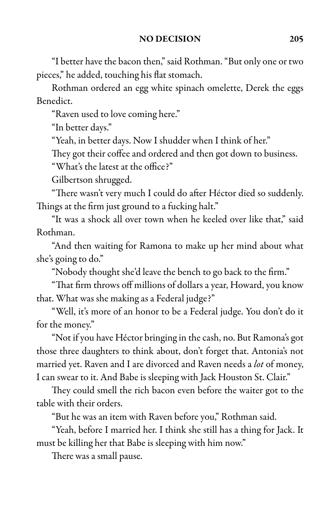"I better have the bacon then," said Rothman. "But only one or two pieces," he added, touching his flat stomach.

Rothman ordered an egg white spinach omelette, Derek the eggs Benedict.

"Raven used to love coming here."

"In better days."

"Yeah, in better days. Now I shudder when I think of her."

They got their coffee and ordered and then got down to business.

"What's the latest at the office?"

Gilbertson shrugged.

"There wasn't very much I could do after Héctor died so suddenly. Things at the firm just ground to a fucking halt."

"It was a shock all over town when he keeled over like that," said Rothman.

"And then waiting for Ramona to make up her mind about what she's going to do."

"Nobody thought she'd leave the bench to go back to the firm."

"That firm throws off millions of dollars a year, Howard, you know that. What was she making as a Federal judge?"

"Well, it's more of an honor to be a Federal judge. You don't do it for the money."

"Not if you have Héctor bringing in the cash, no. But Ramona's got those three daughters to think about, don't forget that. Antonia's not married yet. Raven and I are divorced and Raven needs a *lot* of money, I can swear to it. And Babe is sleeping with Jack Houston St. Clair."

They could smell the rich bacon even before the waiter got to the table with their orders.

"But he was an item with Raven before you," Rothman said.

"Yeah, before I married her. I think she still has a thing for Jack. It must be killing her that Babe is sleeping with him now."

There was a small pause.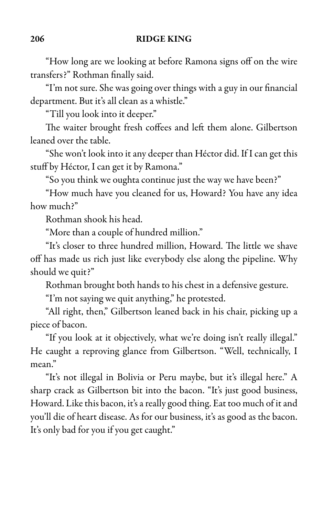"How long are we looking at before Ramona signs off on the wire transfers?" Rothman finally said.

"I'm not sure. She was going over things with a guy in our financial department. But it's all clean as a whistle."

"Till you look into it deeper."

The waiter brought fresh coffees and left them alone. Gilbertson leaned over the table.

"She won't look into it any deeper than Héctor did. If I can get this stuff by Héctor, I can get it by Ramona."

"So you think we oughta continue just the way we have been?"

"How much have you cleaned for us, Howard? You have any idea how much?"

Rothman shook his head.

"More than a couple of hundred million."

"It's closer to three hundred million, Howard. The little we shave off has made us rich just like everybody else along the pipeline. Why should we quit?"

Rothman brought both hands to his chest in a defensive gesture.

"I'm not saying we quit anything," he protested.

"All right, then," Gilbertson leaned back in his chair, picking up a piece of bacon.

"If you look at it objectively, what we're doing isn't really illegal." He caught a reproving glance from Gilbertson. "Well, technically, I mean."

"It's not illegal in Bolivia or Peru maybe, but it's illegal here." A sharp crack as Gilbertson bit into the bacon. "It's just good business, Howard. Like this bacon, it's a really good thing. Eat too much of it and you'll die of heart disease. As for our business, it's as good as the bacon. It's only bad for you if you get caught."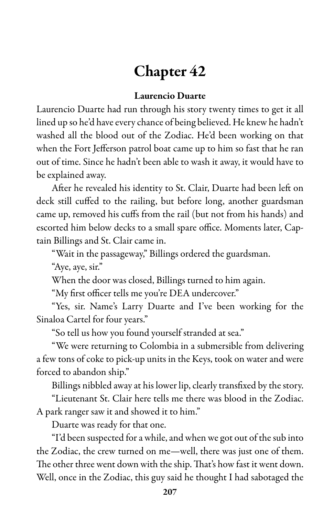# Laurencio Duarte

Laurencio Duarte had run through his story twenty times to get it all lined up so he'd have every chance of being believed. He knew he hadn't washed all the blood out of the Zodiac. He'd been working on that when the Fort Jefferson patrol boat came up to him so fast that he ran out of time. Since he hadn't been able to wash it away, it would have to be explained away.

After he revealed his identity to St. Clair, Duarte had been left on deck still cuffed to the railing, but before long, another guardsman came up, removed his cuffs from the rail (but not from his hands) and escorted him below decks to a small spare office. Moments later, Captain Billings and St. Clair came in.

"Wait in the passageway," Billings ordered the guardsman.

"Aye, aye, sir."

When the door was closed, Billings turned to him again.

"My first officer tells me you're DEA undercover."

"Yes, sir. Name's Larry Duarte and I've been working for the Sinaloa Cartel for four years."

"So tell us how you found yourself stranded at sea."

"We were returning to Colombia in a submersible from delivering a few tons of coke to pick-up units in the Keys, took on water and were forced to abandon ship."

Billings nibbled away at his lower lip, clearly transfixed by the story.

"Lieutenant St. Clair here tells me there was blood in the Zodiac. A park ranger saw it and showed it to him."

Duarte was ready for that one.

"I'd been suspected for a while, and when we got out of the sub into the Zodiac, the crew turned on me—well, there was just one of them. The other three went down with the ship. That's how fast it went down. Well, once in the Zodiac, this guy said he thought I had sabotaged the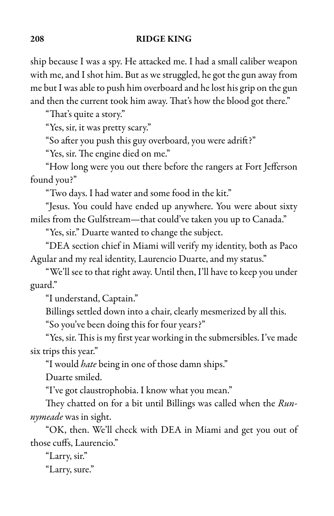ship because I was a spy. He attacked me. I had a small caliber weapon with me, and I shot him. But as we struggled, he got the gun away from me but I was able to push him overboard and he lost his grip on the gun and then the current took him away. That's how the blood got there."

"That's quite a story."

"Yes, sir, it was pretty scary."

"So after you push this guy overboard, you were adrift?"

"Yes, sir. The engine died on me."

"How long were you out there before the rangers at Fort Jefferson found you?"

"Two days. I had water and some food in the kit."

"Jesus. You could have ended up anywhere. You were about sixty miles from the Gulfstream—that could've taken you up to Canada."

"Yes, sir." Duarte wanted to change the subject.

"DEA section chief in Miami will verify my identity, both as Paco Agular and my real identity, Laurencio Duarte, and my status."

"We'll see to that right away. Until then, I'll have to keep you under guard."

"I understand, Captain."

Billings settled down into a chair, clearly mesmerized by all this.

"So you've been doing this for four years?"

"Yes, sir. This is my first year working in the submersibles. I've made six trips this year."

"I would *hate* being in one of those damn ships."

Duarte smiled.

"I've got claustrophobia. I know what you mean."

They chatted on for a bit until Billings was called when the Runnymeade was in sight.

"OK, then. We'll check with DEA in Miami and get you out of those cuffs, Laurencio."

"Larry, sir."

"Larry, sure."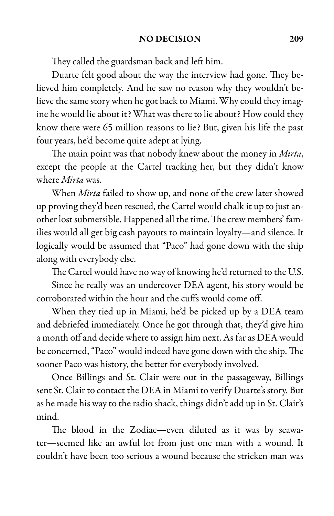They called the guardsman back and left him.

Duarte felt good about the way the interview had gone. They believed him completely. And he saw no reason why they wouldn't believe the same story when he got back to Miami. Why could they imagine he would lie about it? What was there to lie about? How could they know there were 65 million reasons to lie? But, given his life the past four years, he'd become quite adept at lying.

The main point was that nobody knew about the money in Mirta, except the people at the Cartel tracking her, but they didn't know where Mirta was.

When *Mirta* failed to show up, and none of the crew later showed up proving they'd been rescued, the Cartel would chalk it up to just another lost submersible. Happened all the time. The crew members' families would all get big cash payouts to maintain loyalty—and silence. It logically would be assumed that "Paco" had gone down with the ship along with everybody else.

The Cartel would have no way of knowing he'd returned to the U.S.

Since he really was an undercover DEA agent, his story would be corroborated within the hour and the cuffs would come off.

When they tied up in Miami, he'd be picked up by a DEA team and debriefed immediately. Once he got through that, they'd give him a month off and decide where to assign him next. As far as DEA would be concerned, "Paco" would indeed have gone down with the ship. The sooner Paco was history, the better for everybody involved.

Once Billings and St. Clair were out in the passageway, Billings sent St. Clair to contact the DEA in Miami to verify Duarte's story. But as he made his way to the radio shack, things didn't add up in St. Clair's mind.

The blood in the Zodiac—even diluted as it was by seawater—seemed like an awful lot from just one man with a wound. It couldn't have been too serious a wound because the stricken man was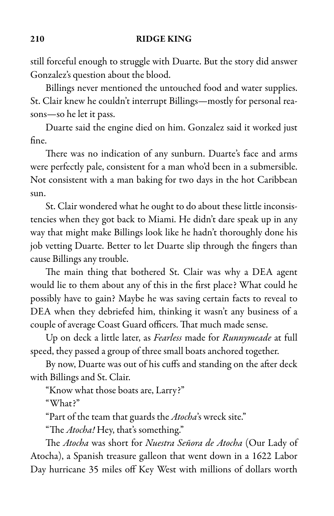still forceful enough to struggle with Duarte. But the story did answer Gonzalez's question about the blood.

Billings never mentioned the untouched food and water supplies. St. Clair knew he couldn't interrupt Billings—mostly for personal reasons—so he let it pass.

Duarte said the engine died on him. Gonzalez said it worked just fine.

There was no indication of any sunburn. Duarte's face and arms were perfectly pale, consistent for a man who'd been in a submersible. Not consistent with a man baking for two days in the hot Caribbean sun.

St. Clair wondered what he ought to do about these little inconsistencies when they got back to Miami. He didn't dare speak up in any way that might make Billings look like he hadn't thoroughly done his job vetting Duarte. Better to let Duarte slip through the fingers than cause Billings any trouble.

The main thing that bothered St. Clair was why a DEA agent would lie to them about any of this in the first place? What could he possibly have to gain? Maybe he was saving certain facts to reveal to DEA when they debriefed him, thinking it wasn't any business of a couple of average Coast Guard officers. That much made sense.

Up on deck a little later, as Fearless made for Runnymeade at full speed, they passed a group of three small boats anchored together.

By now, Duarte was out of his cuffs and standing on the after deck with Billings and St. Clair.

"Know what those boats are, Larry?"

"What?"

"Part of the team that guards the Atocha's wreck site."

"The Atocha! Hey, that's something."

The Atocha was short for Nuestra Señora de Atocha (Our Lady of Atocha), a Spanish treasure galleon that went down in a 1622 Labor Day hurricane 35 miles off Key West with millions of dollars worth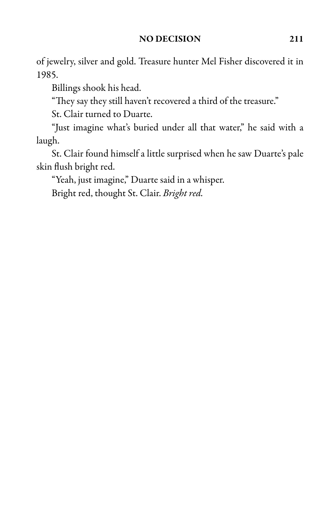of jewelry, silver and gold. Treasure hunter Mel Fisher discovered it in 1985.

Billings shook his head.

"They say they still haven't recovered a third of the treasure."

St. Clair turned to Duarte.

"Just imagine what's buried under all that water," he said with a laugh.

St. Clair found himself a little surprised when he saw Duarte's pale skin flush bright red.

"Yeah, just imagine," Duarte said in a whisper. Bright red, thought St. Clair. Bright red.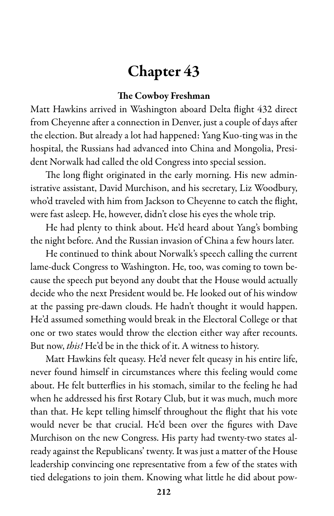# The Cowboy Freshman

Matt Hawkins arrived in Washington aboard Delta flight 432 direct from Cheyenne after a connection in Denver, just a couple of days after the election. But already a lot had happened: Yang Kuo-ting was in the hospital, the Russians had advanced into China and Mongolia, President Norwalk had called the old Congress into special session.

The long flight originated in the early morning. His new administrative assistant, David Murchison, and his secretary, Liz Woodbury, who'd traveled with him from Jackson to Cheyenne to catch the flight, were fast asleep. He, however, didn't close his eyes the whole trip.

He had plenty to think about. He'd heard about Yang's bombing the night before. And the Russian invasion of China a few hours later.

He continued to think about Norwalk's speech calling the current lame-duck Congress to Washington. He, too, was coming to town because the speech put beyond any doubt that the House would actually decide who the next President would be. He looked out of his window at the passing pre-dawn clouds. He hadn't thought it would happen. He'd assumed something would break in the Electoral College or that one or two states would throw the election either way after recounts. But now, this! He'd be in the thick of it. A witness to history.

Matt Hawkins felt queasy. He'd never felt queasy in his entire life, never found himself in circumstances where this feeling would come about. He felt butterflies in his stomach, similar to the feeling he had when he addressed his first Rotary Club, but it was much, much more than that. He kept telling himself throughout the flight that his vote would never be that crucial. He'd been over the figures with Dave Murchison on the new Congress. His party had twenty-two states already against the Republicans' twenty. It was just a matter of the House leadership convincing one representative from a few of the states with tied delegations to join them. Knowing what little he did about pow-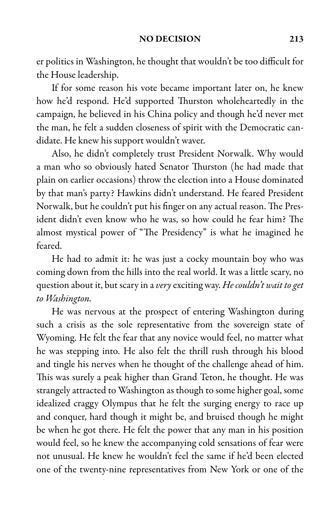er politics in Washington, he thought that wouldn't be too difficult for the House leadership.

If for some reason his vote became important later on, he knew how he'd respond. He'd supported Thurston wholeheartedly in the campaign, he believed in his China policy and though he'd never met the man, he felt a sudden closeness of spirit with the Democratic candidate. He knew his support wouldn't waver.

Also, he didn't completely trust President Norwalk. Why would a man who so obviously hated Senator Thurston (he had made that plain on earlier occasions) throw the election into a House dominated by that man's party? Hawkins didn't understand. He feared President Norwalk, but he couldn't put his finger on any actual reason. The President didn't even know who he was, so how could he fear him? The almost mystical power of "The Presidency" is what he imagined he feared.

He had to admit it: he was just a cocky mountain boy who was coming down from the hills into the real world. It was a little scary, no question about it, but scary in a very exciting way. He couldn't wait to get to Washington.

He was nervous at the prospect of entering Washington during such a crisis as the sole representative from the sovereign state of Wyoming. He felt the fear that any novice would feel, no matter what he was stepping into. He also felt the thrill rush through his blood and tingle his nerves when he thought of the challenge ahead of him. This was surely a peak higher than Grand Teton, he thought. He was strangely attracted to Washington as though to some higher goal, some idealized craggy Olympus that he felt the surging energy to race up and conquer, hard though it might be, and bruised though he might be when he got there. He felt the power that any man in his position would feel, so he knew the accompanying cold sensations of fear were not unusual. He knew he wouldn't feel the same if he'd been elected one of the twenty-nine representatives from New York or one of the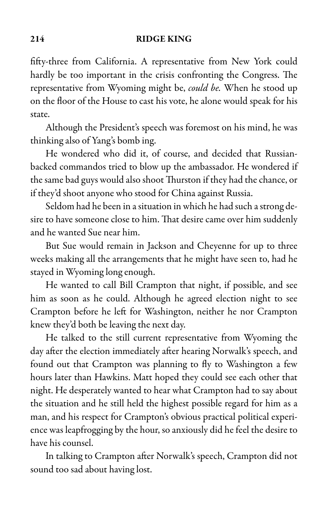fifty-three from California. A representative from New York could hardly be too important in the crisis confronting the Congress. The representative from Wyoming might be, could be. When he stood up on the floor of the House to cast his vote, he alone would speak for his state.

Although the President's speech was foremost on his mind, he was thinking also of Yang's bomb ing.

He wondered who did it, of course, and decided that Russianbacked commandos tried to blow up the ambassador. He wondered if the same bad guys would also shoot Thurston if they had the chance, or if they'd shoot anyone who stood for China against Russia.

Seldom had he been in a situation in which he had such a strong desire to have someone close to him. That desire came over him suddenly and he wanted Sue near him.

But Sue would remain in Jackson and Cheyenne for up to three weeks making all the arrangements that he might have seen to, had he stayed in Wyoming long enough.

He wanted to call Bill Crampton that night, if possible, and see him as soon as he could. Although he agreed election night to see Crampton before he left for Washington, neither he nor Crampton knew they'd both be leaving the next day.

He talked to the still current representative from Wyoming the day after the election immediately after hearing Norwalk's speech, and found out that Crampton was planning to fly to Washington a few hours later than Hawkins. Matt hoped they could see each other that night. He desperately wanted to hear what Crampton had to say about the situation and he still held the highest possible regard for him as a man, and his respect for Crampton's obvious practical political experience was leapfrogging by the hour, so anxiously did he feel the desire to have his counsel.

In talking to Crampton after Norwalk's speech, Crampton did not sound too sad about having lost.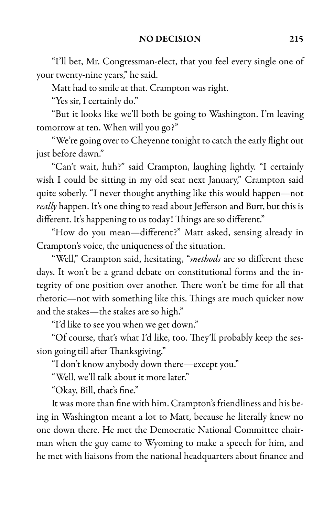"I'll bet, Mr. Congressman-elect, that you feel every single one of your twenty-nine years," he said.

Matt had to smile at that. Crampton was right.

"Yes sir, I certainly do."

"But it looks like we'll both be going to Washington. I'm leaving tomorrow at ten. When will you go?"

"We're going over to Cheyenne tonight to catch the early flight out just before dawn."

"Can't wait, huh?" said Crampton, laughing lightly. "I certainly wish I could be sitting in my old seat next January," Crampton said quite soberly. "I never thought anything like this would happen—not really happen. It's one thing to read about Jefferson and Burr, but this is different. It's happening to us today! Things are so different."

"How do you mean—different?" Matt asked, sensing already in Crampton's voice, the uniqueness of the situation.

"Well," Crampton said, hesitating, "methods are so different these days. It won't be a grand debate on constitutional forms and the integrity of one position over another. There won't be time for all that rhetoric—not with something like this. Things are much quicker now and the stakes—the stakes are so high."

"I'd like to see you when we get down."

"Of course, that's what I'd like, too. They'll probably keep the session going till after Thanksgiving."

"I don't know anybody down there—except you."

"Well, we'll talk about it more later."

"Okay, Bill, that's fine."

It was more than fine with him. Crampton's friendliness and his being in Washington meant a lot to Matt, because he literally knew no one down there. He met the Democratic National Committee chairman when the guy came to Wyoming to make a speech for him, and he met with liaisons from the national headquarters about finance and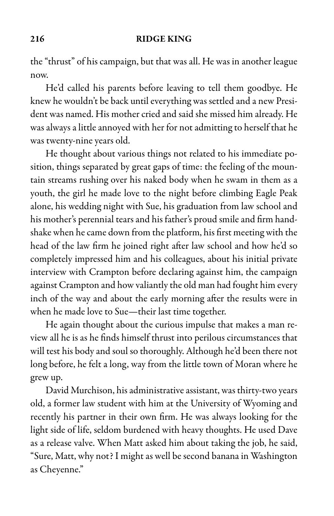the "thrust" of his campaign, but that was all. He was in another league now.

He'd called his parents before leaving to tell them goodbye. He knew he wouldn't be back until everything was settled and a new President was named. His mother cried and said she missed him already. He was always a little annoyed with her for not admitting to herself that he was twenty-nine years old.

He thought about various things not related to his immediate position, things separated by great gaps of time: the feeling of the mountain streams rushing over his naked body when he swam in them as a youth, the girl he made love to the night before climbing Eagle Peak alone, his wedding night with Sue, his graduation from law school and his mother's perennial tears and his father's proud smile and firm handshake when he came down from the platform, his first meeting with the head of the law firm he joined right after law school and how he'd so completely impressed him and his colleagues, about his initial private interview with Crampton before declaring against him, the campaign against Crampton and how valiantly the old man had fought him every inch of the way and about the early morning after the results were in when he made love to Sue—their last time together.

He again thought about the curious impulse that makes a man review all he is as he finds himself thrust into perilous circumstances that will test his body and soul so thoroughly. Although he'd been there not long before, he felt a long, way from the little town of Moran where he grew up.

David Murchison, his administrative assistant, was thirty-two years old, a former law student with him at the University of Wyoming and recently his partner in their own firm. He was always looking for the light side of life, seldom burdened with heavy thoughts. He used Dave as a release valve. When Matt asked him about taking the job, he said, "Sure, Matt, why not? I might as well be second banana in Washington as Cheyenne."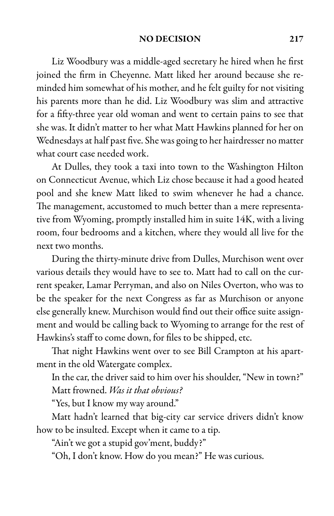Liz Woodbury was a middle-aged secretary he hired when he first joined the firm in Cheyenne. Matt liked her around because she reminded him somewhat of his mother, and he felt guilty for not visiting his parents more than he did. Liz Woodbury was slim and attractive for a fifty-three year old woman and went to certain pains to see that she was. It didn't matter to her what Matt Hawkins planned for her on Wednesdays at half past five. She was going to her hairdresser no matter what court case needed work.

At Dulles, they took a taxi into town to the Washington Hilton on Connecticut Avenue, which Liz chose because it had a good heated pool and she knew Matt liked to swim whenever he had a chance. The management, accustomed to much better than a mere representative from Wyoming, promptly installed him in suite 14K, with a living room, four bedrooms and a kitchen, where they would all live for the next two months.

During the thirty-minute drive from Dulles, Murchison went over various details they would have to see to. Matt had to call on the current speaker, Lamar Perryman, and also on Niles Overton, who was to be the speaker for the next Congress as far as Murchison or anyone else generally knew. Murchison would find out their office suite assignment and would be calling back to Wyoming to arrange for the rest of Hawkins's staff to come down, for files to be shipped, etc.

That night Hawkins went over to see Bill Crampton at his apartment in the old Watergate complex.

In the car, the driver said to him over his shoulder, "New in town?" Matt frowned. Was it that obvious?

"Yes, but I know my way around."

Matt hadn't learned that big-city car service drivers didn't know how to be insulted. Except when it came to a tip.

"Ain't we got a stupid gov'ment, buddy?"

"Oh, I don't know. How do you mean?" He was curious.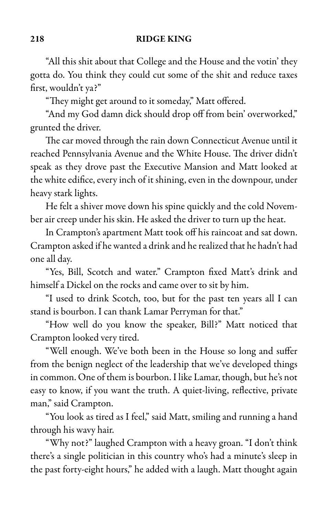"All this shit about that College and the House and the votin' they gotta do. You think they could cut some of the shit and reduce taxes first, wouldn't ya?"

"They might get around to it someday," Matt offered.

"And my God damn dick should drop off from bein' overworked," grunted the driver.

The car moved through the rain down Connecticut Avenue until it reached Pennsylvania Avenue and the White House. The driver didn't speak as they drove past the Executive Mansion and Matt looked at the white edifice, every inch of it shining, even in the downpour, under heavy stark lights.

He felt a shiver move down his spine quickly and the cold November air creep under his skin. He asked the driver to turn up the heat.

In Crampton's apartment Matt took off his raincoat and sat down. Crampton asked if he wanted a drink and he realized that he hadn't had one all day.

"Yes, Bill, Scotch and water." Crampton fixed Matt's drink and himself a Dickel on the rocks and came over to sit by him.

"I used to drink Scotch, too, but for the past ten years all I can stand is bourbon. I can thank Lamar Perryman for that."

"How well do you know the speaker, Bill?" Matt noticed that Crampton looked very tired.

"Well enough. We've both been in the House so long and suffer from the benign neglect of the leadership that we've developed things in common. One of them is bourbon. I like Lamar, though, but he's not easy to know, if you want the truth. A quiet-living, reflective, private man," said Crampton.

"You look as tired as I feel," said Matt, smiling and running a hand through his wavy hair.

"Why not?" laughed Crampton with a heavy groan. "I don't think there's a single politician in this country who's had a minute's sleep in the past forty-eight hours," he added with a laugh. Matt thought again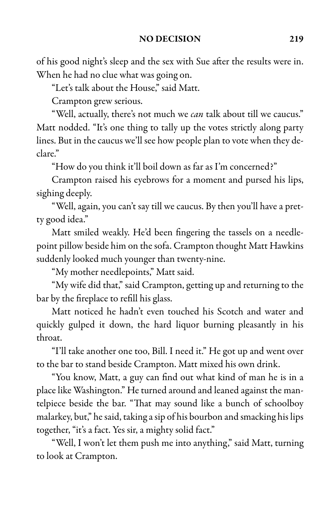of his good night's sleep and the sex with Sue after the results were in. When he had no clue what was going on.

"Let's talk about the House," said Matt.

Crampton grew serious.

"Well, actually, there's not much we *can* talk about till we caucus." Matt nodded. "It's one thing to tally up the votes strictly along party lines. But in the caucus we'll see how people plan to vote when they declare."

"How do you think it'll boil down as far as I'm concerned?"

Crampton raised his eyebrows for a moment and pursed his lips, sighing deeply.

"Well, again, you can't say till we caucus. By then you'll have a pretty good idea."

Matt smiled weakly. He'd been fingering the tassels on a needlepoint pillow beside him on the sofa. Crampton thought Matt Hawkins suddenly looked much younger than twenty-nine.

"My mother needlepoints," Matt said.

"My wife did that," said Crampton, getting up and returning to the bar by the fireplace to refill his glass.

Matt noticed he hadn't even touched his Scotch and water and quickly gulped it down, the hard liquor burning pleasantly in his throat.

"I'll take another one too, Bill. I need it." He got up and went over to the bar to stand beside Crampton. Matt mixed his own drink.

"You know, Matt, a guy can find out what kind of man he is in a place like Washington." He turned around and leaned against the mantelpiece beside the bar. "That may sound like a bunch of schoolboy malarkey, but," he said, taking a sip of his bourbon and smacking his lips together, "it's a fact. Yes sir, a mighty solid fact."

"Well, I won't let them push me into anything," said Matt, turning to look at Crampton.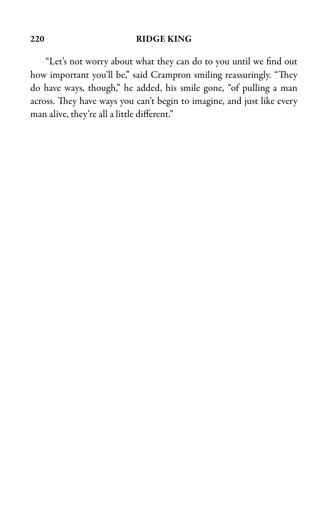"Let's not worry about what they can do to you until we find out how important you'll be," said Crampton smiling reassuringly. "They do have ways, though," he added, his smile gone, "of pulling a man across. They have ways you can't begin to imagine, and just like every man alive, they're all a little different."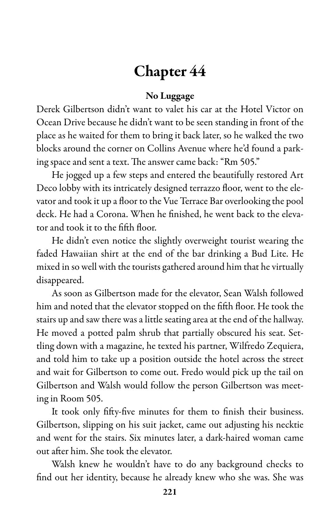# No Luggage

Derek Gilbertson didn't want to valet his car at the Hotel Victor on Ocean Drive because he didn't want to be seen standing in front of the place as he waited for them to bring it back later, so he walked the two blocks around the corner on Collins Avenue where he'd found a parking space and sent a text. The answer came back: "Rm 505."

He jogged up a few steps and entered the beautifully restored Art Deco lobby with its intricately designed terrazzo floor, went to the elevator and took it up a floor to the Vue Terrace Bar overlooking the pool deck. He had a Corona. When he finished, he went back to the elevator and took it to the fifth floor.

He didn't even notice the slightly overweight tourist wearing the faded Hawaiian shirt at the end of the bar drinking a Bud Lite. He mixed in so well with the tourists gathered around him that he virtually disappeared.

As soon as Gilbertson made for the elevator, Sean Walsh followed him and noted that the elevator stopped on the fifth floor. He took the stairs up and saw there was a little seating area at the end of the hallway. He moved a potted palm shrub that partially obscured his seat. Settling down with a magazine, he texted his partner, Wilfredo Zequiera, and told him to take up a position outside the hotel across the street and wait for Gilbertson to come out. Fredo would pick up the tail on Gilbertson and Walsh would follow the person Gilbertson was meeting in Room 505.

It took only fifty-five minutes for them to finish their business. Gilbertson, slipping on his suit jacket, came out adjusting his necktie and went for the stairs. Six minutes later, a dark-haired woman came out after him. She took the elevator.

Walsh knew he wouldn't have to do any background checks to find out her identity, because he already knew who she was. She was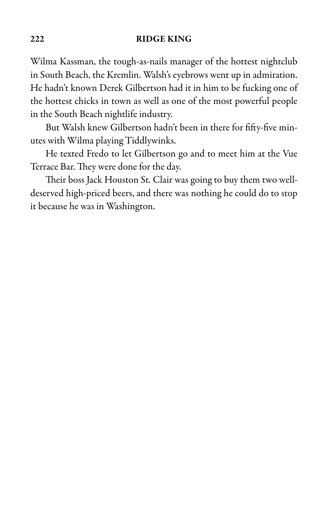Wilma Kassman, the tough-as-nails manager of the hottest nightclub in South Beach, the Kremlin. Walsh's eyebrows went up in admiration. He hadn't known Derek Gilbertson had it in him to be fucking one of the hottest chicks in town as well as one of the most powerful people in the South Beach nightlife industry.

But Walsh knew Gilbertson hadn't been in there for fifty-five minutes with Wilma playing Tiddlywinks.

He texted Fredo to let Gilbertson go and to meet him at the Vue Terrace Bar. They were done for the day.

Their boss Jack Houston St. Clair was going to buy them two welldeserved high-priced beers, and there was nothing he could do to stop it because he was in Washington.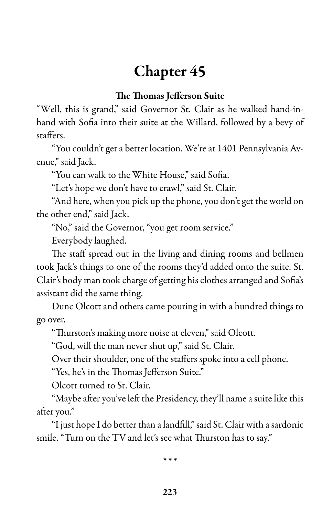# The Thomas Jefferson Suite

"Well, this is grand," said Governor St. Clair as he walked hand-inhand with Sofia into their suite at the Willard, followed by a bevy of staffers.

"You couldn't get a better location. We're at 1401 Pennsylvania Avenue," said Jack.

"You can walk to the White House," said Sofia.

"Let's hope we don't have to crawl," said St. Clair.

"And here, when you pick up the phone, you don't get the world on the other end," said Jack.

"No," said the Governor, "you get room service."

Everybody laughed.

The staff spread out in the living and dining rooms and bellmen took Jack's things to one of the rooms they'd added onto the suite. St. Clair's body man took charge of getting his clothes arranged and Sofia's assistant did the same thing.

Dunc Olcott and others came pouring in with a hundred things to go over.

"Thurston's making more noise at eleven," said Olcott.

"God, will the man never shut up," said St. Clair.

Over their shoulder, one of the staffers spoke into a cell phone.

"Yes, he's in the Thomas Jefferson Suite."

Olcott turned to St. Clair.

"Maybe after you've left the Presidency, they'll name a suite like this after you."

"I just hope I do better than a landfill," said St. Clair with a sardonic smile. "Turn on the TV and let's see what Thurston has to say."

\* \* \*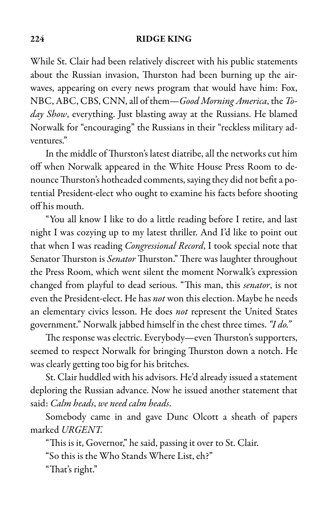While St. Clair had been relatively discreet with his public statements about the Russian invasion, Thurston had been burning up the airwaves, appearing on every news program that would have him: Fox, NBC, ABC, CBS, CNN, all of them—Good Morning America, the Today Show, everything. Just blasting away at the Russians. He blamed Norwalk for "encouraging" the Russians in their "reckless military adventures."

In the middle of Thurston's latest diatribe, all the networks cut him off when Norwalk appeared in the White House Press Room to denounce Thurston's hotheaded comments, saying they did not befit a potential President-elect who ought to examine his facts before shooting off his mouth.

"You all know I like to do a little reading before I retire, and last night I was cozying up to my latest thriller. And I'd like to point out that when I was reading *Congressional Record*, I took special note that Senator Thurston is Senator Thurston." There was laughter throughout the Press Room, which went silent the moment Norwalk's expression changed from playful to dead serious. "This man, this senator, is not even the President-elect. He has not won this election. Maybe he needs an elementary civics lesson. He does not represent the United States government." Norwalk jabbed himself in the chest three times. "I do."

The response was electric. Everybody—even Thurston's supporters, seemed to respect Norwalk for bringing Thurston down a notch. He was clearly getting too big for his britches.

St. Clair huddled with his advisors. He'd already issued a statement deploring the Russian advance. Now he issued another statement that said: Calm heads, we need calm heads.

Somebody came in and gave Dunc Olcott a sheath of papers marked URGENT.

"This is it, Governor," he said, passing it over to St. Clair.

"So this is the Who Stands Where List, eh?"

"That's right."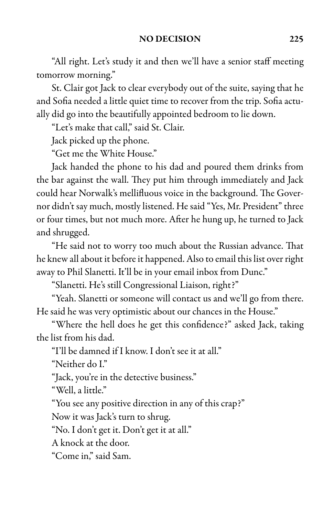"All right. Let's study it and then we'll have a senior staff meeting tomorrow morning."

St. Clair got Jack to clear everybody out of the suite, saying that he and Sofia needed a little quiet time to recover from the trip. Sofia actually did go into the beautifully appointed bedroom to lie down.

"Let's make that call," said St. Clair.

Jack picked up the phone.

"Get me the White House."

Jack handed the phone to his dad and poured them drinks from the bar against the wall. They put him through immediately and Jack could hear Norwalk's mellifluous voice in the background. The Governor didn't say much, mostly listened. He said "Yes, Mr. President" three or four times, but not much more. After he hung up, he turned to Jack and shrugged.

"He said not to worry too much about the Russian advance. That he knew all about it before it happened. Also to email this list over right away to Phil Slanetti. It'll be in your email inbox from Dunc."

"Slanetti. He's still Congressional Liaison, right?"

"Yeah. Slanetti or someone will contact us and we'll go from there. He said he was very optimistic about our chances in the House."

"Where the hell does he get this confidence?" asked Jack, taking the list from his dad.

"I'll be damned if I know. I don't see it at all."

"Neither do I."

"Jack, you're in the detective business."

"Well, a little."

"You see any positive direction in any of this crap?"

Now it was Jack's turn to shrug.

"No. I don't get it. Don't get it at all."

A knock at the door.

"Come in," said Sam.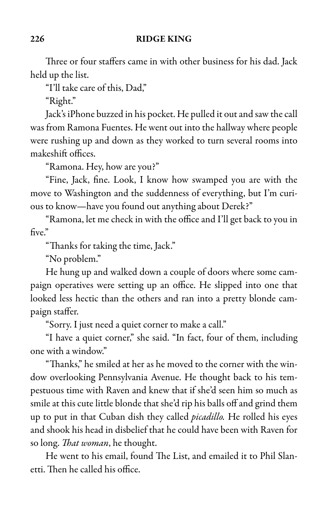Three or four staffers came in with other business for his dad. Jack held up the list.

"I'll take care of this, Dad,"

"Right."

Jack's iPhone buzzed in his pocket. He pulled it out and saw the call was from Ramona Fuentes. He went out into the hallway where people were rushing up and down as they worked to turn several rooms into makeshift offices.

"Ramona. Hey, how are you?"

"Fine, Jack, fine. Look, I know how swamped you are with the move to Washington and the suddenness of everything, but I'm curious to know—have you found out anything about Derek?"

"Ramona, let me check in with the office and I'll get back to you in five."

"Thanks for taking the time, Jack."

"No problem."

He hung up and walked down a couple of doors where some campaign operatives were setting up an office. He slipped into one that looked less hectic than the others and ran into a pretty blonde campaign staffer.

"Sorry. I just need a quiet corner to make a call."

"I have a quiet corner," she said. "In fact, four of them, including one with a window."

"Thanks," he smiled at her as he moved to the corner with the window overlooking Pennsylvania Avenue. He thought back to his tempestuous time with Raven and knew that if she'd seen him so much as smile at this cute little blonde that she'd rip his balls off and grind them up to put in that Cuban dish they called *picadillo*. He rolled his eyes and shook his head in disbelief that he could have been with Raven for so long. That woman, he thought.

He went to his email, found The List, and emailed it to Phil Slanetti. Then he called his office.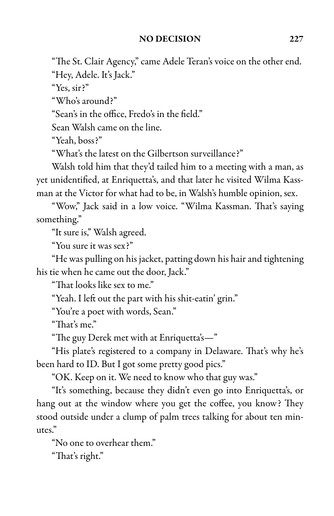"The St. Clair Agency," came Adele Teran's voice on the other end. "Hey, Adele. It's Jack."

"Yes, sir?"

"Who's around?"

"Sean's in the office, Fredo's in the field."

Sean Walsh came on the line.

"Yeah, boss?"

"What's the latest on the Gilbertson surveillance?"

Walsh told him that they'd tailed him to a meeting with a man, as yet unidentified, at Enriquetta's, and that later he visited Wilma Kassman at the Victor for what had to be, in Walsh's humble opinion, sex.

"Wow," Jack said in a low voice. "Wilma Kassman. That's saying something."

"It sure is," Walsh agreed.

"You sure it was sex?"

"He was pulling on his jacket, patting down his hair and tightening his tie when he came out the door, Jack."

"That looks like sex to me."

"Yeah. I left out the part with his shit-eatin' grin."

"You're a poet with words, Sean."

"That's me."

"The guy Derek met with at Enriquetta's—"

"His plate's registered to a company in Delaware. That's why he's been hard to ID. But I got some pretty good pics."

"OK. Keep on it. We need to know who that guy was."

"It's something, because they didn't even go into Enriquetta's, or hang out at the window where you get the coffee, you know? They stood outside under a clump of palm trees talking for about ten minutes."

"No one to overhear them."

"That's right."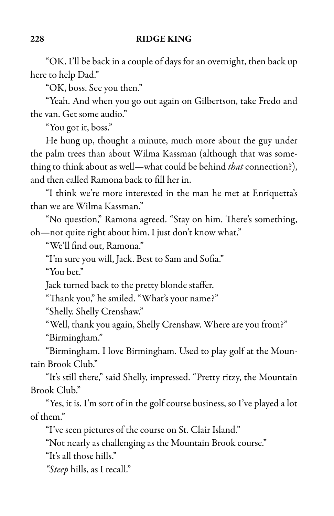"OK. I'll be back in a couple of days for an overnight, then back up here to help Dad."

"OK, boss. See you then."

"Yeah. And when you go out again on Gilbertson, take Fredo and the van. Get some audio."

"You got it, boss."

He hung up, thought a minute, much more about the guy under the palm trees than about Wilma Kassman (although that was something to think about as well—what could be behind that connection?), and then called Ramona back to fill her in.

"I think we're more interested in the man he met at Enriquetta's than we are Wilma Kassman."

"No question," Ramona agreed. "Stay on him. There's something, oh—not quite right about him. I just don't know what."

"We'll find out, Ramona."

"I'm sure you will, Jack. Best to Sam and Sofia."

"You bet."

Jack turned back to the pretty blonde staffer.

"Thank you," he smiled. "What's your name?"

"Shelly. Shelly Crenshaw."

"Well, thank you again, Shelly Crenshaw. Where are you from?" "Birmingham."

"Birmingham. I love Birmingham. Used to play golf at the Mountain Brook Club."

"It's still there," said Shelly, impressed. "Pretty ritzy, the Mountain Brook Club."

"Yes, it is. I'm sort of in the golf course business, so I've played a lot of them."

"I've seen pictures of the course on St. Clair Island."

"Not nearly as challenging as the Mountain Brook course."

"It's all those hills."

"Steep hills, as I recall."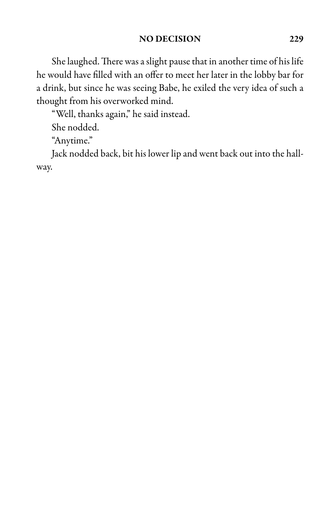She laughed. There was a slight pause that in another time of his life he would have filled with an offer to meet her later in the lobby bar for a drink, but since he was seeing Babe, he exiled the very idea of such a thought from his overworked mind.

"Well, thanks again," he said instead.

She nodded.

"Anytime."

Jack nodded back, bit his lower lip and went back out into the hallway.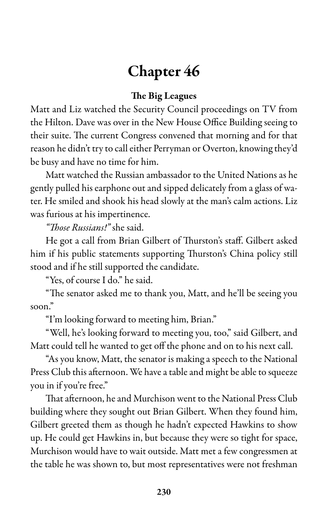# The Big Leagues

Matt and Liz watched the Security Council proceedings on TV from the Hilton. Dave was over in the New House Office Building seeing to their suite. The current Congress convened that morning and for that reason he didn't try to call either Perryman or Overton, knowing they'd be busy and have no time for him.

Matt watched the Russian ambassador to the United Nations as he gently pulled his earphone out and sipped delicately from a glass of water. He smiled and shook his head slowly at the man's calm actions. Liz was furious at his impertinence.

"Those Russians!" she said.

He got a call from Brian Gilbert of Thurston's staff. Gilbert asked him if his public statements supporting Thurston's China policy still stood and if he still supported the candidate.

"Yes, of course I do." he said.

"The senator asked me to thank you, Matt, and he'll be seeing you soon."

"I'm looking forward to meeting him, Brian."

"Well, he's looking forward to meeting you, too," said Gilbert, and Matt could tell he wanted to get off the phone and on to his next call.

"As you know, Matt, the senator is making a speech to the National Press Club this afternoon. We have a table and might be able to squeeze you in if you're free."

That afternoon, he and Murchison went to the National Press Club building where they sought out Brian Gilbert. When they found him, Gilbert greeted them as though he hadn't expected Hawkins to show up. He could get Hawkins in, but because they were so tight for space, Murchison would have to wait outside. Matt met a few congressmen at the table he was shown to, but most representatives were not freshman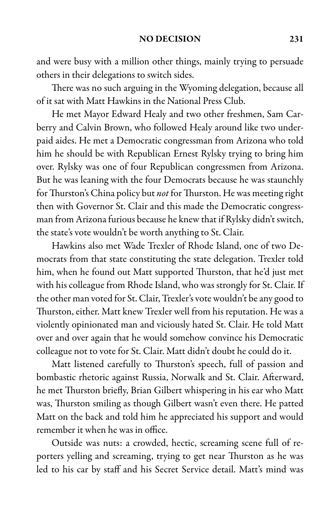and were busy with a million other things, mainly trying to persuade others in their delegations to switch sides.

There was no such arguing in the Wyoming delegation, because all of it sat with Matt Hawkins in the National Press Club.

He met Mayor Edward Healy and two other freshmen, Sam Carberry and Calvin Brown, who followed Healy around like two underpaid aides. He met a Democratic congressman from Arizona who told him he should be with Republican Ernest Rylsky trying to bring him over. Rylsky was one of four Republican congressmen from Arizona. But he was leaning with the four Democrats because he was staunchly for Thurston's China policy but not for Thurston. He was meeting right then with Governor St. Clair and this made the Democratic congressman from Arizona furious because he knew that if Rylsky didn't switch, the state's vote wouldn't be worth anything to St. Clair.

Hawkins also met Wade Trexler of Rhode Island, one of two Democrats from that state constituting the state delegation. Trexler told him, when he found out Matt supported Thurston, that he'd just met with his colleague from Rhode Island, who was strongly for St. Clair. If the other man voted for St. Clair, Trexler's vote wouldn't be any good to Thurston, either. Matt knew Trexler well from his reputation. He was a violently opinionated man and viciously hated St. Clair. He told Matt over and over again that he would somehow convince his Democratic colleague not to vote for St. Clair. Matt didn't doubt he could do it.

Matt listened carefully to Thurston's speech, full of passion and bombastic rhetoric against Russia, Norwalk and St. Clair. Afterward, he met Thurston briefly, Brian Gilbert whispering in his ear who Matt was, Thurston smiling as though Gilbert wasn't even there. He patted Matt on the back and told him he appreciated his support and would remember it when he was in office.

Outside was nuts: a crowded, hectic, screaming scene full of reporters yelling and screaming, trying to get near Thurston as he was led to his car by staff and his Secret Service detail. Matt's mind was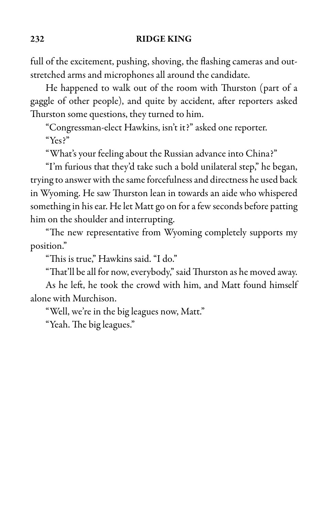full of the excitement, pushing, shoving, the flashing cameras and outstretched arms and microphones all around the candidate.

He happened to walk out of the room with Thurston (part of a gaggle of other people), and quite by accident, after reporters asked Thurston some questions, they turned to him.

"Congressman-elect Hawkins, isn't it?" asked one reporter.

"Yes?"

"What's your feeling about the Russian advance into China?"

"I'm furious that they'd take such a bold unilateral step," he began, trying to answer with the same forcefulness and directness he used back in Wyoming. He saw Thurston lean in towards an aide who whispered something in his ear. He let Matt go on for a few seconds before patting him on the shoulder and interrupting.

"The new representative from Wyoming completely supports my position."

"This is true," Hawkins said. "I do."

"That'll be all for now, everybody," said Thurston as he moved away.

As he left, he took the crowd with him, and Matt found himself alone with Murchison.

"Well, we're in the big leagues now, Matt."

"Yeah. The big leagues."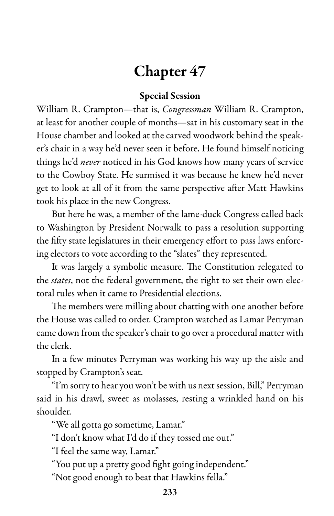## Special Session

William R. Crampton-that is, Congressman William R. Crampton, at least for another couple of months—sat in his customary seat in the House chamber and looked at the carved woodwork behind the speaker's chair in a way he'd never seen it before. He found himself noticing things he'd never noticed in his God knows how many years of service to the Cowboy State. He surmised it was because he knew he'd never get to look at all of it from the same perspective after Matt Hawkins took his place in the new Congress.

But here he was, a member of the lame-duck Congress called back to Washington by President Norwalk to pass a resolution supporting the fifty state legislatures in their emergency effort to pass laws enforcing electors to vote according to the "slates" they represented.

It was largely a symbolic measure. The Constitution relegated to the *states*, not the federal government, the right to set their own electoral rules when it came to Presidential elections.

The members were milling about chatting with one another before the House was called to order. Crampton watched as Lamar Perryman came down from the speaker's chair to go over a procedural matter with the clerk.

In a few minutes Perryman was working his way up the aisle and stopped by Crampton's seat.

"I'm sorry to hear you won't be with us next session, Bill," Perryman said in his drawl, sweet as molasses, resting a wrinkled hand on his shoulder.

"We all gotta go sometime, Lamar."

"I don't know what I'd do if they tossed me out."

"I feel the same way, Lamar."

- "You put up a pretty good fight going independent."
- "Not good enough to beat that Hawkins fella."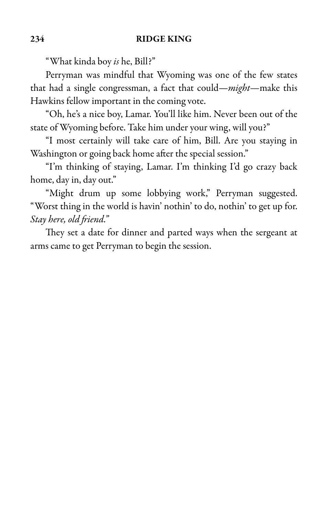"What kinda boy is he, Bill?"

Perryman was mindful that Wyoming was one of the few states that had a single congressman, a fact that could—might—make this Hawkins fellow important in the coming vote.

"Oh, he's a nice boy, Lamar. You'll like him. Never been out of the state of Wyoming before. Take him under your wing, will you?"

"I most certainly will take care of him, Bill. Are you staying in Washington or going back home after the special session."

"I'm thinking of staying, Lamar. I'm thinking I'd go crazy back home, day in, day out."

"Might drum up some lobbying work," Perryman suggested. "Worst thing in the world is havin' nothin' to do, nothin' to get up for. Stay here, old friend."

They set a date for dinner and parted ways when the sergeant at arms came to get Perryman to begin the session.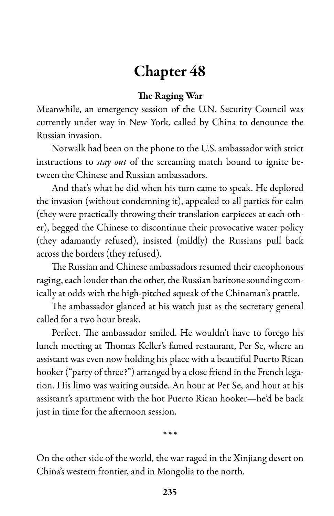# The Raging War

Meanwhile, an emergency session of the U.N. Security Council was currently under way in New York, called by China to denounce the Russian invasion.

Norwalk had been on the phone to the U.S. ambassador with strict instructions to *stay out* of the screaming match bound to ignite between the Chinese and Russian ambassadors.

And that's what he did when his turn came to speak. He deplored the invasion (without condemning it), appealed to all parties for calm (they were practically throwing their translation earpieces at each other), begged the Chinese to discontinue their provocative water policy (they adamantly refused), insisted (mildly) the Russians pull back across the borders (they refused).

The Russian and Chinese ambassadors resumed their cacophonous raging, each louder than the other, the Russian baritone sounding comically at odds with the high-pitched squeak of the Chinaman's prattle.

The ambassador glanced at his watch just as the secretary general called for a two hour break.

Perfect. The ambassador smiled. He wouldn't have to forego his lunch meeting at Thomas Keller's famed restaurant, Per Se, where an assistant was even now holding his place with a beautiful Puerto Rican hooker ("party of three?") arranged by a close friend in the French legation. His limo was waiting outside. An hour at Per Se, and hour at his assistant's apartment with the hot Puerto Rican hooker—he'd be back just in time for the afternoon session.

\* \* \*

On the other side of the world, the war raged in the Xinjiang desert on China's western frontier, and in Mongolia to the north.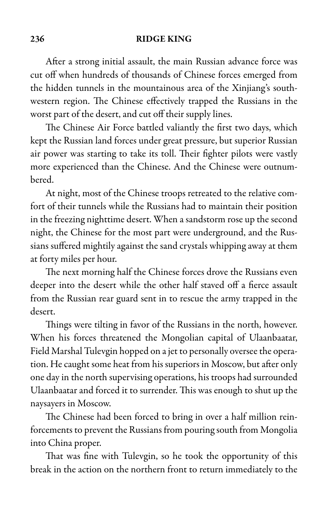After a strong initial assault, the main Russian advance force was cut off when hundreds of thousands of Chinese forces emerged from the hidden tunnels in the mountainous area of the Xinjiang's southwestern region. The Chinese effectively trapped the Russians in the worst part of the desert, and cut off their supply lines.

The Chinese Air Force battled valiantly the first two days, which kept the Russian land forces under great pressure, but superior Russian air power was starting to take its toll. Their fighter pilots were vastly more experienced than the Chinese. And the Chinese were outnumbered.

At night, most of the Chinese troops retreated to the relative comfort of their tunnels while the Russians had to maintain their position in the freezing nighttime desert. When a sandstorm rose up the second night, the Chinese for the most part were underground, and the Russians suffered mightily against the sand crystals whipping away at them at forty miles per hour.

The next morning half the Chinese forces drove the Russians even deeper into the desert while the other half staved off a fierce assault from the Russian rear guard sent in to rescue the army trapped in the desert.

Things were tilting in favor of the Russians in the north, however. When his forces threatened the Mongolian capital of Ulaanbaatar, Field Marshal Tulevgin hopped on a jet to personally oversee the operation. He caught some heat from his superiors in Moscow, but after only one day in the north supervising operations, his troops had surrounded Ulaanbaatar and forced it to surrender. This was enough to shut up the naysayers in Moscow.

The Chinese had been forced to bring in over a half million reinforcements to prevent the Russians from pouring south from Mongolia into China proper.

That was fine with Tulevgin, so he took the opportunity of this break in the action on the northern front to return immediately to the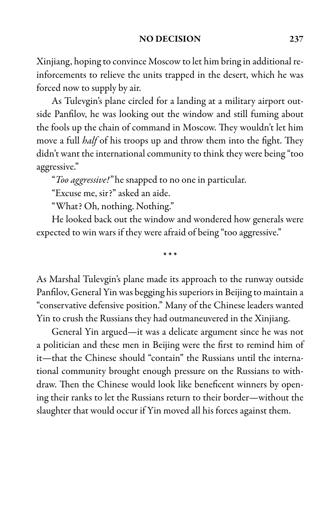Xinjiang, hoping to convince Moscow to let him bring in additional reinforcements to relieve the units trapped in the desert, which he was forced now to supply by air.

As Tulevgin's plane circled for a landing at a military airport outside Panfilov, he was looking out the window and still fuming about the fools up the chain of command in Moscow. They wouldn't let him move a full *half* of his troops up and throw them into the fight. They didn't want the international community to think they were being "too aggressive."

"Too aggressive!" he snapped to no one in particular.

"Excuse me, sir?" asked an aide.

"What? Oh, nothing. Nothing."

He looked back out the window and wondered how generals were expected to win wars if they were afraid of being "too aggressive."

\* \* \*

As Marshal Tulevgin's plane made its approach to the runway outside Panfilov, General Yin was begging his superiors in Beijing to maintain a "conservative defensive position." Many of the Chinese leaders wanted Yin to crush the Russians they had outmaneuvered in the Xinjiang.

General Yin argued—it was a delicate argument since he was not a politician and these men in Beijing were the first to remind him of it—that the Chinese should "contain" the Russians until the international community brought enough pressure on the Russians to withdraw. Then the Chinese would look like beneficent winners by opening their ranks to let the Russians return to their border—without the slaughter that would occur if Yin moved all his forces against them.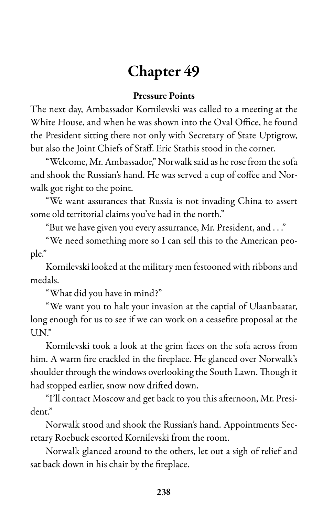# Pressure Points

The next day, Ambassador Kornilevski was called to a meeting at the White House, and when he was shown into the Oval Office, he found the President sitting there not only with Secretary of State Uptigrow, but also the Joint Chiefs of Staff. Eric Stathis stood in the corner.

"Welcome, Mr. Ambassador," Norwalk said as he rose from the sofa and shook the Russian's hand. He was served a cup of coffee and Norwalk got right to the point.

"We want assurances that Russia is not invading China to assert some old territorial claims you've had in the north."

"But we have given you every assurrance, Mr. President, and . . ."

"We need something more so I can sell this to the American people."

Kornilevski looked at the military men festooned with ribbons and medals.

"What did you have in mind?"

"We want you to halt your invasion at the captial of Ulaanbaatar, long enough for us to see if we can work on a ceasefire proposal at the U.N."

Kornilevski took a look at the grim faces on the sofa across from him. A warm fire crackled in the fireplace. He glanced over Norwalk's shoulder through the windows overlooking the South Lawn. Though it had stopped earlier, snow now drifted down.

"I'll contact Moscow and get back to you this afternoon, Mr. President."

Norwalk stood and shook the Russian's hand. Appointments Secretary Roebuck escorted Kornilevski from the room.

Norwalk glanced around to the others, let out a sigh of relief and sat back down in his chair by the fireplace.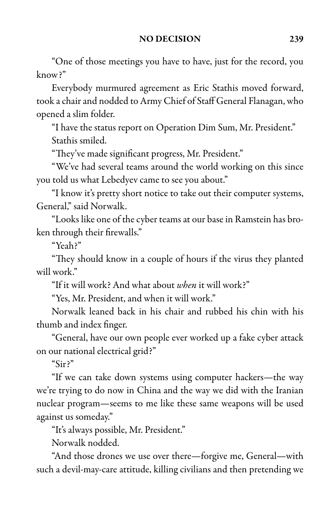"One of those meetings you have to have, just for the record, you know?"

Everybody murmured agreement as Eric Stathis moved forward, took a chair and nodded to Army Chief of Staff General Flanagan, who opened a slim folder.

"I have the status report on Operation Dim Sum, Mr. President." Stathis smiled.

"They've made significant progress, Mr. President."

"We've had several teams around the world working on this since you told us what Lebedyev came to see you about."

"I know it's pretty short notice to take out their computer systems, General," said Norwalk.

"Looks like one of the cyber teams at our base in Ramstein has broken through their firewalls."

"Yeah?"

"They should know in a couple of hours if the virus they planted will work."

"If it will work? And what about when it will work?"

"Yes, Mr. President, and when it will work."

Norwalk leaned back in his chair and rubbed his chin with his thumb and index finger.

"General, have our own people ever worked up a fake cyber attack on our national electrical grid?"

"Sir?"

"If we can take down systems using computer hackers—the way we're trying to do now in China and the way we did with the Iranian nuclear program—seems to me like these same weapons will be used against us someday."

"It's always possible, Mr. President."

Norwalk nodded.

"And those drones we use over there—forgive me, General—with such a devil-may-care attitude, killing civilians and then pretending we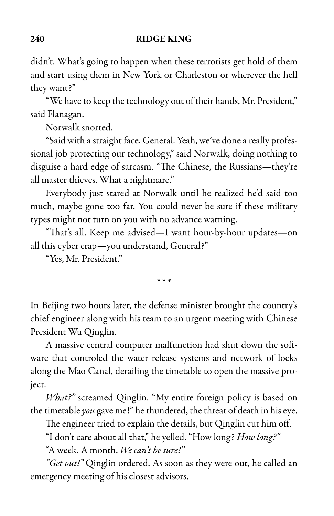didn't. What's going to happen when these terrorists get hold of them and start using them in New York or Charleston or wherever the hell they want?"

"We have to keep the technology out of their hands, Mr. President," said Flanagan.

Norwalk snorted.

"Said with a straight face, General. Yeah, we've done a really professional job protecting our technology," said Norwalk, doing nothing to disguise a hard edge of sarcasm. "The Chinese, the Russians—they're all master thieves. What a nightmare."

Everybody just stared at Norwalk until he realized he'd said too much, maybe gone too far. You could never be sure if these military types might not turn on you with no advance warning.

"That's all. Keep me advised—I want hour-by-hour updates—on all this cyber crap—you understand, General?"

"Yes, Mr. President."

\* \* \*

In Beijing two hours later, the defense minister brought the country's chief engineer along with his team to an urgent meeting with Chinese President Wu Qinglin.

A massive central computer malfunction had shut down the software that controled the water release systems and network of locks along the Mao Canal, derailing the timetable to open the massive project.

What?" screamed Qinglin. "My entire foreign policy is based on the timetable you gave me!" he thundered, the threat of death in his eye.

The engineer tried to explain the details, but Qinglin cut him off.

"I don't care about all that," he yelled. "How long? How long?"

"A week. A month. We can't be sure!"

"Get out!" Qinglin ordered. As soon as they were out, he called an emergency meeting of his closest advisors.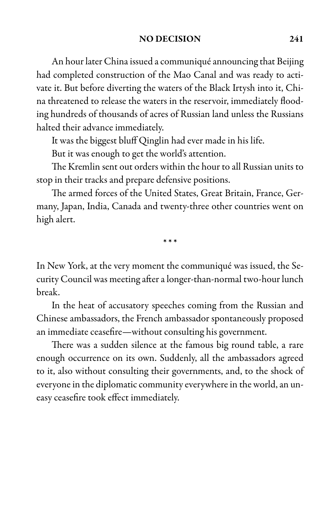An hour later China issued a communiqué announcing that Beijing had completed construction of the Mao Canal and was ready to activate it. But before diverting the waters of the Black Irtysh into it, China threatened to release the waters in the reservoir, immediately flooding hundreds of thousands of acres of Russian land unless the Russians halted their advance immediately.

It was the biggest bluff Qinglin had ever made in his life.

But it was enough to get the world's attention.

The Kremlin sent out orders within the hour to all Russian units to stop in their tracks and prepare defensive positions.

The armed forces of the United States, Great Britain, France, Germany, Japan, India, Canada and twenty-three other countries went on high alert.

\* \* \*

In New York, at the very moment the communiqué was issued, the Security Council was meeting after a longer-than-normal two-hour lunch break.

In the heat of accusatory speeches coming from the Russian and Chinese ambassadors, the French ambassador spontaneously proposed an immediate ceasefire—without consulting his government.

There was a sudden silence at the famous big round table, a rare enough occurrence on its own. Suddenly, all the ambassadors agreed to it, also without consulting their governments, and, to the shock of everyone in the diplomatic community everywhere in the world, an uneasy ceasefire took effect immediately.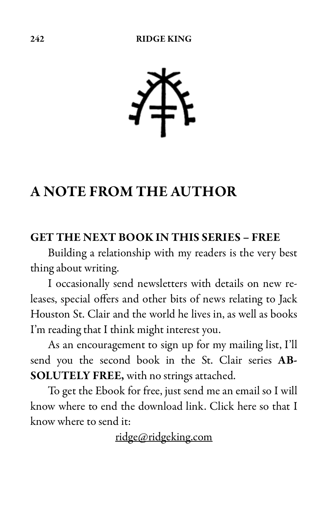# A NOTE FROM THE AUTHOR

# GET THE NEXT BOOK IN THIS SERIES – FREE

Building a relationship with my readers is the very best thing about writing.

I occasionally send newsletters with details on new releases, special offers and other bits of news relating to Jack Houston St. Clair and the world he lives in, as well as books I'm reading that I think might interest you.

As an encouragement to sign up for my mailing list, I'll send you the second book in the St. Clair series AB-SOLUTELY FREE, with no strings attached.

To get the Ebook for free, just send me an email so I will know where to end the download link. Click here so that I know where to send it:

ridge@ridgeking.com